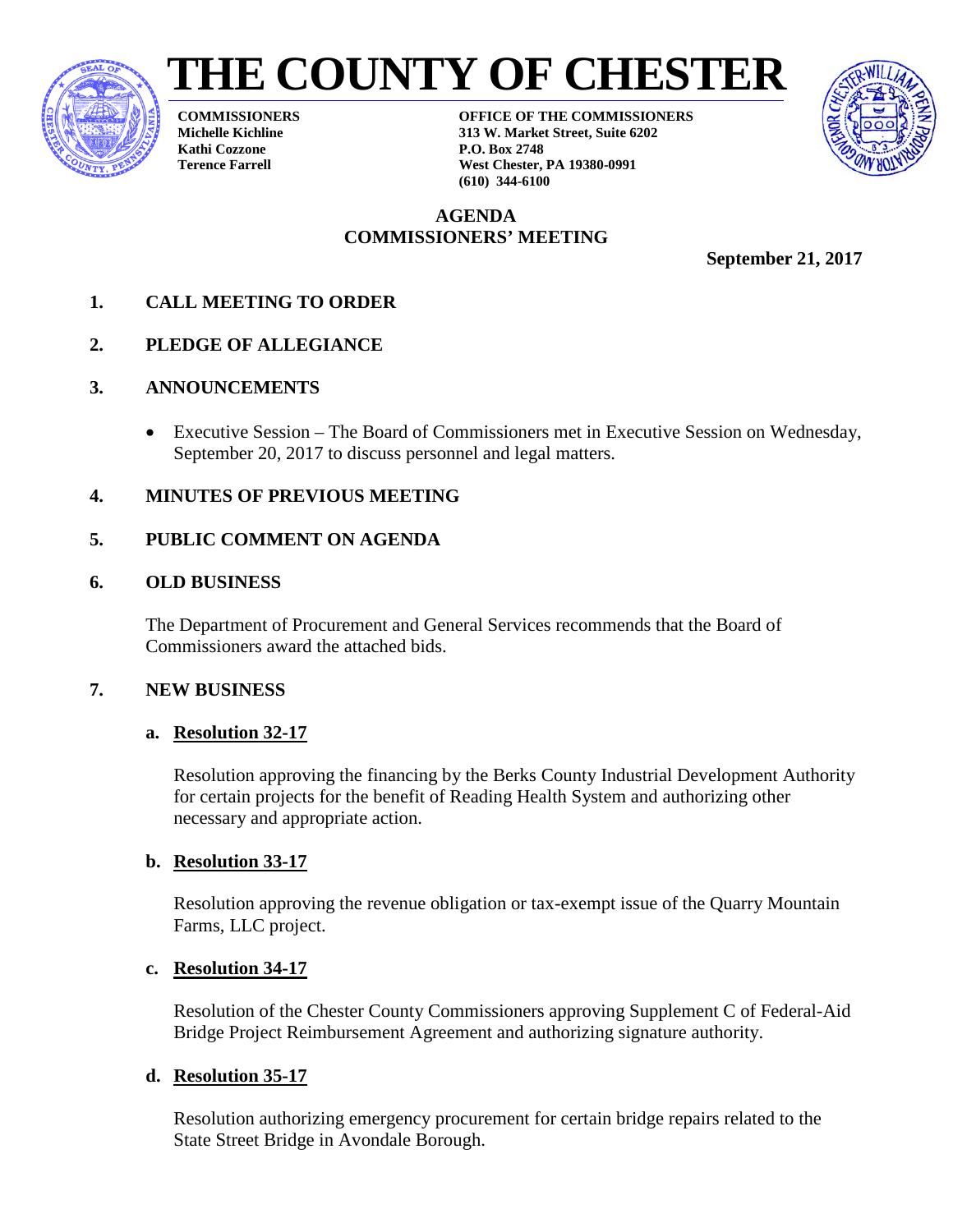





**COMMISSIONERS Michelle Kichline Kathi Cozzone Terence Farrell**

**OFFICE OF THE COMMISSIONERS 313 W. Market Street, Suite 6202 P.O. Box 2748 West Chester, PA 19380-0991 (610) 344-6100**

### **AGENDA COMMISSIONERS' MEETING**

**September 21, 2017** 

- **1. CALL MEETING TO ORDER**
- **2. PLEDGE OF ALLEGIANCE**
- **3. ANNOUNCEMENTS**
	- Executive Session The Board of Commissioners met in Executive Session on Wednesday, September 20, 2017 to discuss personnel and legal matters.
- **4. MINUTES OF PREVIOUS MEETING**

### **5. PUBLIC COMMENT ON AGENDA**

### **6. OLD BUSINESS**

The Department of Procurement and General Services recommends that the Board of Commissioners award the attached bids.

### **7. NEW BUSINESS**

### **a. Resolution 32-17**

Resolution approving the financing by the Berks County Industrial Development Authority for certain projects for the benefit of Reading Health System and authorizing other necessary and appropriate action.

### **b. Resolution 33-17**

Resolution approving the revenue obligation or tax-exempt issue of the Quarry Mountain Farms, LLC project.

### **c. Resolution 34-17**

Resolution of the Chester County Commissioners approving Supplement C of Federal-Aid Bridge Project Reimbursement Agreement and authorizing signature authority.

### **d. Resolution 35-17**

Resolution authorizing emergency procurement for certain bridge repairs related to the State Street Bridge in Avondale Borough.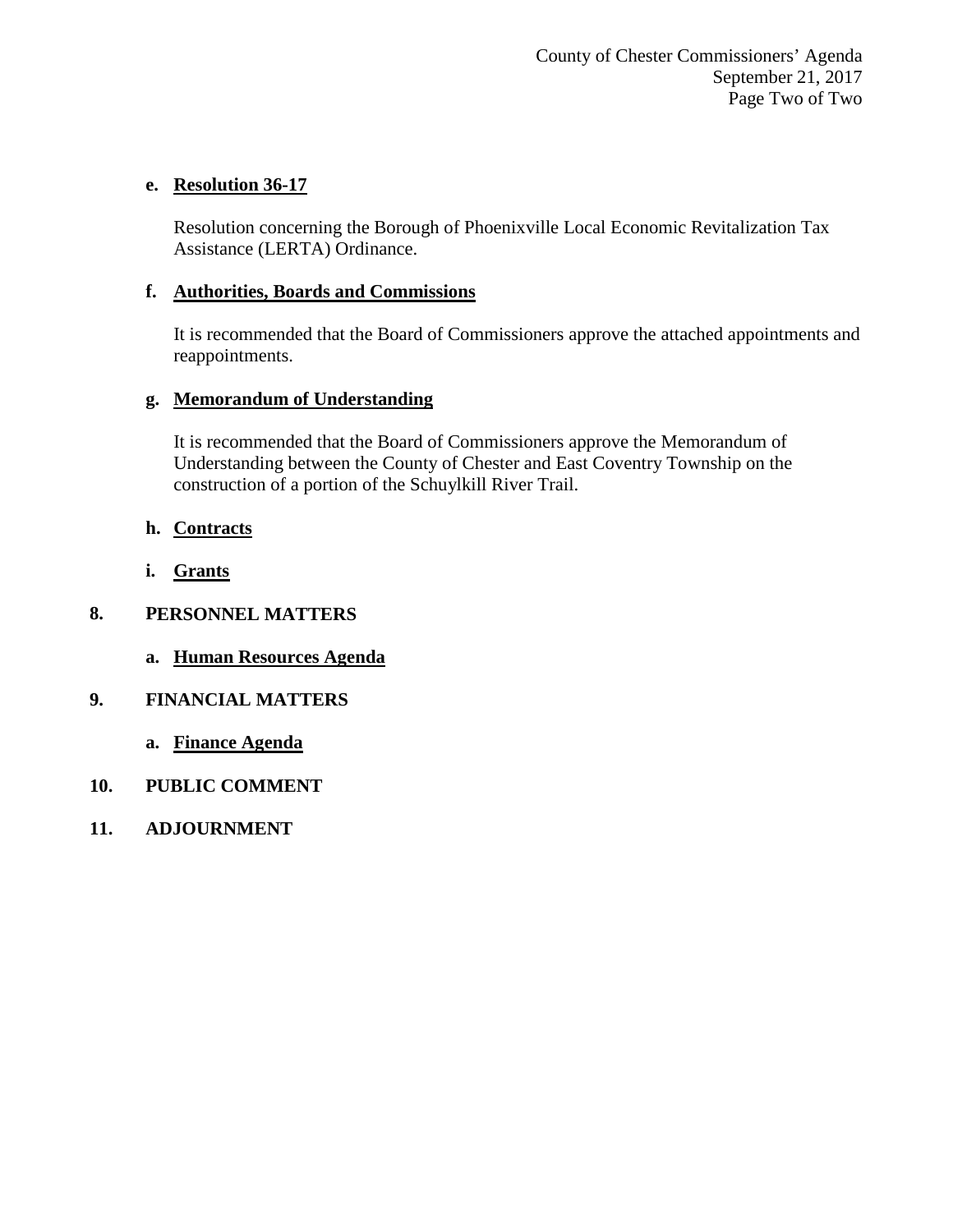#### **e. Resolution 36-17**

Resolution concerning the Borough of Phoenixville Local Economic Revitalization Tax Assistance (LERTA) Ordinance.

#### **f. Authorities, Boards and Commissions**

It is recommended that the Board of Commissioners approve the attached appointments and reappointments.

#### **g. Memorandum of Understanding**

It is recommended that the Board of Commissioners approve the Memorandum of Understanding between the County of Chester and East Coventry Township on the construction of a portion of the Schuylkill River Trail.

- **h. Contracts**
- **i. Grants**

#### **8. PERSONNEL MATTERS**

**a. Human Resources Agenda**

#### **9. FINANCIAL MATTERS**

- **a. Finance Agenda**
- **10. PUBLIC COMMENT**
- **11. ADJOURNMENT**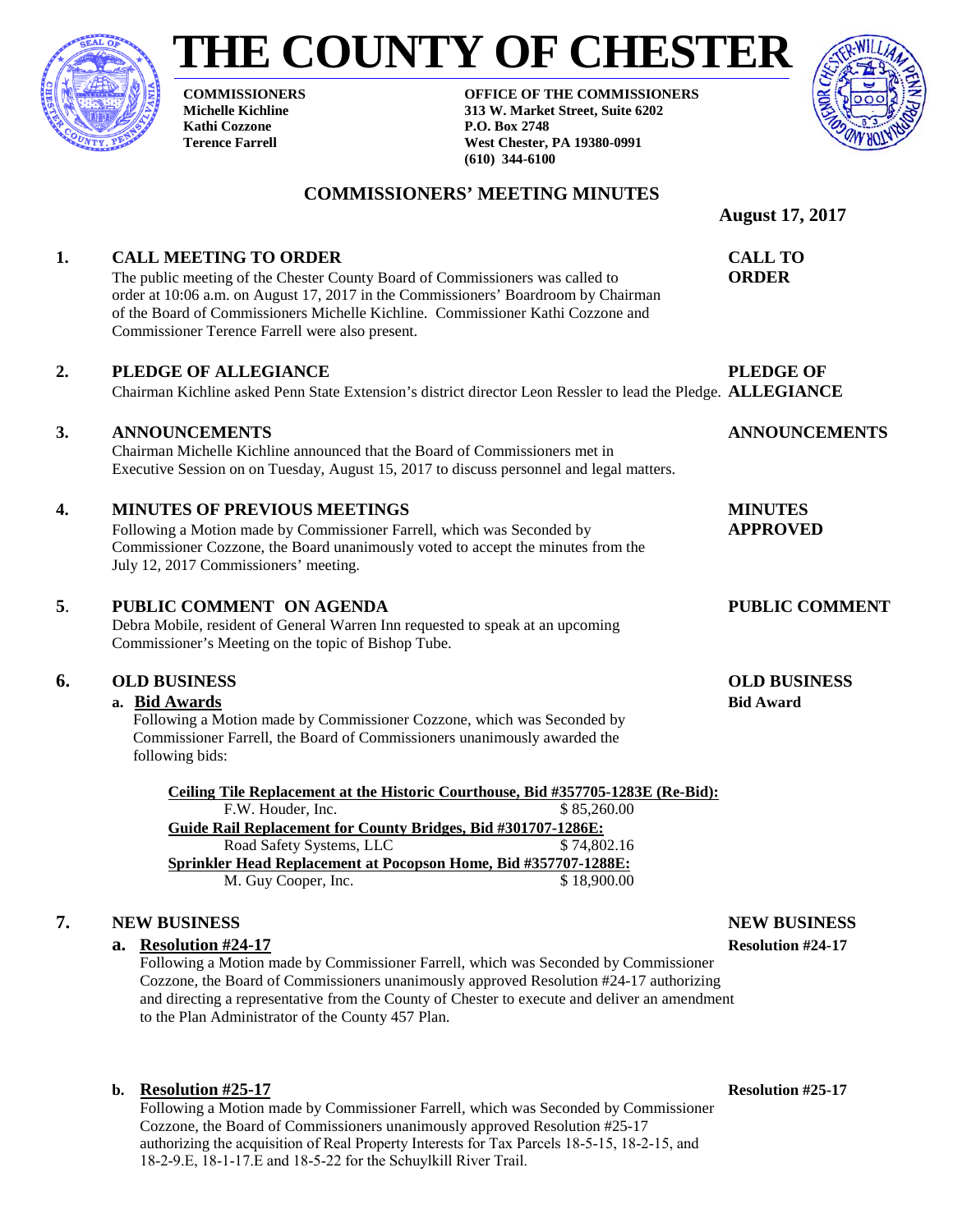

# **THE COUNTY OF CHESTER**

**COMMISSIONERS' MEETING MINUTES**

**COMMISSIONERS Michelle Kichline Kathi Cozzone Terence Farrell**

**OFFICE OF THE COMMISSIONERS 313 W. Market Street, Suite 6202 P.O. Box 2748 West Chester, PA 19380-0991 (610) 344-6100**



### **August 17, 2017 1. CALL MEETING TO ORDER CALL TO** The public meeting of the Chester County Board of Commissioners was called to **ORDER** order at 10:06 a.m. on August 17, 2017 in the Commissioners' Boardroom by Chairman of the Board of Commissioners Michelle Kichline. Commissioner Kathi Cozzone and Commissioner Terence Farrell were also present. 2. **PLEDGE OF ALLEGIANCE PLEDGE OF** Chairman Kichline asked Penn State Extension's district director Leon Ressler to lead the Pledge. **ALLEGIANCE 3. ANNOUNCEMENTS ANNOUNCEMENTS** Chairman Michelle Kichline announced that the Board of Commissioners met in Executive Session on on Tuesday, August 15, 2017 to discuss personnel and legal matters. **4. MINUTES OF PREVIOUS MEETINGS MINUTES**  Following a Motion made by Commissioner Farrell, which was Seconded by **APPROVED** Commissioner Cozzone, the Board unanimously voted to accept the minutes from the July 12, 2017 Commissioners' meeting. **5**. **PUBLIC COMMENT ON AGENDA PUBLIC COMMENT** Debra Mobile, resident of General Warren Inn requested to speak at an upcoming Commissioner's Meeting on the topic of Bishop Tube. **6. OLD BUSINESS OLD BUSINESS a. Bid Awards Bid Award** Following a Motion made by Commissioner Cozzone, which was Seconded by Commissioner Farrell, the Board of Commissioners unanimously awarded the following bids: **Ceiling Tile Replacement at the Historic Courthouse, Bid #357705-1283E (Re-Bid):** F.W. Houder, Inc. \$ 85,260.00 **Guide Rail Replacement for County Bridges, Bid #301707-1286E:** Road Safety Systems, LLC  $$74,802.16$ **Sprinkler Head Replacement at Pocopson Home, Bid #357707-1288E:** M. Guy Cooper, Inc. \$18,900.00

#### **7. NEW BUSINESS NEW BUSINESS**

#### **a. Resolution #24-17 Resolution #24-17**

Following a Motion made by Commissioner Farrell, which was Seconded by Commissioner Cozzone, the Board of Commissioners unanimously approved Resolution #24-17 authorizing and directing a representative from the County of Chester to execute and deliver an amendment to the Plan Administrator of the County 457 Plan.

#### **b. Resolution #25-17 Resolution #25-17**

Following a Motion made by Commissioner Farrell, which was Seconded by Commissioner Cozzone, the Board of Commissioners unanimously approved Resolution #25-17 authorizing the acquisition of Real Property Interests for Tax Parcels 18-5-15, 18-2-15, and 18-2-9.E, 18-1-17.E and 18-5-22 for the Schuylkill River Trail.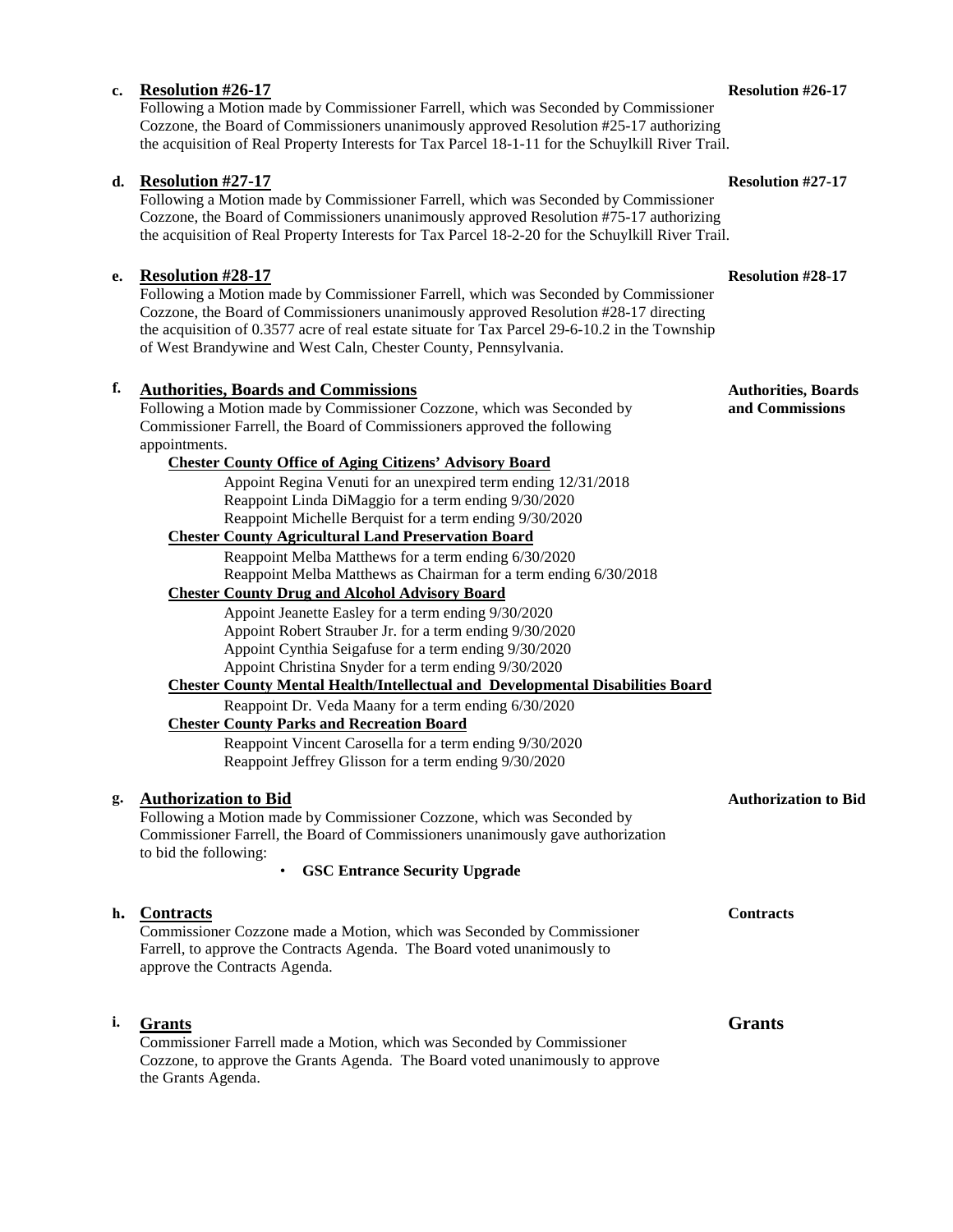#### **c. Resolution #26-17 Resolution #26-17**

Following a Motion made by Commissioner Farrell, which was Seconded by Commissioner Cozzone, the Board of Commissioners unanimously approved Resolution #25-17 authorizing the acquisition of Real Property Interests for Tax Parcel 18-1-11 for the Schuylkill River Trail.

#### **d. Resolution #27-17 Resolution #27-17**

Following a Motion made by Commissioner Farrell, which was Seconded by Commissioner Cozzone, the Board of Commissioners unanimously approved Resolution #75-17 authorizing the acquisition of Real Property Interests for Tax Parcel 18-2-20 for the Schuylkill River Trail.

#### **e. Resolution #28-17 Resolution #28-17**

Following a Motion made by Commissioner Farrell, which was Seconded by Commissioner Cozzone, the Board of Commissioners unanimously approved Resolution #28-17 directing the acquisition of 0.3577 acre of real estate situate for Tax Parcel 29-6-10.2 in the Township of West Brandywine and West Caln, Chester County, Pennsylvania.

#### **f. Authorities, Boards and Commissions Authorities, Boards Authorities, Boards**

Following a Motion made by Commissioner Cozzone, which was Seconded by **and Commissions** Commissioner Farrell, the Board of Commissioners approved the following appointments.

#### **Chester County Office of Aging Citizens' Advisory Board**

Appoint Regina Venuti for an unexpired term ending 12/31/2018 Reappoint Linda DiMaggio for a term ending 9/30/2020 Reappoint Michelle Berquist for a term ending 9/30/2020

#### **Chester County Agricultural Land Preservation Board**

Reappoint Melba Matthews for a term ending 6/30/2020 Reappoint Melba Matthews as Chairman for a term ending 6/30/2018

#### **Chester County Drug and Alcohol Advisory Board**

Appoint Jeanette Easley for a term ending 9/30/2020 Appoint Robert Strauber Jr. for a term ending 9/30/2020 Appoint Cynthia Seigafuse for a term ending 9/30/2020 Appoint Christina Snyder for a term ending 9/30/2020

#### **Chester County Mental Health/Intellectual and Developmental Disabilities Board**

Reappoint Dr. Veda Maany for a term ending 6/30/2020 **Chester County Parks and Recreation Board**

Reappoint Vincent Carosella for a term ending 9/30/2020 Reappoint Jeffrey Glisson for a term ending 9/30/2020

#### **g. Authorization to Bid Authorization to Bid**

Following a Motion made by Commissioner Cozzone, which was Seconded by Commissioner Farrell, the Board of Commissioners unanimously gave authorization to bid the following:

• **GSC Entrance Security Upgrade**

## **h. Contracts Contracts** Commissioner Cozzone made a Motion, which was Seconded by Commissioner Farrell, to approve the Contracts Agenda. The Board voted unanimously to approve the Contracts Agenda. **i. Grants Grants**

Commissioner Farrell made a Motion, which was Seconded by Commissioner Cozzone, to approve the Grants Agenda. The Board voted unanimously to approve the Grants Agenda.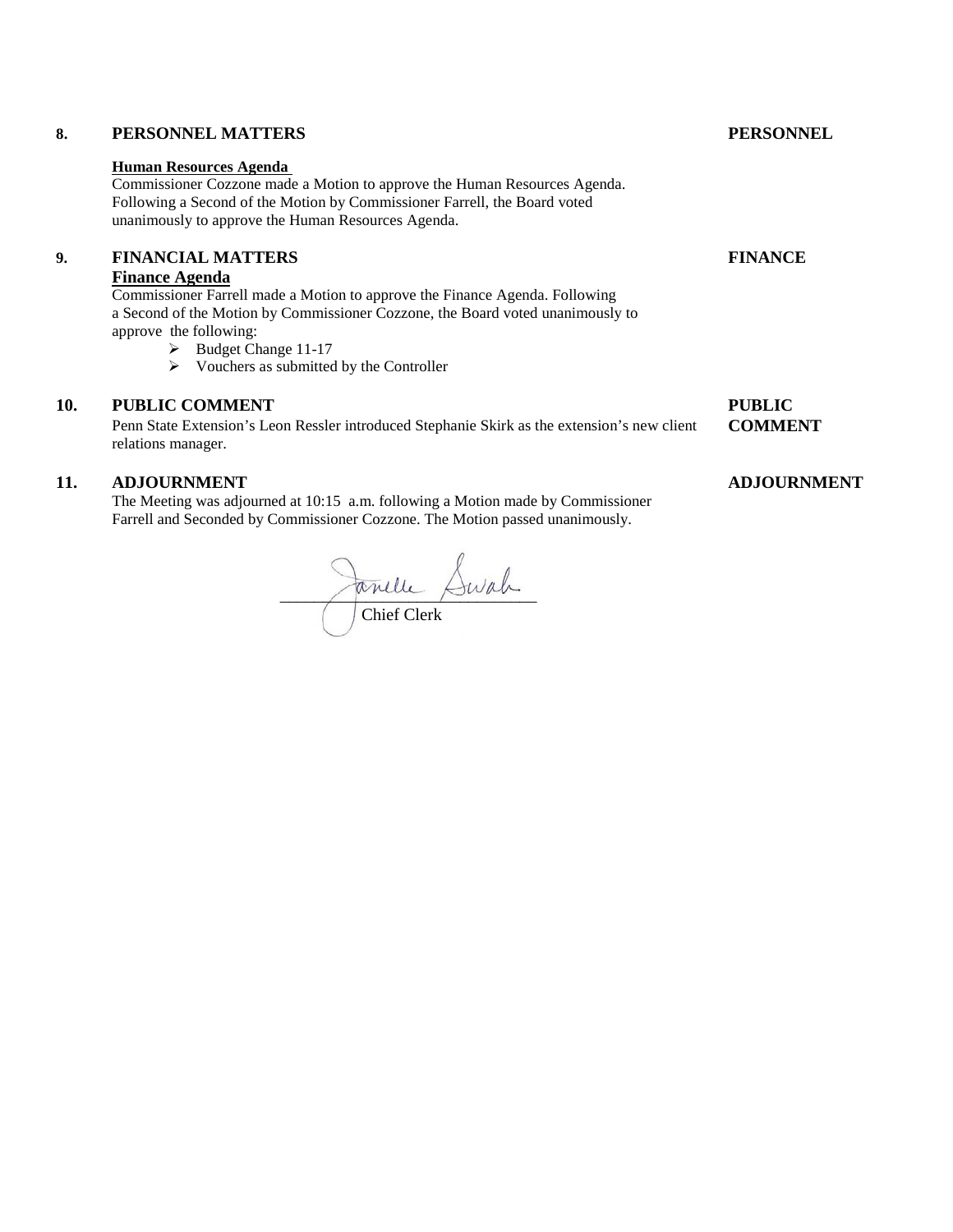## **Human Resources Agenda**

Commissioner Cozzone made a Motion to approve the Human Resources Agenda. Following a Second of the Motion by Commissioner Farrell, the Board voted unanimously to approve the Human Resources Agenda.

#### **9. FINANCIAL MATTERS FINANCE**

#### **Finance Agenda**

Commissioner Farrell made a Motion to approve the Finance Agenda. Following a Second of the Motion by Commissioner Cozzone, the Board voted unanimously to approve the following:

- Budget Change 11-17
- $\triangleright$  Vouchers as submitted by the Controller

#### **10. PUBLIC COMMENT** PUBLIC

Penn State Extension's Leon Ressler introduced Stephanie Skirk as the extension's new client **COMMENT** relations manager.

#### **11. ADJOURNMENT ADJOURNMENT**

The Meeting was adjourned at 10:15 a.m. following a Motion made by Commissioner Farrell and Seconded by Commissioner Cozzone. The Motion passed unanimously.

# $\sim$   $\sim$   $\sim$ Chief Clerk

#### **8. PERSONNEL MATTERS PERSONNEL**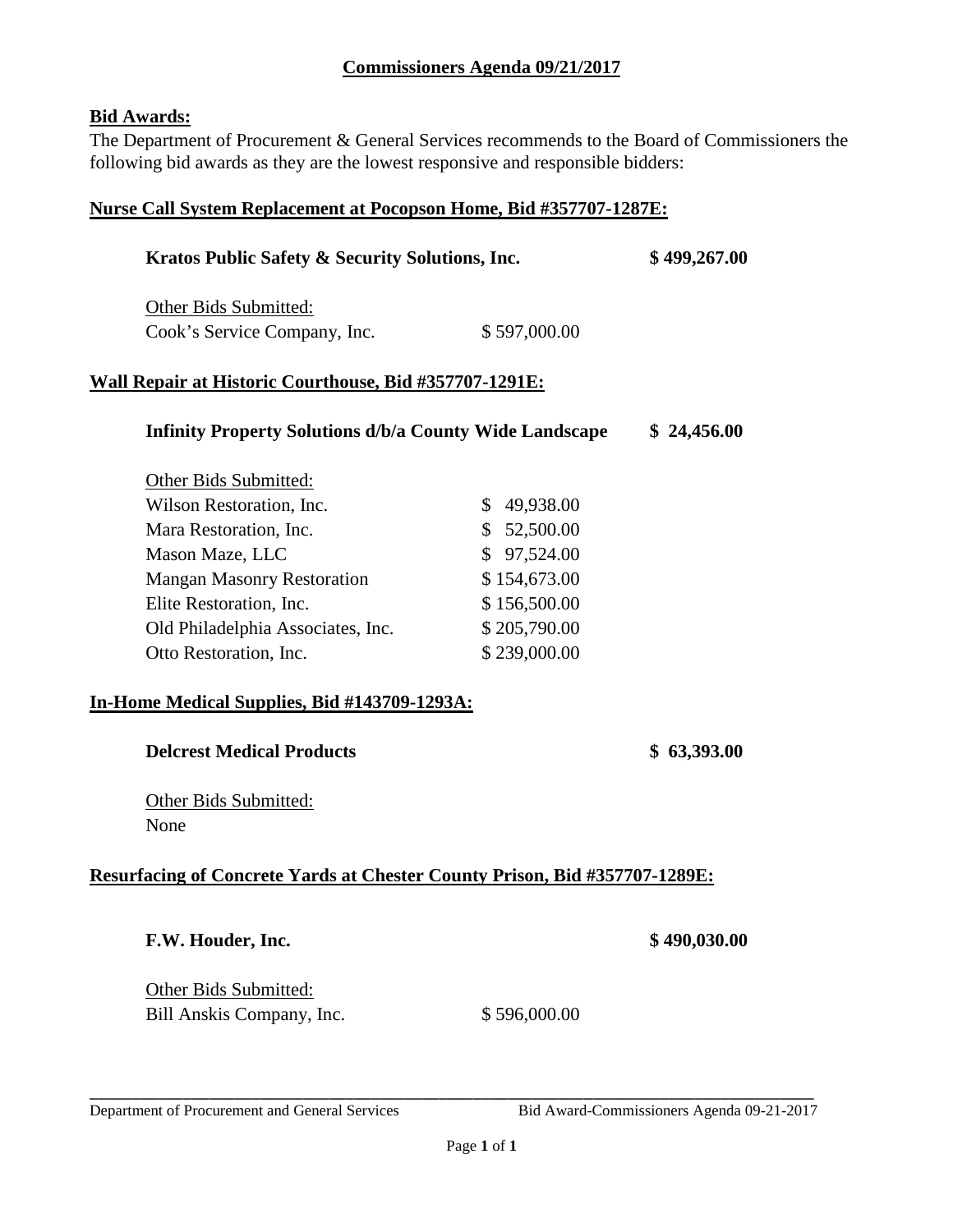#### **Commissioners Agenda 09/21/2017**

#### **Bid Awards:**

The Department of Procurement & General Services recommends to the Board of Commissioners the following bid awards as they are the lowest responsive and responsible bidders:

### **Nurse Call System Replacement at Pocopson Home, Bid #357707-1287E:**

| Kratos Public Safety & Security Solutions, Inc.                            | \$499,267.00 |              |  |  |  |  |  |
|----------------------------------------------------------------------------|--------------|--------------|--|--|--|--|--|
| Other Bids Submitted:                                                      |              |              |  |  |  |  |  |
| Cook's Service Company, Inc.                                               | \$597,000.00 |              |  |  |  |  |  |
| <u> Wall Repair at Historic Courthouse, Bid #357707-1291E:</u>             |              |              |  |  |  |  |  |
| <b>Infinity Property Solutions d/b/a County Wide Landscape</b>             |              | \$24,456.00  |  |  |  |  |  |
| Other Bids Submitted:                                                      |              |              |  |  |  |  |  |
| Wilson Restoration, Inc.                                                   | \$49,938.00  |              |  |  |  |  |  |
| Mara Restoration, Inc.                                                     | \$52,500.00  |              |  |  |  |  |  |
| Mason Maze, LLC                                                            | \$97,524.00  |              |  |  |  |  |  |
| <b>Mangan Masonry Restoration</b>                                          | \$154,673.00 |              |  |  |  |  |  |
| Elite Restoration, Inc.                                                    | \$156,500.00 |              |  |  |  |  |  |
| Old Philadelphia Associates, Inc.                                          | \$205,790.00 |              |  |  |  |  |  |
| Otto Restoration, Inc.                                                     | \$239,000.00 |              |  |  |  |  |  |
| In-Home Medical Supplies, Bid #143709-1293A:                               |              |              |  |  |  |  |  |
| <b>Delcrest Medical Products</b>                                           |              | \$63,393.00  |  |  |  |  |  |
| Other Bids Submitted:<br>None                                              |              |              |  |  |  |  |  |
| Resurfacing of Concrete Yards at Chester County Prison, Bid #357707-1289E: |              |              |  |  |  |  |  |
| F.W. Houder, Inc.                                                          |              | \$490,030.00 |  |  |  |  |  |
| Other Bids Submitted:<br>Bill Anskis Company, Inc.                         | \$596,000.00 |              |  |  |  |  |  |
|                                                                            |              |              |  |  |  |  |  |

Department of Procurement and General Services Bid Award-Commissioners Agenda 09-21-2017

\_\_\_\_\_\_\_\_\_\_\_\_\_\_\_\_\_\_\_\_\_\_\_\_\_\_\_\_\_\_\_\_\_\_\_\_\_\_\_\_\_\_\_\_\_\_\_\_\_\_\_\_\_\_\_\_\_\_\_\_\_\_\_\_\_\_\_\_\_\_\_\_\_\_\_\_\_\_\_\_\_\_\_\_\_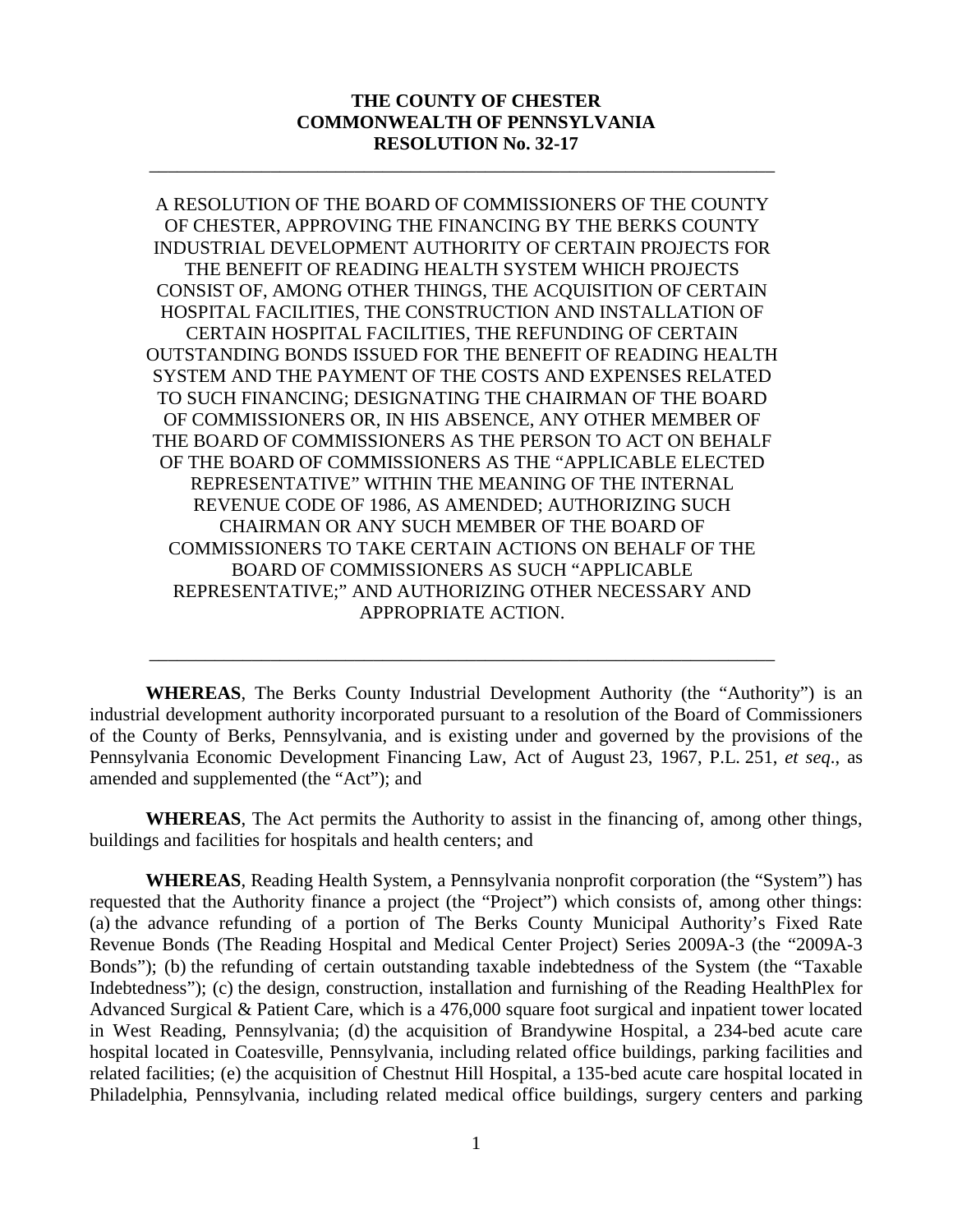#### **THE COUNTY OF CHESTER COMMONWEALTH OF PENNSYLVANIA RESOLUTION No. 32-17**

\_\_\_\_\_\_\_\_\_\_\_\_\_\_\_\_\_\_\_\_\_\_\_\_\_\_\_\_\_\_\_\_\_\_\_\_\_\_\_\_\_\_\_\_\_\_\_\_\_\_\_\_\_\_\_\_\_\_\_\_\_\_\_\_\_\_\_

A RESOLUTION OF THE BOARD OF COMMISSIONERS OF THE COUNTY OF CHESTER, APPROVING THE FINANCING BY THE BERKS COUNTY INDUSTRIAL DEVELOPMENT AUTHORITY OF CERTAIN PROJECTS FOR THE BENEFIT OF READING HEALTH SYSTEM WHICH PROJECTS CONSIST OF, AMONG OTHER THINGS, THE ACQUISITION OF CERTAIN HOSPITAL FACILITIES, THE CONSTRUCTION AND INSTALLATION OF CERTAIN HOSPITAL FACILITIES, THE REFUNDING OF CERTAIN OUTSTANDING BONDS ISSUED FOR THE BENEFIT OF READING HEALTH SYSTEM AND THE PAYMENT OF THE COSTS AND EXPENSES RELATED TO SUCH FINANCING; DESIGNATING THE CHAIRMAN OF THE BOARD OF COMMISSIONERS OR, IN HIS ABSENCE, ANY OTHER MEMBER OF THE BOARD OF COMMISSIONERS AS THE PERSON TO ACT ON BEHALF OF THE BOARD OF COMMISSIONERS AS THE "APPLICABLE ELECTED REPRESENTATIVE" WITHIN THE MEANING OF THE INTERNAL REVENUE CODE OF 1986, AS AMENDED; AUTHORIZING SUCH CHAIRMAN OR ANY SUCH MEMBER OF THE BOARD OF COMMISSIONERS TO TAKE CERTAIN ACTIONS ON BEHALF OF THE BOARD OF COMMISSIONERS AS SUCH "APPLICABLE REPRESENTATIVE;" AND AUTHORIZING OTHER NECESSARY AND APPROPRIATE ACTION.

**WHEREAS**, The Berks County Industrial Development Authority (the "Authority") is an industrial development authority incorporated pursuant to a resolution of the Board of Commissioners of the County of Berks, Pennsylvania, and is existing under and governed by the provisions of the Pennsylvania Economic Development Financing Law, Act of August 23, 1967, P.L. 251, *et seq*., as amended and supplemented (the "Act"); and

\_\_\_\_\_\_\_\_\_\_\_\_\_\_\_\_\_\_\_\_\_\_\_\_\_\_\_\_\_\_\_\_\_\_\_\_\_\_\_\_\_\_\_\_\_\_\_\_\_\_\_\_\_\_\_\_\_\_\_\_\_\_\_\_\_\_\_

**WHEREAS**, The Act permits the Authority to assist in the financing of, among other things, buildings and facilities for hospitals and health centers; and

**WHEREAS**, Reading Health System, a Pennsylvania nonprofit corporation (the "System") has requested that the Authority finance a project (the "Project") which consists of, among other things: (a) the advance refunding of a portion of The Berks County Municipal Authority's Fixed Rate Revenue Bonds (The Reading Hospital and Medical Center Project) Series 2009A-3 (the "2009A-3 Bonds"); (b) the refunding of certain outstanding taxable indebtedness of the System (the "Taxable Indebtedness"); (c) the design, construction, installation and furnishing of the Reading HealthPlex for Advanced Surgical & Patient Care, which is a 476,000 square foot surgical and inpatient tower located in West Reading, Pennsylvania; (d) the acquisition of Brandywine Hospital, a 234-bed acute care hospital located in Coatesville, Pennsylvania, including related office buildings, parking facilities and related facilities; (e) the acquisition of Chestnut Hill Hospital, a 135-bed acute care hospital located in Philadelphia, Pennsylvania, including related medical office buildings, surgery centers and parking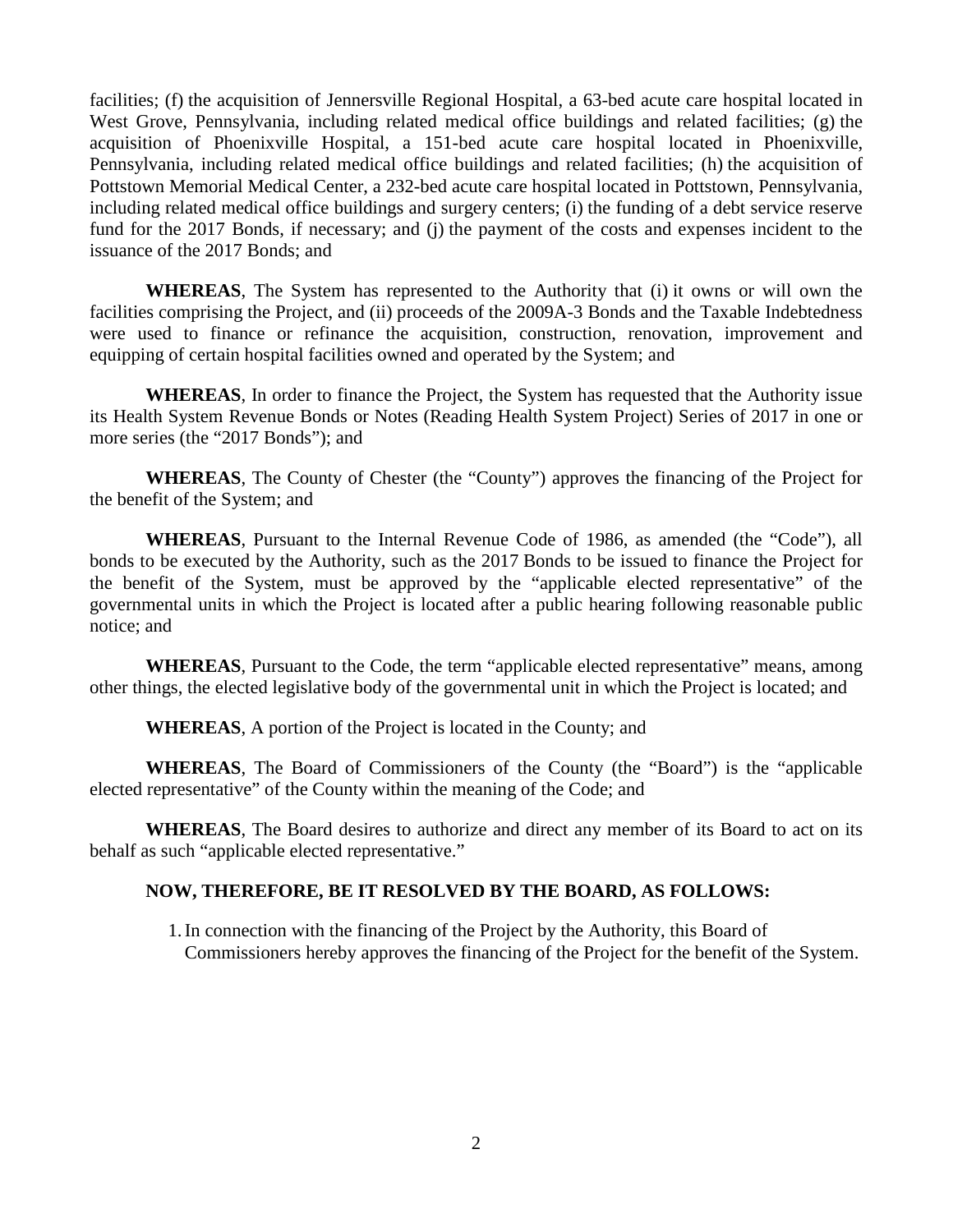facilities; (f) the acquisition of Jennersville Regional Hospital, a 63-bed acute care hospital located in West Grove, Pennsylvania, including related medical office buildings and related facilities; (g) the acquisition of Phoenixville Hospital, a 151-bed acute care hospital located in Phoenixville, Pennsylvania, including related medical office buildings and related facilities; (h) the acquisition of Pottstown Memorial Medical Center, a 232-bed acute care hospital located in Pottstown, Pennsylvania, including related medical office buildings and surgery centers; (i) the funding of a debt service reserve fund for the 2017 Bonds, if necessary; and (j) the payment of the costs and expenses incident to the issuance of the 2017 Bonds; and

**WHEREAS**, The System has represented to the Authority that (i) it owns or will own the facilities comprising the Project, and (ii) proceeds of the 2009A-3 Bonds and the Taxable Indebtedness were used to finance or refinance the acquisition, construction, renovation, improvement and equipping of certain hospital facilities owned and operated by the System; and

**WHEREAS**, In order to finance the Project, the System has requested that the Authority issue its Health System Revenue Bonds or Notes (Reading Health System Project) Series of 2017 in one or more series (the "2017 Bonds"); and

**WHEREAS**, The County of Chester (the "County") approves the financing of the Project for the benefit of the System; and

**WHEREAS**, Pursuant to the Internal Revenue Code of 1986, as amended (the "Code"), all bonds to be executed by the Authority, such as the 2017 Bonds to be issued to finance the Project for the benefit of the System, must be approved by the "applicable elected representative" of the governmental units in which the Project is located after a public hearing following reasonable public notice; and

**WHEREAS**, Pursuant to the Code, the term "applicable elected representative" means, among other things, the elected legislative body of the governmental unit in which the Project is located; and

**WHEREAS**, A portion of the Project is located in the County; and

**WHEREAS**, The Board of Commissioners of the County (the "Board") is the "applicable elected representative" of the County within the meaning of the Code; and

**WHEREAS**, The Board desires to authorize and direct any member of its Board to act on its behalf as such "applicable elected representative."

#### **NOW, THEREFORE, BE IT RESOLVED BY THE BOARD, AS FOLLOWS:**

1.In connection with the financing of the Project by the Authority, this Board of Commissioners hereby approves the financing of the Project for the benefit of the System.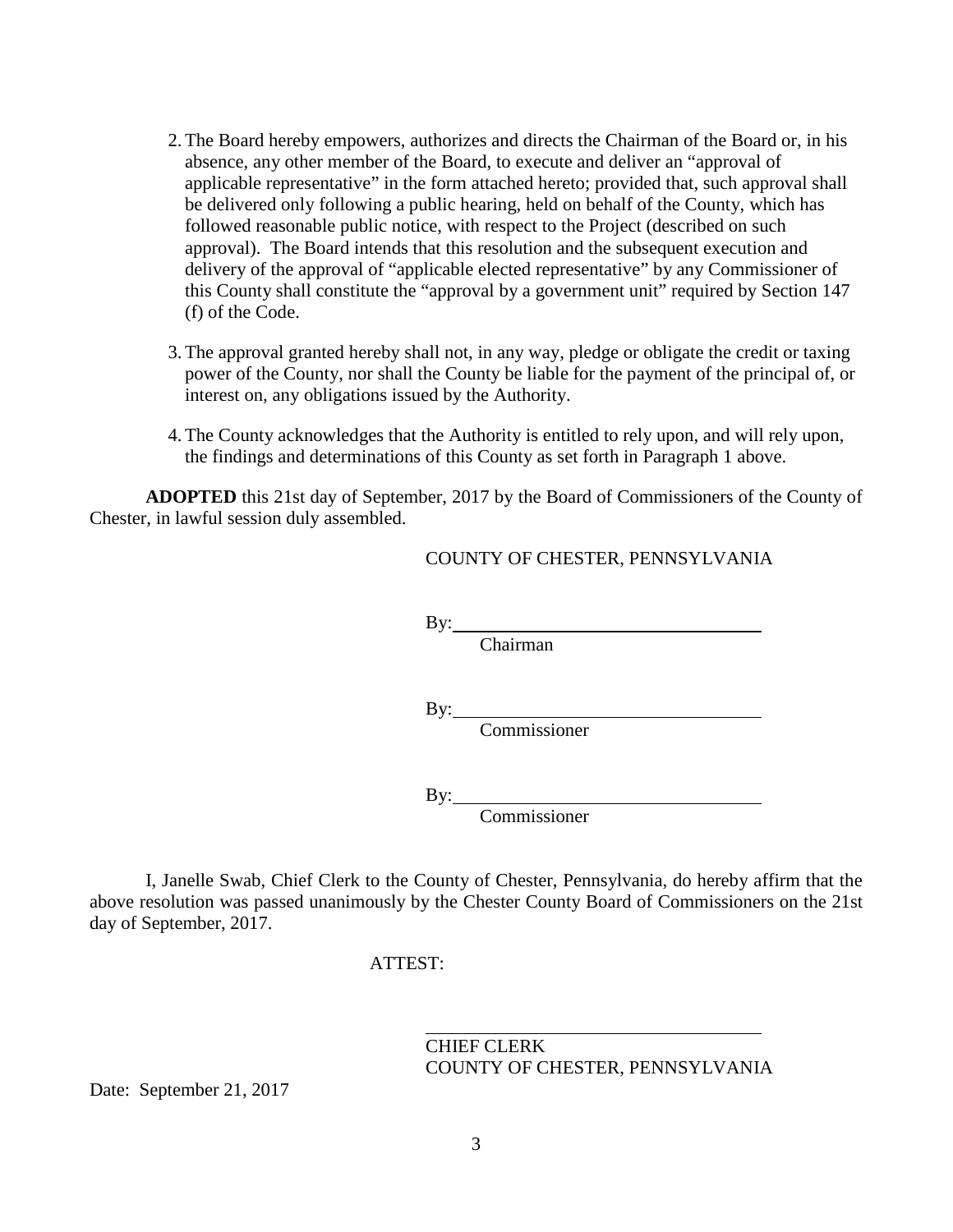- 2.The Board hereby empowers, authorizes and directs the Chairman of the Board or, in his absence, any other member of the Board, to execute and deliver an "approval of applicable representative" in the form attached hereto; provided that, such approval shall be delivered only following a public hearing, held on behalf of the County, which has followed reasonable public notice, with respect to the Project (described on such approval). The Board intends that this resolution and the subsequent execution and delivery of the approval of "applicable elected representative" by any Commissioner of this County shall constitute the "approval by a government unit" required by Section 147 (f) of the Code.
- 3.The approval granted hereby shall not, in any way, pledge or obligate the credit or taxing power of the County, nor shall the County be liable for the payment of the principal of, or interest on, any obligations issued by the Authority.
- 4.The County acknowledges that the Authority is entitled to rely upon, and will rely upon, the findings and determinations of this County as set forth in Paragraph 1 above.

**ADOPTED** this 21st day of September, 2017 by the Board of Commissioners of the County of Chester, in lawful session duly assembled.

#### COUNTY OF CHESTER, PENNSYLVANIA

 $By:$ 

Chairman

 $By:$ 

Commissioner

By:

Commissioner

I, Janelle Swab, Chief Clerk to the County of Chester, Pennsylvania, do hereby affirm that the above resolution was passed unanimously by the Chester County Board of Commissioners on the 21st day of September, 2017.

#### ATTEST:

CHIEF CLERK COUNTY OF CHESTER, PENNSYLVANIA

Date: September 21, 2017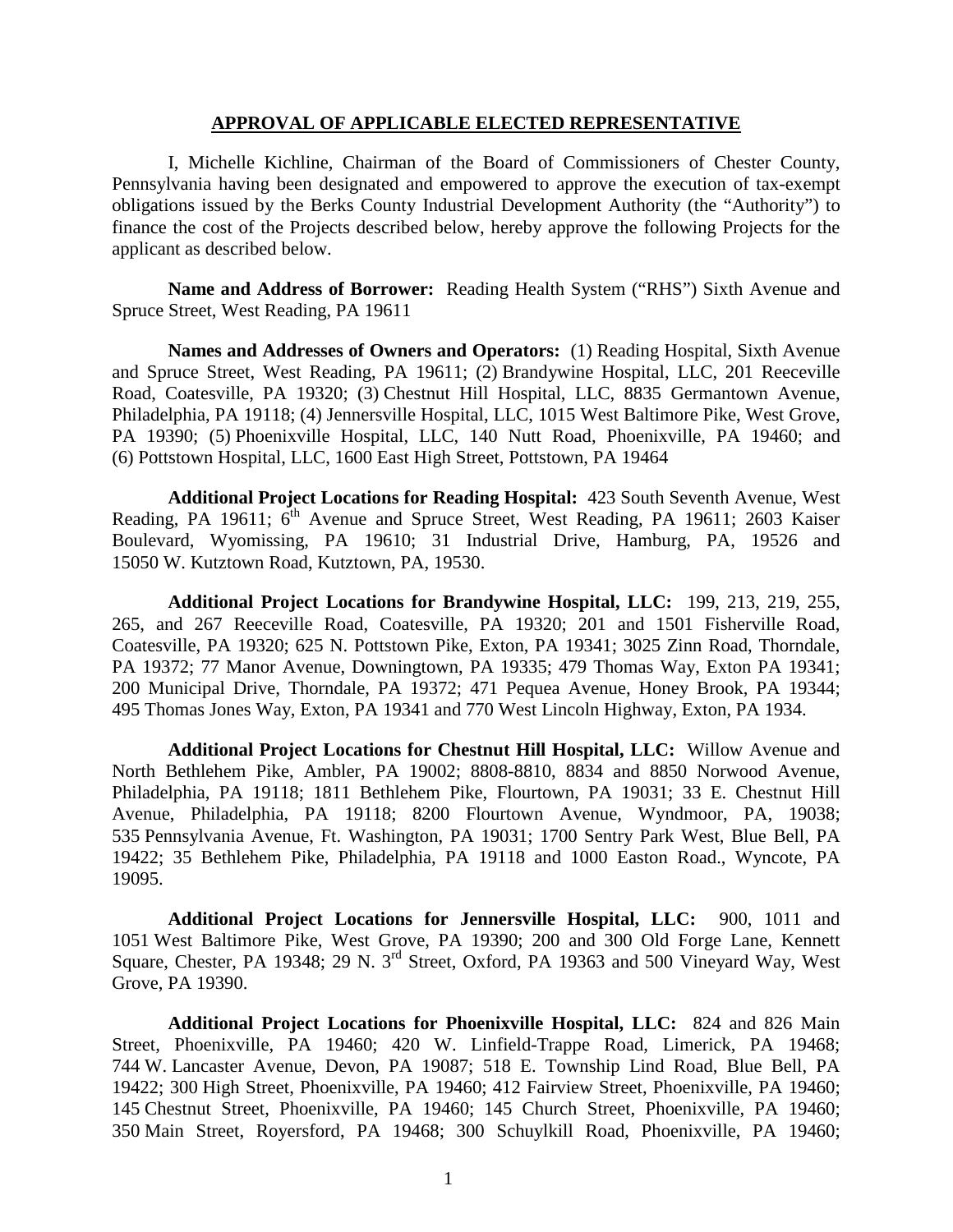#### **APPROVAL OF APPLICABLE ELECTED REPRESENTATIVE**

I, Michelle Kichline, Chairman of the Board of Commissioners of Chester County, Pennsylvania having been designated and empowered to approve the execution of tax-exempt obligations issued by the Berks County Industrial Development Authority (the "Authority") to finance the cost of the Projects described below, hereby approve the following Projects for the applicant as described below.

**Name and Address of Borrower:** Reading Health System ("RHS") Sixth Avenue and Spruce Street, West Reading, PA 19611

**Names and Addresses of Owners and Operators:** (1) Reading Hospital, Sixth Avenue and Spruce Street, West Reading, PA 19611; (2) Brandywine Hospital, LLC, 201 Reeceville Road, Coatesville, PA 19320; (3) Chestnut Hill Hospital, LLC, 8835 Germantown Avenue, Philadelphia, PA 19118; (4) Jennersville Hospital, LLC, 1015 West Baltimore Pike, West Grove, PA 19390; (5) Phoenixville Hospital, LLC, 140 Nutt Road, Phoenixville, PA 19460; and (6) Pottstown Hospital, LLC, 1600 East High Street, Pottstown, PA 19464

**Additional Project Locations for Reading Hospital:** 423 South Seventh Avenue, West Reading, PA 19611; 6<sup>th</sup> Avenue and Spruce Street, West Reading, PA 19611; 2603 Kaiser Boulevard, Wyomissing, PA 19610; 31 Industrial Drive, Hamburg, PA, 19526 and 15050 W. Kutztown Road, Kutztown, PA, 19530.

**Additional Project Locations for Brandywine Hospital, LLC:** 199, 213, 219, 255, 265, and 267 Reeceville Road, Coatesville, PA 19320; 201 and 1501 Fisherville Road, Coatesville, PA 19320; 625 N. Pottstown Pike, Exton, PA 19341; 3025 Zinn Road, Thorndale, PA 19372; 77 Manor Avenue, Downingtown, PA 19335; 479 Thomas Way, Exton PA 19341; 200 Municipal Drive, Thorndale, PA 19372; 471 Pequea Avenue, Honey Brook, PA 19344; 495 Thomas Jones Way, Exton, PA 19341 and 770 West Lincoln Highway, Exton, PA 1934.

**Additional Project Locations for Chestnut Hill Hospital, LLC:** Willow Avenue and North Bethlehem Pike, Ambler, PA 19002; 8808-8810, 8834 and 8850 Norwood Avenue, Philadelphia, PA 19118; 1811 Bethlehem Pike, Flourtown, PA 19031; 33 E. Chestnut Hill Avenue, Philadelphia, PA 19118; 8200 Flourtown Avenue, Wyndmoor, PA, 19038; 535 Pennsylvania Avenue, Ft. Washington, PA 19031; 1700 Sentry Park West, Blue Bell, PA 19422; 35 Bethlehem Pike, Philadelphia, PA 19118 and 1000 Easton Road., Wyncote, PA 19095.

**Additional Project Locations for Jennersville Hospital, LLC:** 900, 1011 and 1051 West Baltimore Pike, West Grove, PA 19390; 200 and 300 Old Forge Lane, Kennett Square, Chester, PA 19348; 29 N. 3<sup>rd</sup> Street, Oxford, PA 19363 and 500 Vineyard Way, West Grove, PA 19390.

**Additional Project Locations for Phoenixville Hospital, LLC:** 824 and 826 Main Street, Phoenixville, PA 19460; 420 W. Linfield-Trappe Road, Limerick, PA 19468; 744 W. Lancaster Avenue, Devon, PA 19087; 518 E. Township Lind Road, Blue Bell, PA 19422; 300 High Street, Phoenixville, PA 19460; 412 Fairview Street, Phoenixville, PA 19460; 145 Chestnut Street, Phoenixville, PA 19460; 145 Church Street, Phoenixville, PA 19460; 350 Main Street, Royersford, PA 19468; 300 Schuylkill Road, Phoenixville, PA 19460;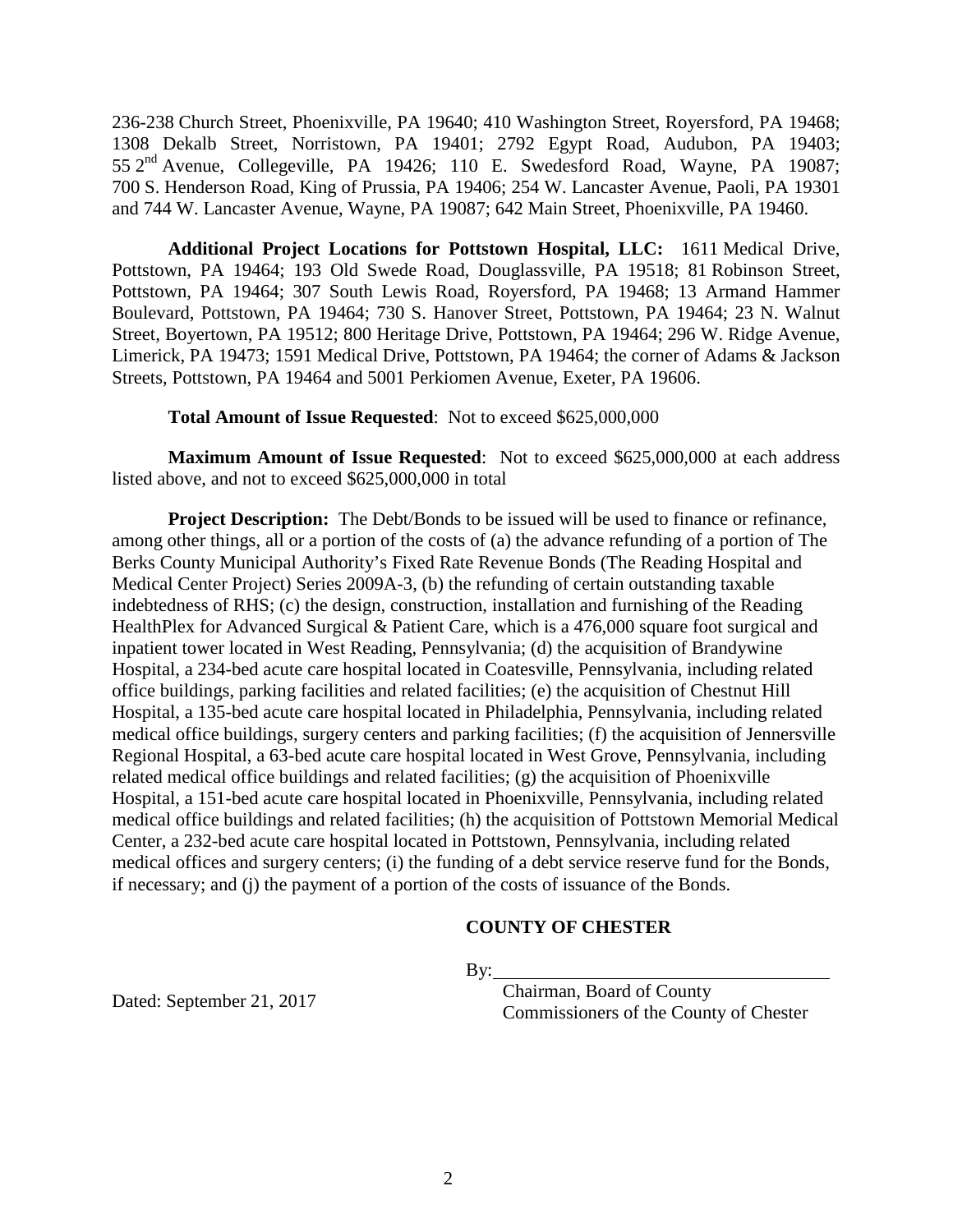236-238 Church Street, Phoenixville, PA 19640; 410 Washington Street, Royersford, PA 19468; 1308 Dekalb Street, Norristown, PA 19401; 2792 Egypt Road, Audubon, PA 19403; 55 2nd Avenue, Collegeville, PA 19426; 110 E. Swedesford Road, Wayne, PA 19087; 700 S. Henderson Road, King of Prussia, PA 19406; 254 W. Lancaster Avenue, Paoli, PA 19301 and 744 W. Lancaster Avenue, Wayne, PA 19087; 642 Main Street, Phoenixville, PA 19460.

**Additional Project Locations for Pottstown Hospital, LLC:** 1611 Medical Drive, Pottstown, PA 19464; 193 Old Swede Road, Douglassville, PA 19518; 81 Robinson Street, Pottstown, PA 19464; 307 South Lewis Road, Royersford, PA 19468; 13 Armand Hammer Boulevard, Pottstown, PA 19464; 730 S. Hanover Street, Pottstown, PA 19464; 23 N. Walnut Street, Boyertown, PA 19512; 800 Heritage Drive, Pottstown, PA 19464; 296 W. Ridge Avenue, Limerick, PA 19473; 1591 Medical Drive, Pottstown, PA 19464; the corner of Adams & Jackson Streets, Pottstown, PA 19464 and 5001 Perkiomen Avenue, Exeter, PA 19606.

**Total Amount of Issue Requested**: Not to exceed \$625,000,000

**Maximum Amount of Issue Requested**: Not to exceed \$625,000,000 at each address listed above, and not to exceed \$625,000,000 in total

**Project Description:** The Debt/Bonds to be issued will be used to finance or refinance, among other things, all or a portion of the costs of (a) the advance refunding of a portion of The Berks County Municipal Authority's Fixed Rate Revenue Bonds (The Reading Hospital and Medical Center Project) Series 2009A-3, (b) the refunding of certain outstanding taxable indebtedness of RHS; (c) the design, construction, installation and furnishing of the Reading HealthPlex for Advanced Surgical & Patient Care, which is a 476,000 square foot surgical and inpatient tower located in West Reading, Pennsylvania; (d) the acquisition of Brandywine Hospital, a 234-bed acute care hospital located in Coatesville, Pennsylvania, including related office buildings, parking facilities and related facilities; (e) the acquisition of Chestnut Hill Hospital, a 135-bed acute care hospital located in Philadelphia, Pennsylvania, including related medical office buildings, surgery centers and parking facilities; (f) the acquisition of Jennersville Regional Hospital, a 63-bed acute care hospital located in West Grove, Pennsylvania, including related medical office buildings and related facilities; (g) the acquisition of Phoenixville Hospital, a 151-bed acute care hospital located in Phoenixville, Pennsylvania, including related medical office buildings and related facilities; (h) the acquisition of Pottstown Memorial Medical Center, a 232-bed acute care hospital located in Pottstown, Pennsylvania, including related medical offices and surgery centers; (i) the funding of a debt service reserve fund for the Bonds, if necessary; and (j) the payment of a portion of the costs of issuance of the Bonds.

#### **COUNTY OF CHESTER**

 $\mathbf{By:}$ 

Dated: September 21, 2017

Chairman, Board of County Commissioners of the County of Chester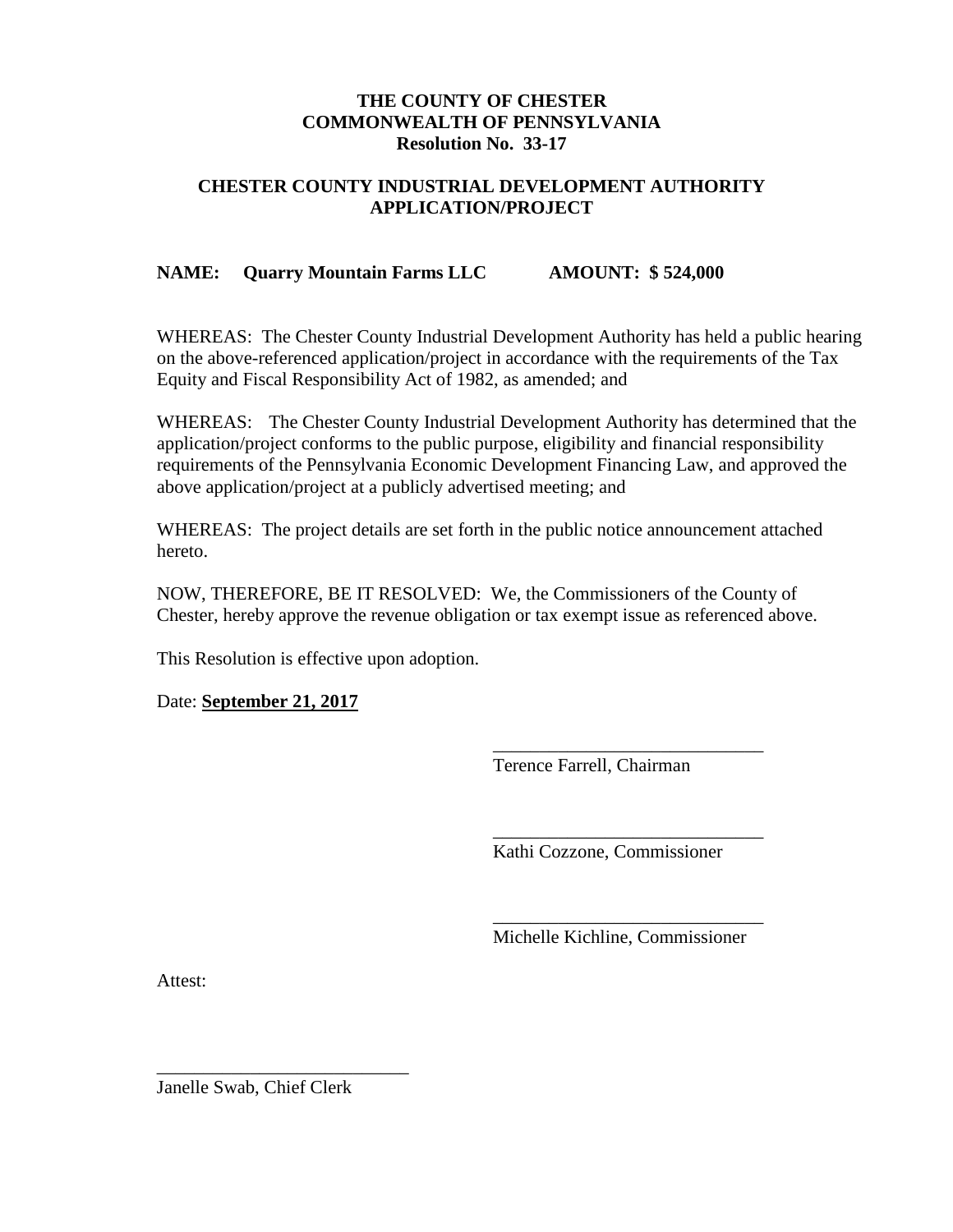#### **THE COUNTY OF CHESTER COMMONWEALTH OF PENNSYLVANIA Resolution No. 33-17**

#### **CHESTER COUNTY INDUSTRIAL DEVELOPMENT AUTHORITY APPLICATION/PROJECT**

#### **NAME: Quarry Mountain Farms LLC AMOUNT: \$ 524,000**

WHEREAS:The Chester County Industrial Development Authority has held a public hearing on the above-referenced application/project in accordance with the requirements of the Tax Equity and Fiscal Responsibility Act of 1982, as amended; and

WHEREAS: The Chester County Industrial Development Authority has determined that the application/project conforms to the public purpose, eligibility and financial responsibility requirements of the Pennsylvania Economic Development Financing Law, and approved the above application/project at a publicly advertised meeting; and

WHEREAS: The project details are set forth in the public notice announcement attached hereto.

NOW, THEREFORE, BE IT RESOLVED: We, the Commissioners of the County of Chester, hereby approve the revenue obligation or tax exempt issue as referenced above.

This Resolution is effective upon adoption.

Date: **September 21, 2017**

Terence Farrell, Chairman

\_\_\_\_\_\_\_\_\_\_\_\_\_\_\_\_\_\_\_\_\_\_\_\_\_\_\_\_\_

\_\_\_\_\_\_\_\_\_\_\_\_\_\_\_\_\_\_\_\_\_\_\_\_\_\_\_\_\_

Kathi Cozzone, Commissioner

\_\_\_\_\_\_\_\_\_\_\_\_\_\_\_\_\_\_\_\_\_\_\_\_\_\_\_\_\_ Michelle Kichline, Commissioner

Attest:

Janelle Swab, Chief Clerk

\_\_\_\_\_\_\_\_\_\_\_\_\_\_\_\_\_\_\_\_\_\_\_\_\_\_\_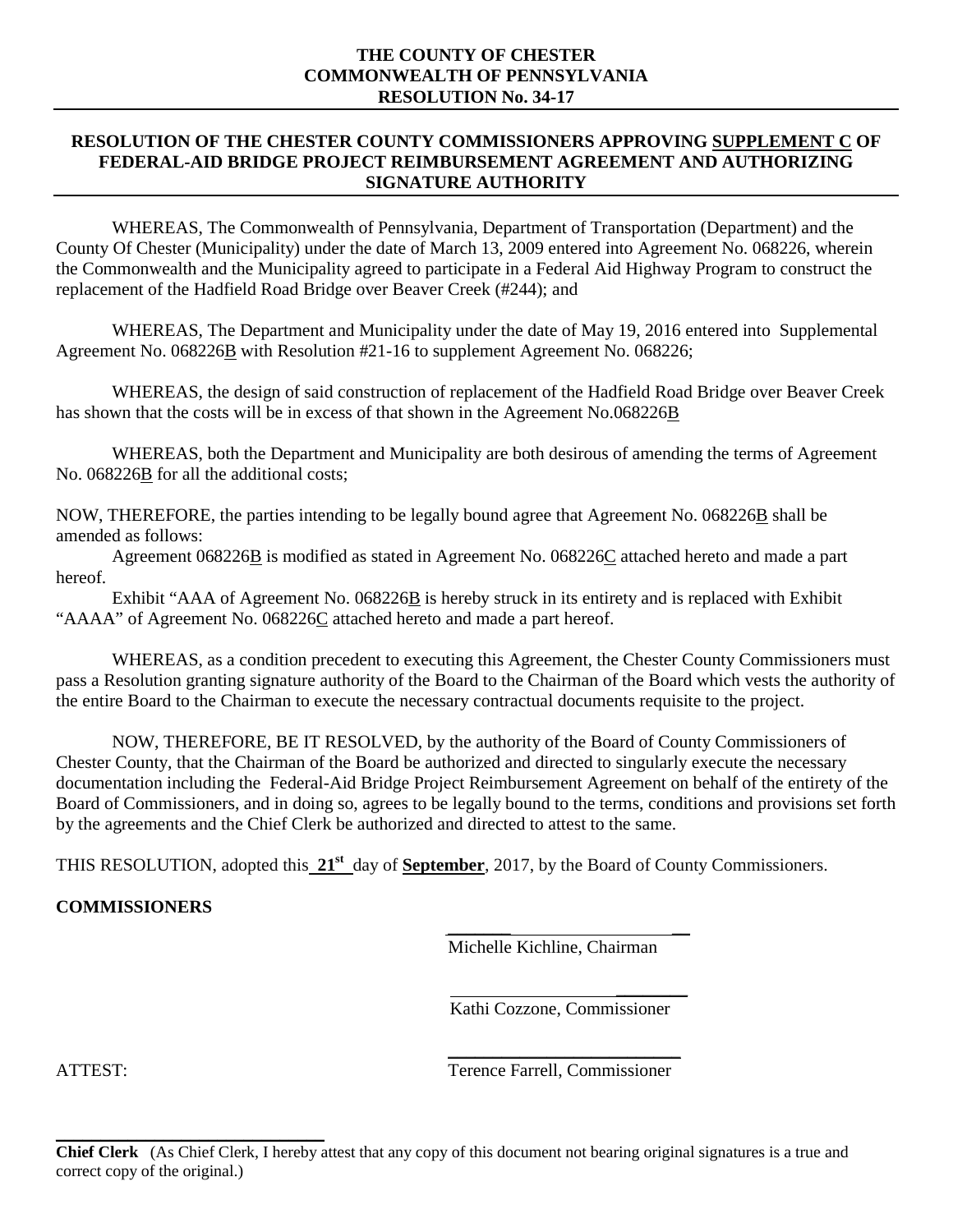#### **THE COUNTY OF CHESTER COMMONWEALTH OF PENNSYLVANIA RESOLUTION No. 34-17**

#### **RESOLUTION OF THE CHESTER COUNTY COMMISSIONERS APPROVING SUPPLEMENT C OF FEDERAL-AID BRIDGE PROJECT REIMBURSEMENT AGREEMENT AND AUTHORIZING SIGNATURE AUTHORITY**

WHEREAS, The Commonwealth of Pennsylvania, Department of Transportation (Department) and the County Of Chester (Municipality) under the date of March 13, 2009 entered into Agreement No. 068226, wherein the Commonwealth and the Municipality agreed to participate in a Federal Aid Highway Program to construct the replacement of the Hadfield Road Bridge over Beaver Creek (#244); and

WHEREAS, The Department and Municipality under the date of May 19, 2016 entered into Supplemental Agreement No. 068226B with Resolution #21-16 to supplement Agreement No. 068226;

WHEREAS, the design of said construction of replacement of the Hadfield Road Bridge over Beaver Creek has shown that the costs will be in excess of that shown in the Agreement No.068226B

WHEREAS, both the Department and Municipality are both desirous of amending the terms of Agreement No. 068226**B** for all the additional costs;

NOW, THEREFORE, the parties intending to be legally bound agree that Agreement No. 068226B shall be amended as follows:

Agreement 068226B is modified as stated in Agreement No. 068226C attached hereto and made a part hereof.

Exhibit "AAA of Agreement No. 068226B is hereby struck in its entirety and is replaced with Exhibit "AAAA" of Agreement No. 068226C attached hereto and made a part hereof.

WHEREAS, as a condition precedent to executing this Agreement, the Chester County Commissioners must pass a Resolution granting signature authority of the Board to the Chairman of the Board which vests the authority of the entire Board to the Chairman to execute the necessary contractual documents requisite to the project.

NOW, THEREFORE, BE IT RESOLVED, by the authority of the Board of County Commissioners of Chester County, that the Chairman of the Board be authorized and directed to singularly execute the necessary documentation including the Federal-Aid Bridge Project Reimbursement Agreement on behalf of the entirety of the Board of Commissioners, and in doing so, agrees to be legally bound to the terms, conditions and provisions set forth by the agreements and the Chief Clerk be authorized and directed to attest to the same.

THIS RESOLUTION, adopted this **21st** day of **September**, 2017, by the Board of County Commissioners.

#### **COMMISSIONERS**

\_\_\_\_\_\_\_\_\_\_\_\_\_\_\_\_\_\_\_\_\_\_\_\_\_\_\_\_\_\_

Michelle Kichline, Chairman

\_\_\_\_\_\_\_ \_\_

 $\overline{\phantom{a}}$ Kathi Cozzone, Commissioner

\_\_\_\_\_\_\_\_\_\_\_\_\_\_\_\_\_\_\_\_\_\_\_\_\_\_ ATTEST: Terence Farrell, Commissioner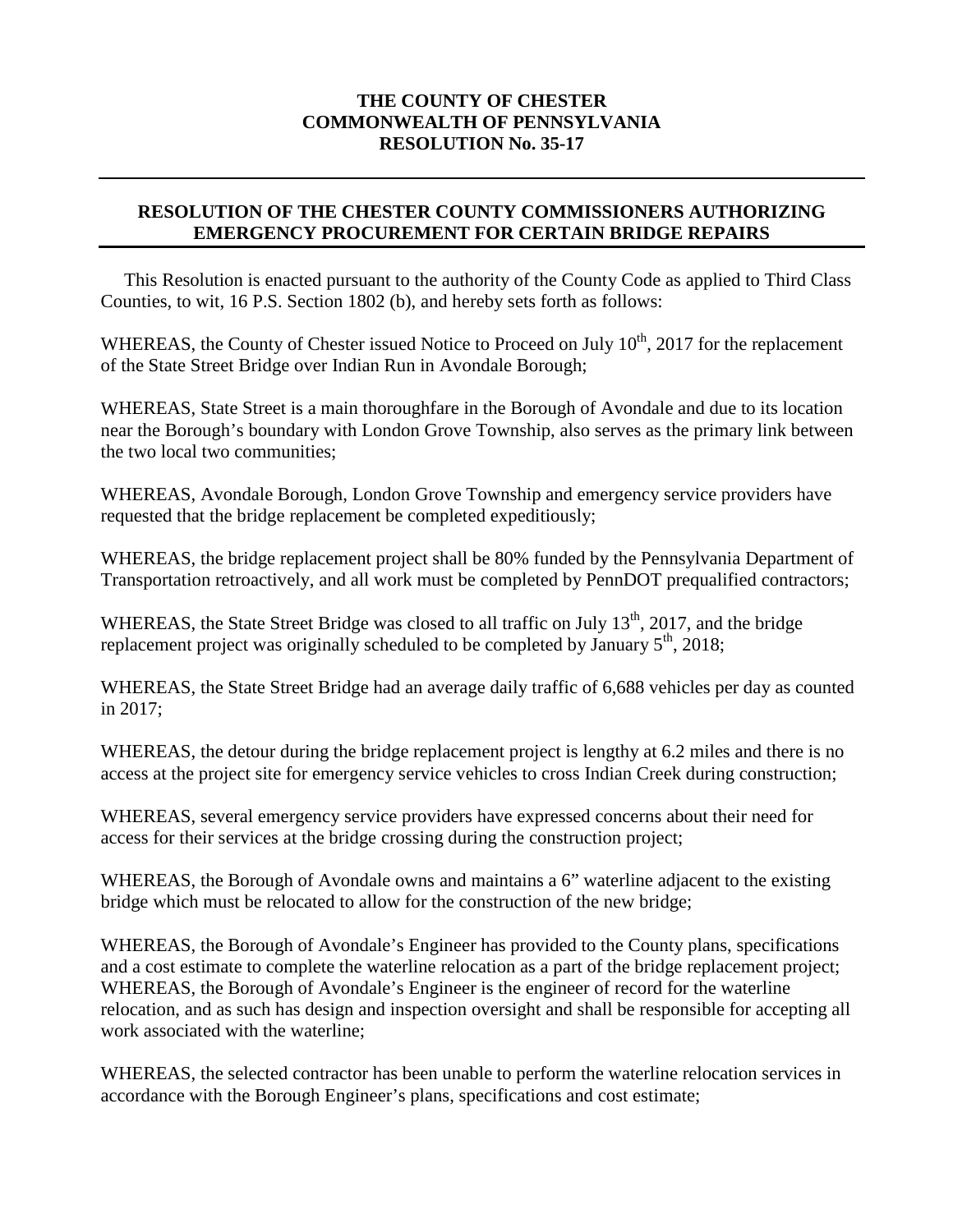#### **THE COUNTY OF CHESTER COMMONWEALTH OF PENNSYLVANIA RESOLUTION No. 35-17**

#### **RESOLUTION OF THE CHESTER COUNTY COMMISSIONERS AUTHORIZING EMERGENCY PROCUREMENT FOR CERTAIN BRIDGE REPAIRS**

 This Resolution is enacted pursuant to the authority of the County Code as applied to Third Class Counties, to wit, 16 P.S. Section 1802 (b), and hereby sets forth as follows:

WHEREAS, the County of Chester issued Notice to Proceed on July 10<sup>th</sup>, 2017 for the replacement of the State Street Bridge over Indian Run in Avondale Borough;

WHEREAS, State Street is a main thoroughfare in the Borough of Avondale and due to its location near the Borough's boundary with London Grove Township, also serves as the primary link between the two local two communities;

WHEREAS, Avondale Borough, London Grove Township and emergency service providers have requested that the bridge replacement be completed expeditiously;

WHEREAS, the bridge replacement project shall be 80% funded by the Pennsylvania Department of Transportation retroactively, and all work must be completed by PennDOT prequalified contractors;

WHEREAS, the State Street Bridge was closed to all traffic on July  $13<sup>th</sup>$ , 2017, and the bridge replacement project was originally scheduled to be completed by January  $5<sup>th</sup>$ , 2018;

WHEREAS, the State Street Bridge had an average daily traffic of 6,688 vehicles per day as counted in 2017;

WHEREAS, the detour during the bridge replacement project is lengthy at 6.2 miles and there is no access at the project site for emergency service vehicles to cross Indian Creek during construction;

WHEREAS, several emergency service providers have expressed concerns about their need for access for their services at the bridge crossing during the construction project;

WHEREAS, the Borough of Avondale owns and maintains a 6" waterline adjacent to the existing bridge which must be relocated to allow for the construction of the new bridge;

WHEREAS, the Borough of Avondale's Engineer has provided to the County plans, specifications and a cost estimate to complete the waterline relocation as a part of the bridge replacement project; WHEREAS, the Borough of Avondale's Engineer is the engineer of record for the waterline relocation, and as such has design and inspection oversight and shall be responsible for accepting all work associated with the waterline;

WHEREAS, the selected contractor has been unable to perform the waterline relocation services in accordance with the Borough Engineer's plans, specifications and cost estimate;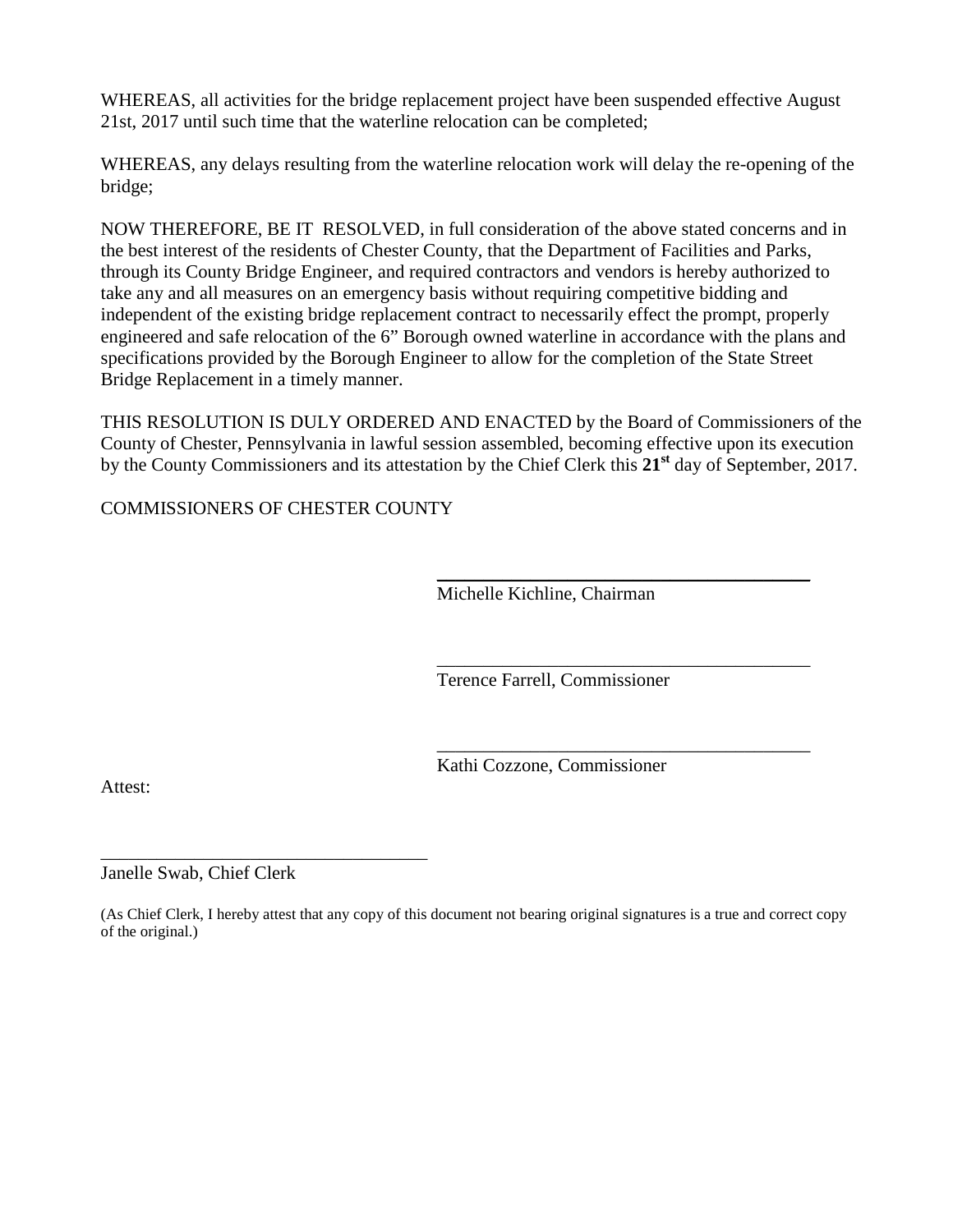WHEREAS, all activities for the bridge replacement project have been suspended effective August 21st, 2017 until such time that the waterline relocation can be completed;

WHEREAS, any delays resulting from the waterline relocation work will delay the re-opening of the bridge;

NOW THEREFORE, BE IT RESOLVED, in full consideration of the above stated concerns and in the best interest of the residents of Chester County, that the Department of Facilities and Parks, through its County Bridge Engineer, and required contractors and vendors is hereby authorized to take any and all measures on an emergency basis without requiring competitive bidding and independent of the existing bridge replacement contract to necessarily effect the prompt, properly engineered and safe relocation of the 6" Borough owned waterline in accordance with the plans and specifications provided by the Borough Engineer to allow for the completion of the State Street Bridge Replacement in a timely manner.

THIS RESOLUTION IS DULY ORDERED AND ENACTED by the Board of Commissioners of the County of Chester, Pennsylvania in lawful session assembled, becoming effective upon its execution by the County Commissioners and its attestation by the Chief Clerk this **21st** day of September, 2017.

COMMISSIONERS OF CHESTER COUNTY

Michelle Kichline, Chairman

 $\overline{\phantom{a}}$  , and the set of the set of the set of the set of the set of the set of the set of the set of the set of the set of the set of the set of the set of the set of the set of the set of the set of the set of the s

\_\_\_\_\_\_\_\_\_\_\_\_\_\_\_\_\_\_\_\_\_\_\_\_\_\_\_\_\_\_\_\_\_\_\_\_\_\_\_\_

\_\_\_\_\_\_\_\_\_\_\_\_\_\_\_\_\_\_\_\_\_\_\_\_\_\_\_\_\_\_\_\_\_\_\_\_\_\_\_\_

Terence Farrell, Commissioner

Kathi Cozzone, Commissioner

Attest:

Janelle Swab, Chief Clerk

\_\_\_\_\_\_\_\_\_\_\_\_\_\_\_\_\_\_\_\_\_\_\_\_\_\_\_\_\_\_\_\_\_\_\_

(As Chief Clerk, I hereby attest that any copy of this document not bearing original signatures is a true and correct copy of the original.)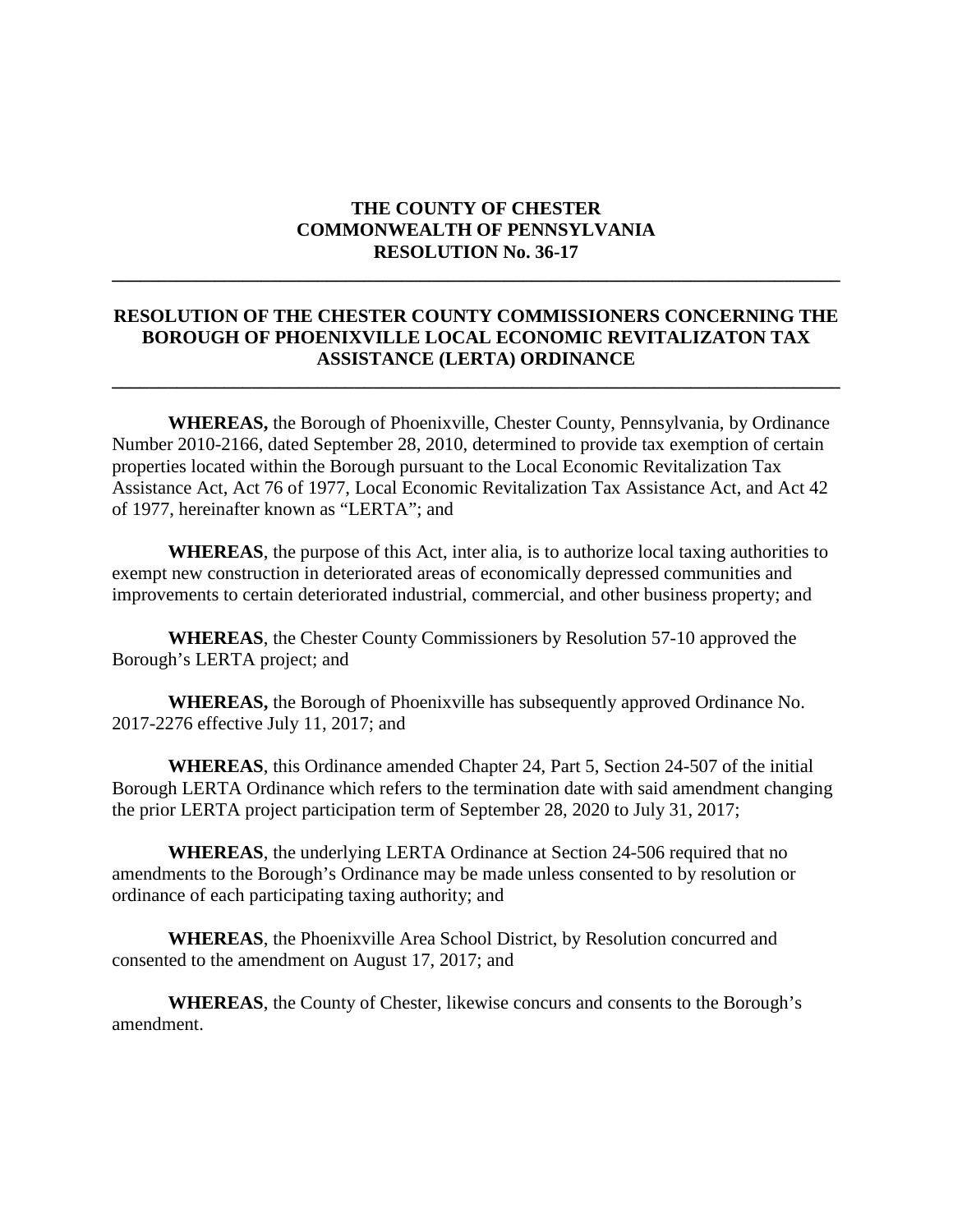#### **THE COUNTY OF CHESTER COMMONWEALTH OF PENNSYLVANIA RESOLUTION No. 36-17**

**\_\_\_\_\_\_\_\_\_\_\_\_\_\_\_\_\_\_\_\_\_\_\_\_\_\_\_\_\_\_\_\_\_\_\_\_\_\_\_\_\_\_\_\_\_\_\_\_\_\_\_\_\_\_\_\_\_\_\_\_\_\_\_\_\_\_\_\_\_\_\_\_\_\_\_\_\_\_** 

#### **RESOLUTION OF THE CHESTER COUNTY COMMISSIONERS CONCERNING THE BOROUGH OF PHOENIXVILLE LOCAL ECONOMIC REVITALIZATON TAX ASSISTANCE (LERTA) ORDINANCE**

**\_\_\_\_\_\_\_\_\_\_\_\_\_\_\_\_\_\_\_\_\_\_\_\_\_\_\_\_\_\_\_\_\_\_\_\_\_\_\_\_\_\_\_\_\_\_\_\_\_\_\_\_\_\_\_\_\_\_\_\_\_\_\_\_\_\_\_\_\_\_\_\_\_\_\_\_\_\_** 

**WHEREAS,** the Borough of Phoenixville, Chester County, Pennsylvania, by Ordinance Number 2010-2166, dated September 28, 2010, determined to provide tax exemption of certain properties located within the Borough pursuant to the Local Economic Revitalization Tax Assistance Act, Act 76 of 1977, Local Economic Revitalization Tax Assistance Act, and Act 42 of 1977, hereinafter known as "LERTA"; and

**WHEREAS**, the purpose of this Act, inter alia, is to authorize local taxing authorities to exempt new construction in deteriorated areas of economically depressed communities and improvements to certain deteriorated industrial, commercial, and other business property; and

**WHEREAS**, the Chester County Commissioners by Resolution 57-10 approved the Borough's LERTA project; and

**WHEREAS,** the Borough of Phoenixville has subsequently approved Ordinance No. 2017-2276 effective July 11, 2017; and

**WHEREAS**, this Ordinance amended Chapter 24, Part 5, Section 24-507 of the initial Borough LERTA Ordinance which refers to the termination date with said amendment changing the prior LERTA project participation term of September 28, 2020 to July 31, 2017;

**WHEREAS**, the underlying LERTA Ordinance at Section 24-506 required that no amendments to the Borough's Ordinance may be made unless consented to by resolution or ordinance of each participating taxing authority; and

**WHEREAS**, the Phoenixville Area School District, by Resolution concurred and consented to the amendment on August 17, 2017; and

**WHEREAS**, the County of Chester, likewise concurs and consents to the Borough's amendment.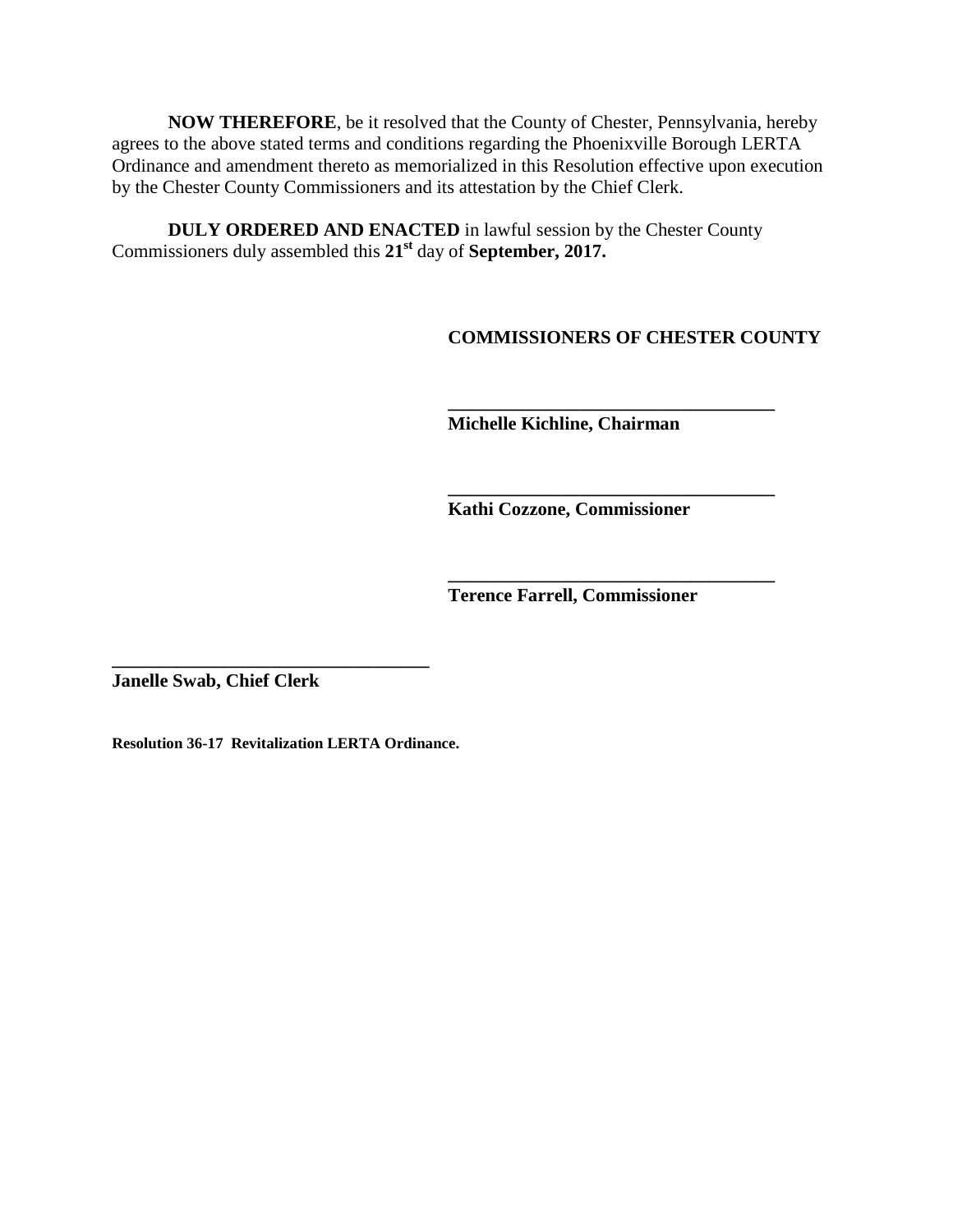**NOW THEREFORE**, be it resolved that the County of Chester, Pennsylvania, hereby agrees to the above stated terms and conditions regarding the Phoenixville Borough LERTA Ordinance and amendment thereto as memorialized in this Resolution effective upon execution by the Chester County Commissioners and its attestation by the Chief Clerk.

**DULY ORDERED AND ENACTED** in lawful session by the Chester County Commissioners duly assembled this **21st** day of **September, 2017.**

**COMMISSIONERS OF CHESTER COUNTY**

**\_\_\_\_\_\_\_\_\_\_\_\_\_\_\_\_\_\_\_\_\_\_\_\_\_\_\_\_\_\_\_\_\_\_\_ Michelle Kichline, Chairman**

**\_\_\_\_\_\_\_\_\_\_\_\_\_\_\_\_\_\_\_\_\_\_\_\_\_\_\_\_\_\_\_\_\_\_\_ Kathi Cozzone, Commissioner** 

**Terence Farrell, Commissioner**

**\_\_\_\_\_\_\_\_\_\_\_\_\_\_\_\_\_\_\_\_\_\_\_\_\_\_\_\_\_\_\_\_\_\_\_**

**Janelle Swab, Chief Clerk**

**Resolution 36-17 Revitalization LERTA Ordinance.**

**\_\_\_\_\_\_\_\_\_\_\_\_\_\_\_\_\_\_\_\_\_\_\_\_\_\_\_\_\_\_\_\_\_\_**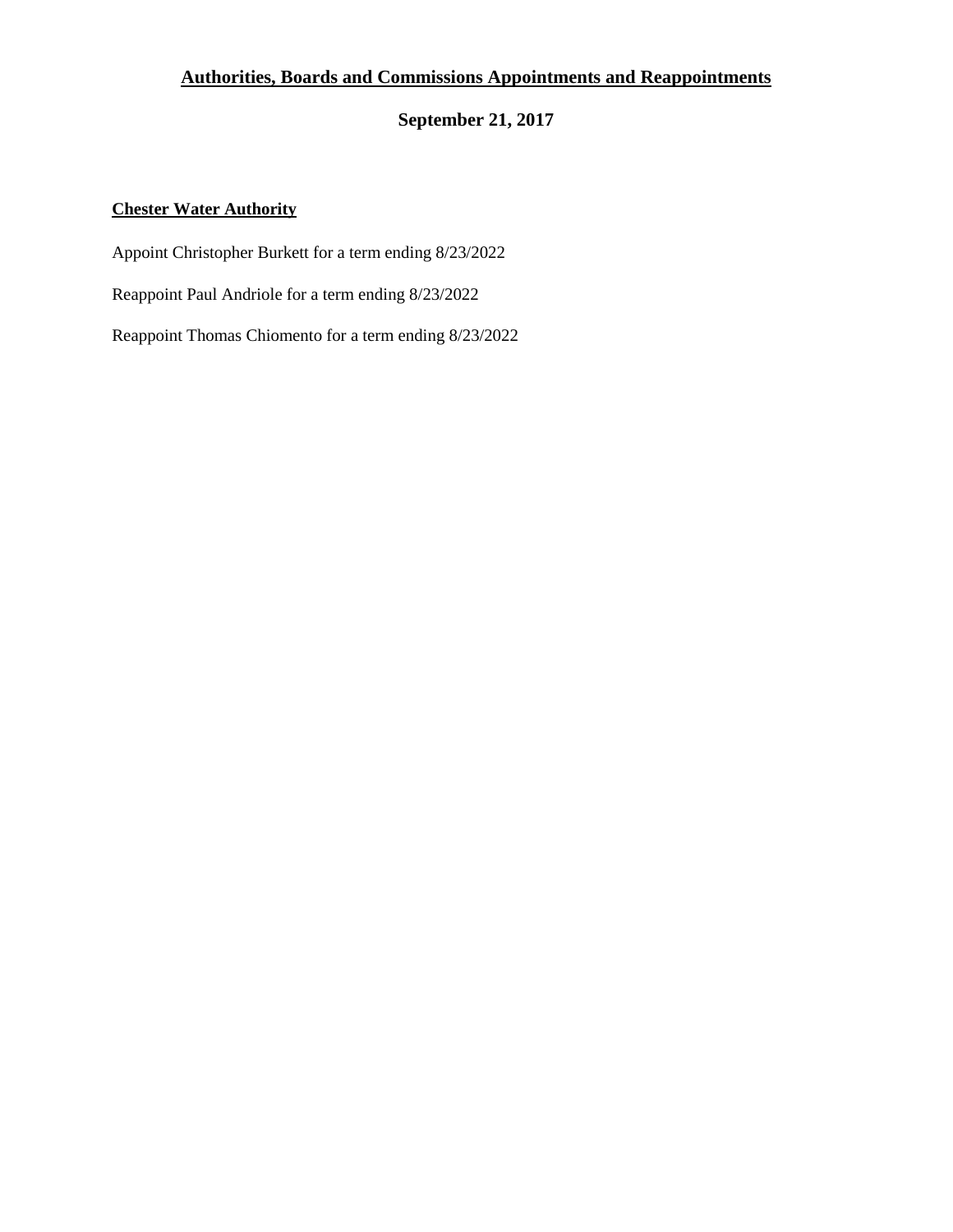#### **Authorities, Boards and Commissions Appointments and Reappointments**

**September 21, 2017** 

#### **Chester Water Authority**

Appoint Christopher Burkett for a term ending 8/23/2022

Reappoint Paul Andriole for a term ending 8/23/2022

Reappoint Thomas Chiomento for a term ending 8/23/2022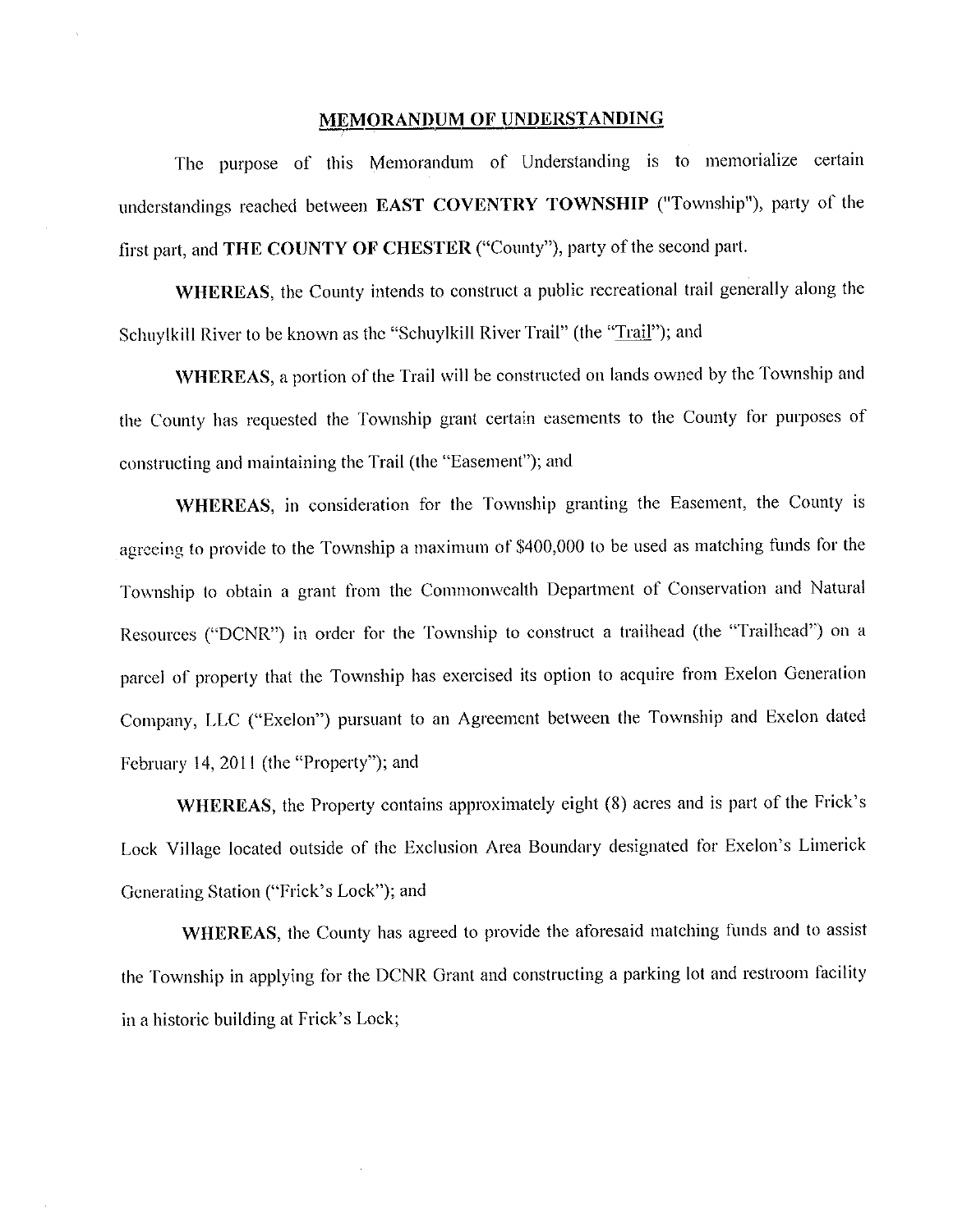#### **MEMORANDUM OF UNDERSTANDING**

The purpose of this Memorandum of Understanding is to memorialize certain understandings reached between EAST COVENTRY TOWNSHIP ("Township"), party of the first part, and THE COUNTY OF CHESTER ("County"), party of the second part.

WHEREAS, the County intends to construct a public recreational trail generally along the Schuylkill River to be known as the "Schuylkill River Trail" (the "Trail"); and

WHEREAS, a portion of the Trail will be constructed on lands owned by the Township and the County has requested the Township grant certain easements to the County for purposes of constructing and maintaining the Trail (the "Easement"); and

WHEREAS, in consideration for the Township granting the Easement, the County is agreeing to provide to the Township a maximum of \$400,000 to be used as matching funds for the Township to obtain a grant from the Commonwealth Department of Conservation and Natural Resources ("DCNR") in order for the Township to construct a trailhead (the "Trailhead") on a parcel of property that the Township has exercised its option to acquire from Exelon Generation Company, LLC ("Exelon") pursuant to an Agreement between the Township and Exelon dated February 14, 2011 (the "Property"); and

WHEREAS, the Property contains approximately eight (8) acres and is part of the Frick's Lock Village located outside of the Exclusion Area Boundary designated for Exelon's Limerick Generating Station ("Frick's Lock"); and

WHEREAS, the County has agreed to provide the aforesaid matching funds and to assist the Township in applying for the DCNR Grant and constructing a parking lot and restroom facility in a historic building at Frick's Lock;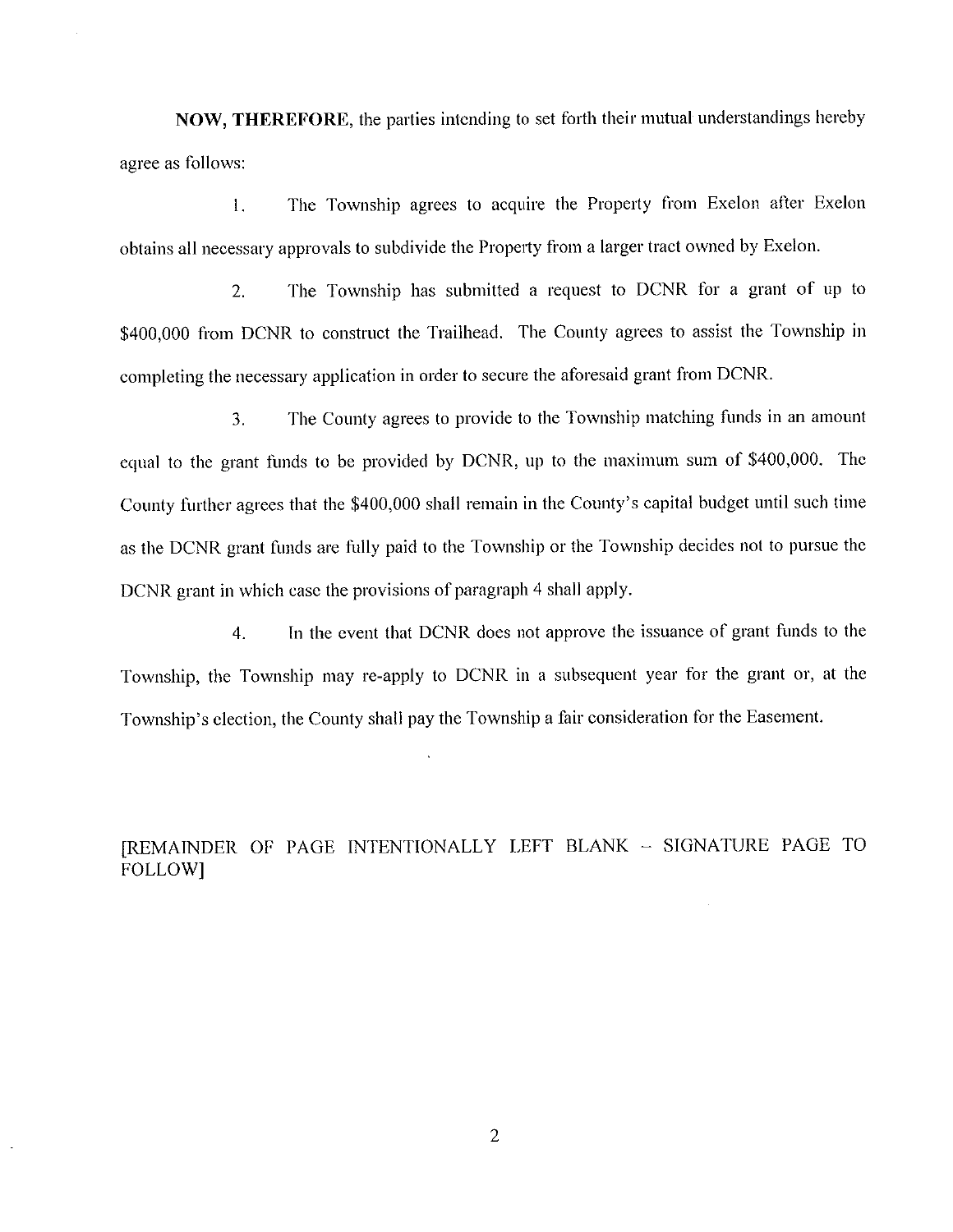NOW, THEREFORE, the parties intending to set forth their mutual understandings hereby agree as follows:

The Township agrees to acquire the Property from Exelon after Exelon  $\overline{1}$ . obtains all necessary approvals to subdivide the Property from a larger tract owned by Exelon.

The Township has submitted a request to DCNR for a grant of up to  $2.$ \$400,000 from DCNR to construct the Trailhead. The County agrees to assist the Township in completing the necessary application in order to secure the aforesaid grant from DCNR.

The County agrees to provide to the Township matching funds in an amount  $\overline{3}$ . equal to the grant funds to be provided by DCNR, up to the maximum sum of \$400,000. The County further agrees that the \$400,000 shall remain in the County's capital budget until such time as the DCNR grant funds are fully paid to the Township or the Township decides not to pursue the DCNR grant in which case the provisions of paragraph 4 shall apply.

In the event that DCNR does not approve the issuance of grant funds to the  $4.$ Township, the Township may re-apply to DCNR in a subsequent year for the grant or, at the Township's election, the County shall pay the Township a fair consideration for the Easement.

[REMAINDER OF PAGE INTENTIONALLY LEFT BLANK - SIGNATURE PAGE TO **FOLLOW1** 

 $\overline{2}$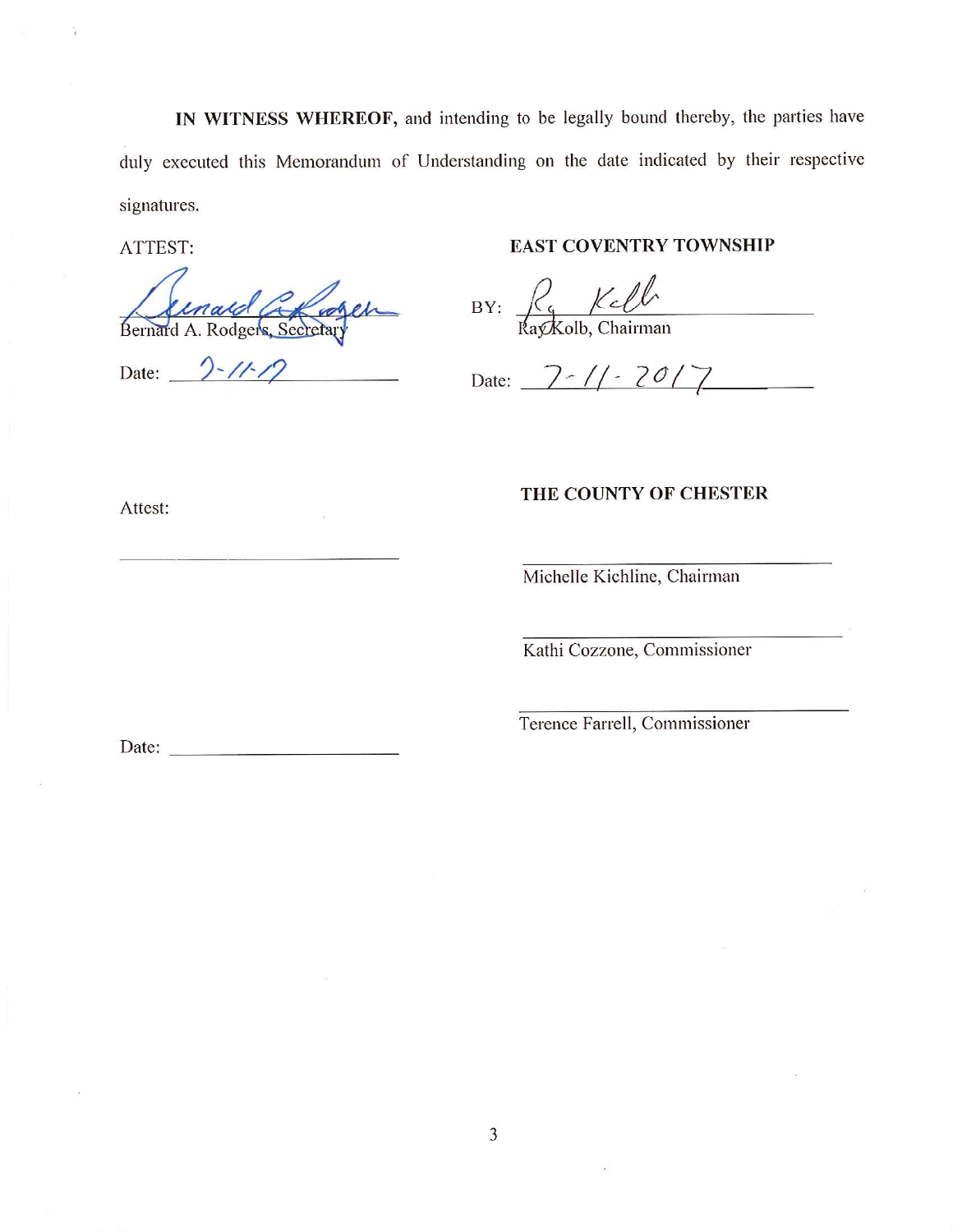IN WITNESS WHEREOF, and intending to be legally bound thereby, the parties have duly executed this Memorandum of Understanding on the date indicated by their respective signatures.

ATTEST:

Bernard Concrete

Date:  $2 - 11 - 12$ 

#### **EAST COVENTRY TOWNSHIP**

 $BY:$   $\frac{R_{c}}{RayKolb, Chairman}$ 

Date:  $7 - 11 - 2017$ 

THE COUNTY OF CHESTER

Attest:

Michelle Kichline, Chairman

Kathi Cozzone, Commissioner

Terence Farrell, Commissioner

Date:  $\qquad \qquad$ 

3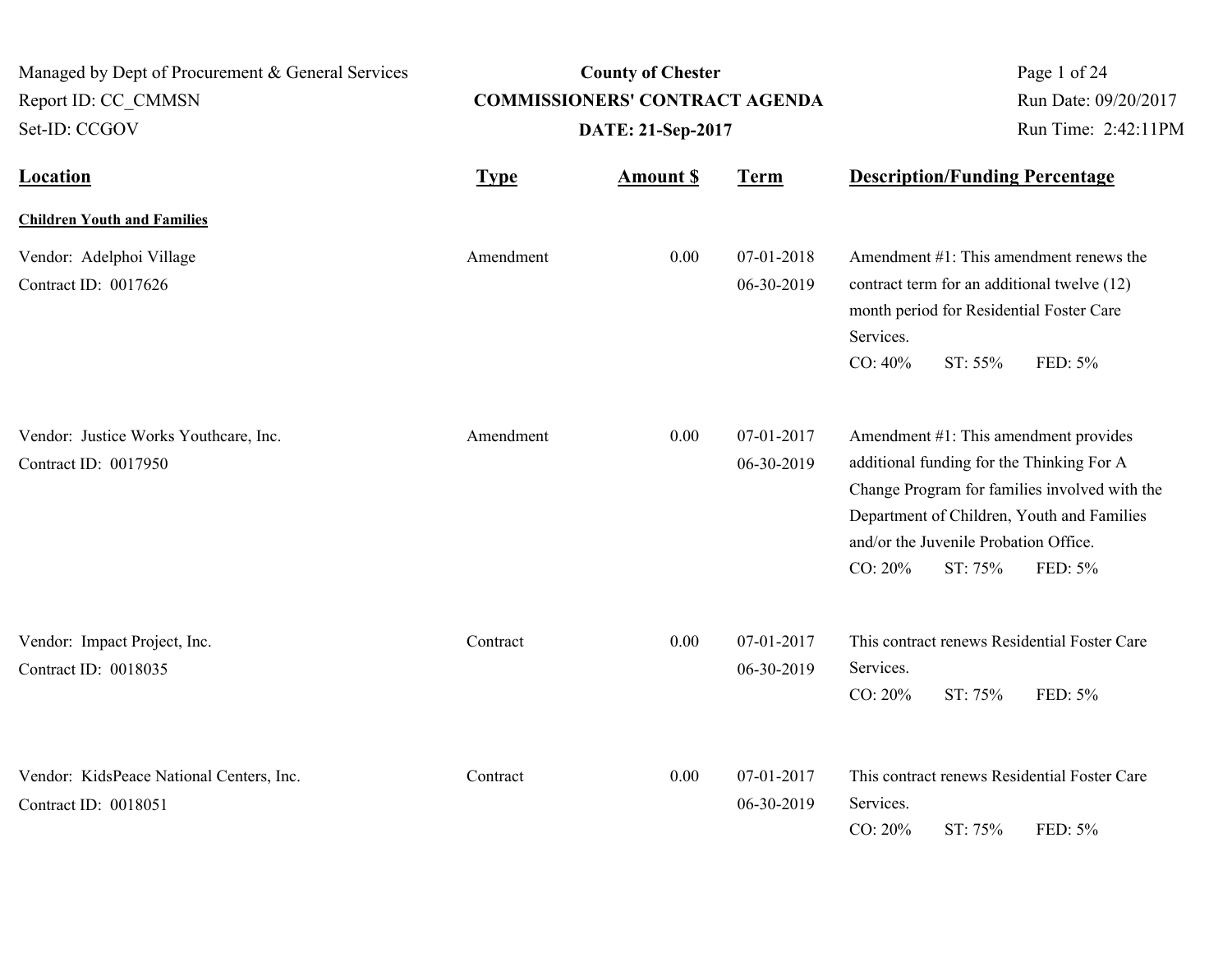| Managed by Dept of Procurement & General Services<br>Report ID: CC CMMSN<br>Set-ID: CCGOV | <b>County of Chester</b><br><b>COMMISSIONERS' CONTRACT AGENDA</b><br>DATE: 21-Sep-2017 |                 |                          | Page 1 of 24<br>Run Date: 09/20/2017<br>Run Time: 2:42:11PM |                                                                                                                                                                                              |
|-------------------------------------------------------------------------------------------|----------------------------------------------------------------------------------------|-----------------|--------------------------|-------------------------------------------------------------|----------------------------------------------------------------------------------------------------------------------------------------------------------------------------------------------|
| <b>Location</b>                                                                           | <b>Type</b>                                                                            | <b>Amount S</b> | <b>Term</b>              |                                                             | <b>Description/Funding Percentage</b>                                                                                                                                                        |
| <b>Children Youth and Families</b>                                                        |                                                                                        |                 |                          |                                                             |                                                                                                                                                                                              |
| Vendor: Adelphoi Village<br>Contract ID: 0017626                                          | Amendment                                                                              | 0.00            | 07-01-2018<br>06-30-2019 | Services.<br>CO: 40%<br>ST: 55%                             | Amendment $#1$ : This amendment renews the<br>contract term for an additional twelve (12)<br>month period for Residential Foster Care<br>FED: 5%                                             |
| Vendor: Justice Works Youthcare, Inc.<br>Contract ID: 0017950                             | Amendment                                                                              | 0.00            | 07-01-2017<br>06-30-2019 | and/or the Juvenile Probation Office.<br>CO: 20%<br>ST: 75% | Amendment #1: This amendment provides<br>additional funding for the Thinking For A<br>Change Program for families involved with the<br>Department of Children, Youth and Families<br>FED: 5% |
| Vendor: Impact Project, Inc.<br>Contract ID: 0018035                                      | Contract                                                                               | 0.00            | 07-01-2017<br>06-30-2019 | Services.<br>CO: 20%<br>ST: 75%                             | This contract renews Residential Foster Care<br>FED: 5%                                                                                                                                      |
| Vendor: KidsPeace National Centers, Inc.<br>Contract ID: 0018051                          | Contract                                                                               | 0.00            | 07-01-2017<br>06-30-2019 | Services.<br>CO: 20%<br>ST: 75%                             | This contract renews Residential Foster Care<br>FED: 5%                                                                                                                                      |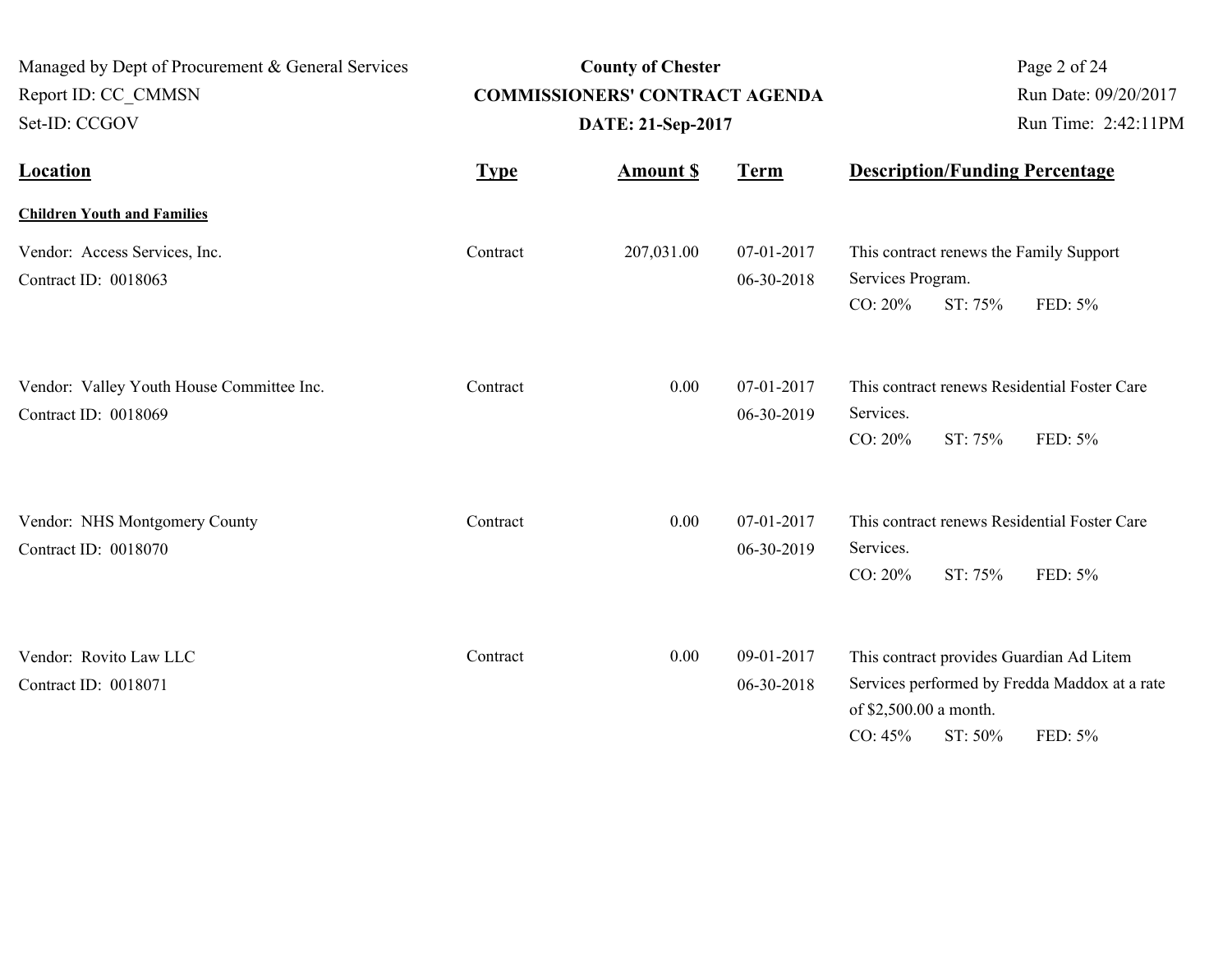| Managed by Dept of Procurement & General Services<br>Report ID: CC_CMMSN<br>Set-ID: CCGOV |             | <b>County of Chester</b><br><b>COMMISSIONERS' CONTRACT AGENDA</b><br>DATE: 21-Sep-2017 | Page 2 of 24<br>Run Date: 09/20/2017<br>Run Time: 2:42:11PM |                                                                                          |                                                          |
|-------------------------------------------------------------------------------------------|-------------|----------------------------------------------------------------------------------------|-------------------------------------------------------------|------------------------------------------------------------------------------------------|----------------------------------------------------------|
| <b>Location</b>                                                                           | <b>Type</b> | <b>Amount S</b>                                                                        | <b>Term</b>                                                 | <b>Description/Funding Percentage</b>                                                    |                                                          |
| <b>Children Youth and Families</b>                                                        |             |                                                                                        |                                                             |                                                                                          |                                                          |
| Vendor: Access Services, Inc.<br>Contract ID: 0018063                                     | Contract    | 207,031.00                                                                             | 07-01-2017<br>06-30-2018                                    | This contract renews the Family Support<br>Services Program.<br>CO: 20%<br>ST: 75%       | FED: 5%                                                  |
| Vendor: Valley Youth House Committee Inc.<br>Contract ID: 0018069                         | Contract    | 0.00                                                                                   | 07-01-2017<br>06-30-2019                                    | Services.<br>CO: 20%<br>ST: 75%                                                          | This contract renews Residential Foster Care<br>FED: 5%  |
| Vendor: NHS Montgomery County<br>Contract ID: 0018070                                     | Contract    | 0.00                                                                                   | 07-01-2017<br>06-30-2019                                    | Services.<br>CO: 20%<br>ST: 75%                                                          | This contract renews Residential Foster Care<br>FED: 5%  |
| Vendor: Rovito Law LLC<br>Contract ID: 0018071                                            | Contract    | 0.00                                                                                   | 09-01-2017<br>06-30-2018                                    | This contract provides Guardian Ad Litem<br>of \$2,500.00 a month.<br>CO: 45%<br>ST: 50% | Services performed by Fredda Maddox at a rate<br>FED: 5% |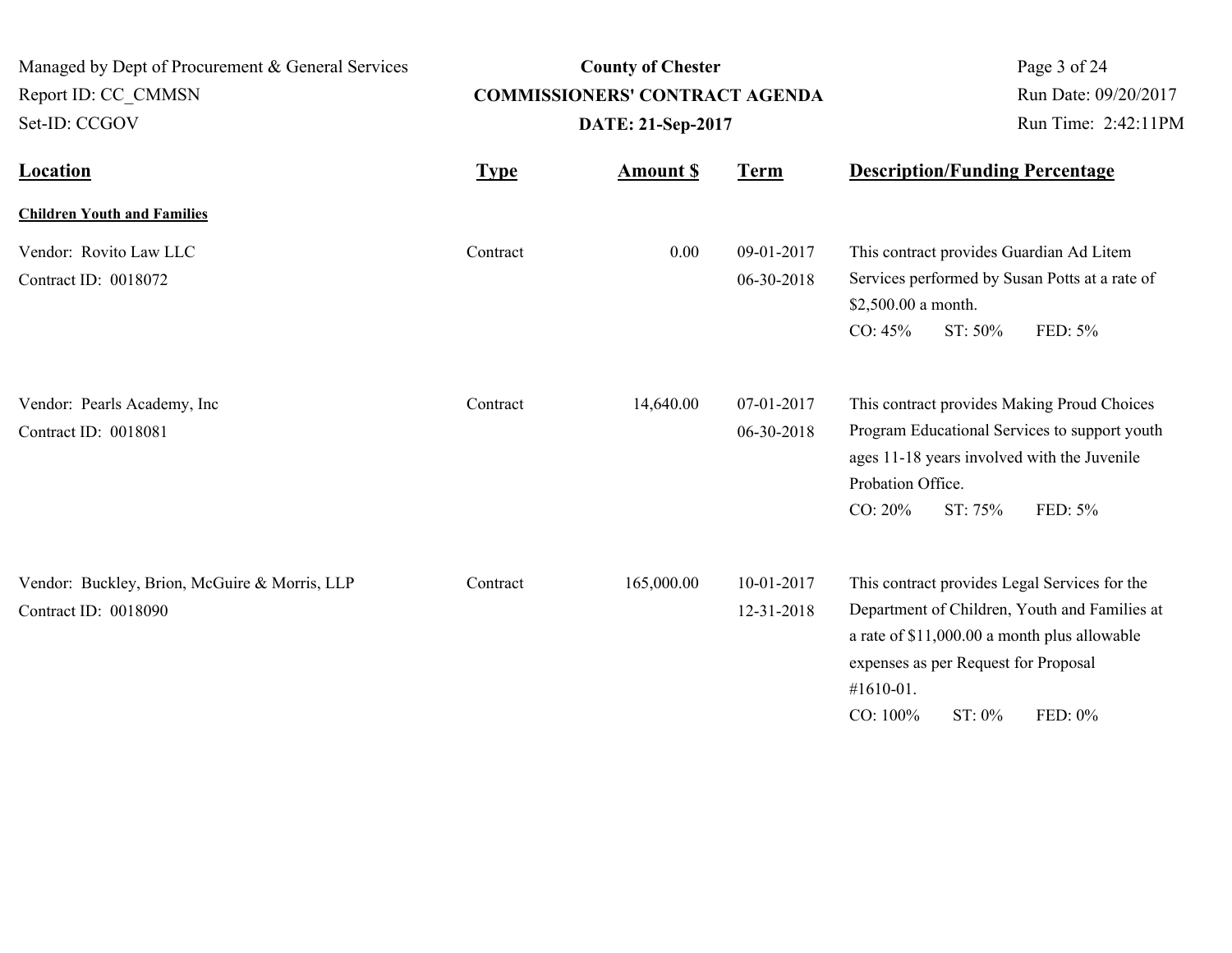| Managed by Dept of Procurement & General Services<br>Report ID: CC CMMSN<br>Set-ID: CCGOV |             | <b>County of Chester</b><br><b>COMMISSIONERS' CONTRACT AGENDA</b><br>DATE: 21-Sep-2017 | Page 3 of 24<br>Run Date: 09/20/2017<br>Run Time: 2:42:11PM |                                                                                                                                                                                                                                      |
|-------------------------------------------------------------------------------------------|-------------|----------------------------------------------------------------------------------------|-------------------------------------------------------------|--------------------------------------------------------------------------------------------------------------------------------------------------------------------------------------------------------------------------------------|
| <b>Location</b>                                                                           | <b>Type</b> | <b>Amount \$</b>                                                                       | <b>Term</b>                                                 | <b>Description/Funding Percentage</b>                                                                                                                                                                                                |
| <b>Children Youth and Families</b>                                                        |             |                                                                                        |                                                             |                                                                                                                                                                                                                                      |
| Vendor: Rovito Law LLC<br>Contract ID: 0018072                                            | Contract    | 0.00                                                                                   | 09-01-2017<br>06-30-2018                                    | This contract provides Guardian Ad Litem<br>Services performed by Susan Potts at a rate of<br>\$2,500.00 a month.<br>CO: 45%<br>ST: 50%<br>FED: 5%                                                                                   |
| Vendor: Pearls Academy, Inc<br>Contract ID: 0018081                                       | Contract    | 14,640.00                                                                              | 07-01-2017<br>06-30-2018                                    | This contract provides Making Proud Choices<br>Program Educational Services to support youth<br>ages 11-18 years involved with the Juvenile<br>Probation Office.<br>CO: 20%<br>ST: 75%<br>FED: 5%                                    |
| Vendor: Buckley, Brion, McGuire & Morris, LLP<br>Contract ID: 0018090                     | Contract    | 165,000.00                                                                             | 10-01-2017<br>12-31-2018                                    | This contract provides Legal Services for the<br>Department of Children, Youth and Families at<br>a rate of \$11,000.00 a month plus allowable<br>expenses as per Request for Proposal<br>#1610-01.<br>CO: 100%<br>ST: 0%<br>FED: 0% |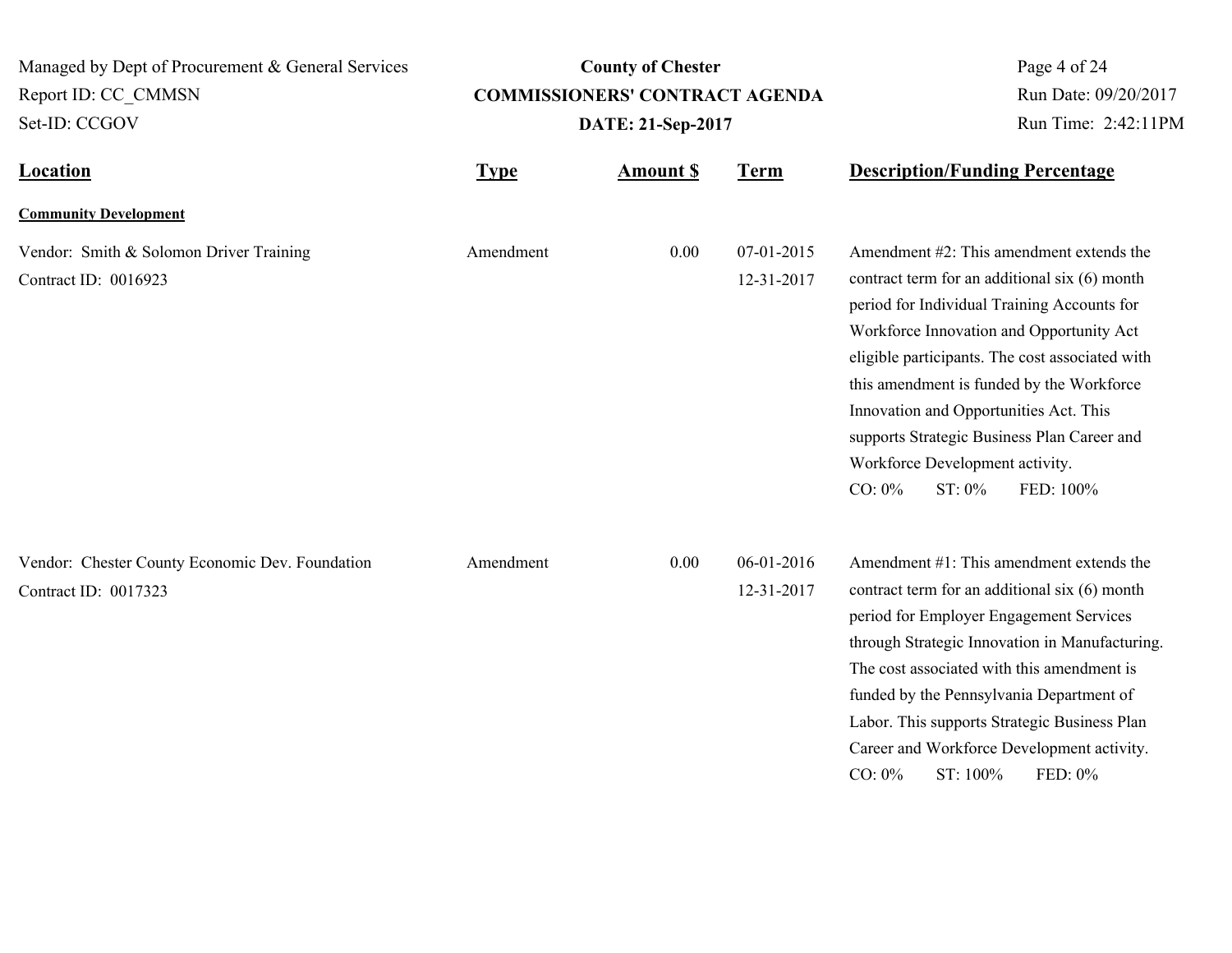| Managed by Dept of Procurement & General Services                       |                   | <b>County of Chester</b>              | Page 4 of 24             |                                                                                                                                                                                                                                                                                                                                                                                                                                                      |  |
|-------------------------------------------------------------------------|-------------------|---------------------------------------|--------------------------|------------------------------------------------------------------------------------------------------------------------------------------------------------------------------------------------------------------------------------------------------------------------------------------------------------------------------------------------------------------------------------------------------------------------------------------------------|--|
| Report ID: CC CMMSN                                                     |                   | <b>COMMISSIONERS' CONTRACT AGENDA</b> | Run Date: 09/20/2017     |                                                                                                                                                                                                                                                                                                                                                                                                                                                      |  |
| Set-ID: CCGOV                                                           | DATE: 21-Sep-2017 |                                       |                          | Run Time: 2:42:11PM                                                                                                                                                                                                                                                                                                                                                                                                                                  |  |
| <b>Location</b>                                                         | <b>Type</b>       | <b>Amount S</b>                       | <b>Term</b>              | <b>Description/Funding Percentage</b>                                                                                                                                                                                                                                                                                                                                                                                                                |  |
| <b>Community Development</b>                                            |                   |                                       |                          |                                                                                                                                                                                                                                                                                                                                                                                                                                                      |  |
| Vendor: Smith & Solomon Driver Training<br>Contract ID: 0016923         | Amendment         | 0.00                                  | 07-01-2015<br>12-31-2017 | Amendment #2: This amendment extends the<br>contract term for an additional six (6) month<br>period for Individual Training Accounts for<br>Workforce Innovation and Opportunity Act<br>eligible participants. The cost associated with<br>this amendment is funded by the Workforce<br>Innovation and Opportunities Act. This<br>supports Strategic Business Plan Career and<br>Workforce Development activity.<br>$CO: 0\%$<br>ST: 0%<br>FED: 100% |  |
| Vendor: Chester County Economic Dev. Foundation<br>Contract ID: 0017323 | Amendment         | 0.00                                  | 06-01-2016<br>12-31-2017 | Amendment #1: This amendment extends the<br>contract term for an additional six (6) month<br>period for Employer Engagement Services<br>through Strategic Innovation in Manufacturing.<br>The cost associated with this amendment is<br>funded by the Pennsylvania Department of<br>Labor. This supports Strategic Business Plan<br>Career and Workforce Development activity.<br>ST: 100%<br>$CO: 0\%$<br>FED: 0%                                   |  |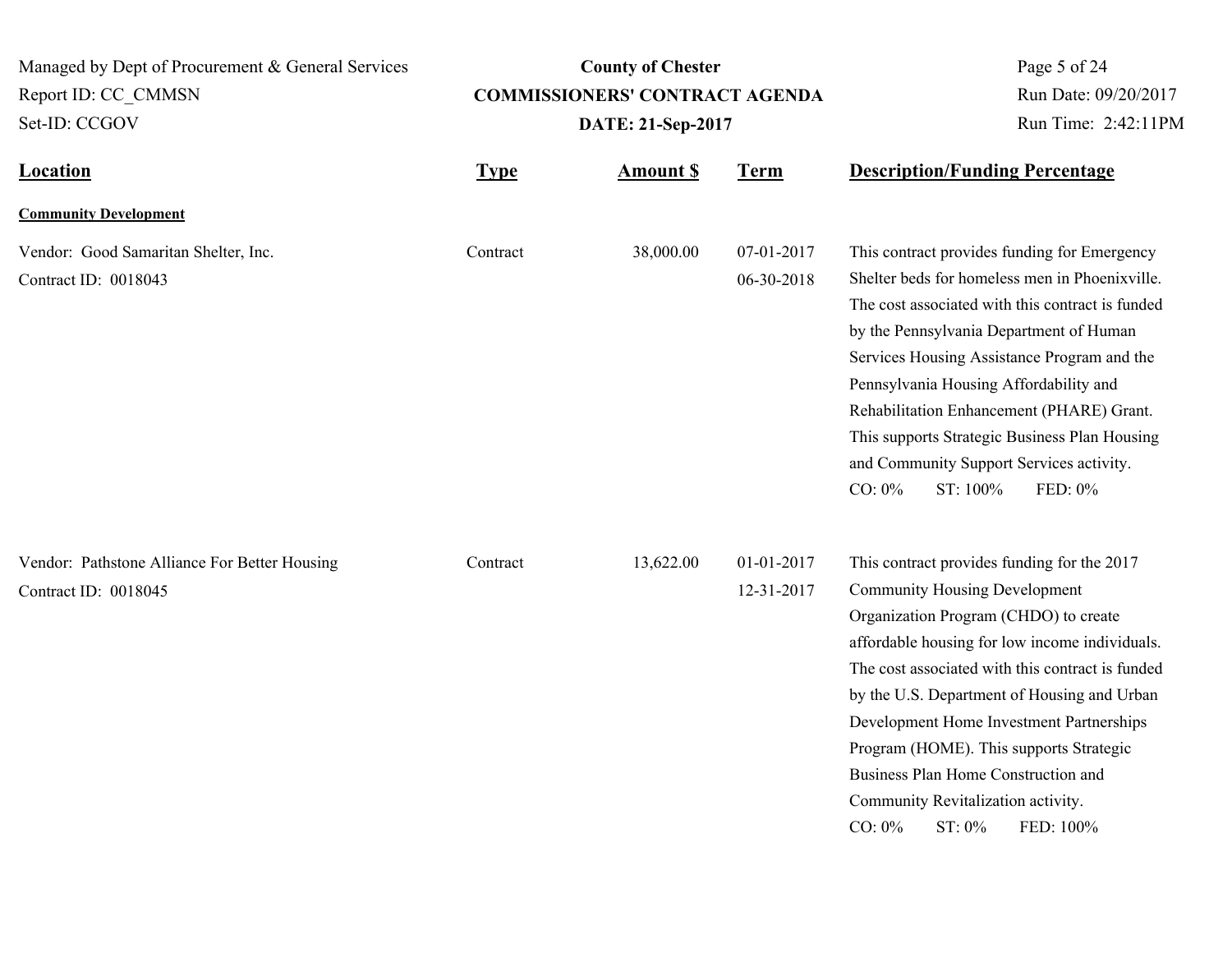**Location Type Type** *Amount \$* **Term Description/Funding Percentage County of Chester COMMISSIONERS' CONTRACT AGENDA** Managed by Dept of Procurement & General Services Set-ID: CCGOV Report ID: CC\_CMMSN Page 5 of 24 **Amount \$ DATE: 21-Sep-2017** Run Date: 09/20/2017 Run Time: 2:42:11PM **Community Development** Vendor: Good Samaritan Shelter, Inc. 38,000.00 07-01-2017 Contract ID: 0018043 06-30-2018 This contract provides funding for Emergency Shelter beds for homeless men in Phoenixville. The cost associated with this contract is funded by the Pennsylvania Department of Human Services Housing Assistance Program and the Pennsylvania Housing Affordability and Rehabilitation Enhancement (PHARE) Grant. This supports Strategic Business Plan Housing and Community Support Services activity. CO: 0% ST: 100% FED: 0% **Contract** Vendor: Pathstone Alliance For Better Housing Contract 13,622.00 01-01-2017 Contract ID: 0018045 12-31-2017 This contract provides funding for the 2017 Community Housing Development Organization Program (CHDO) to create affordable housing for low income individuals. The cost associated with this contract is funded by the U.S. Department of Housing and Urban Development Home Investment Partnerships Program (HOME). This supports Strategic Business Plan Home Construction and Community Revitalization activity. CO: 0% ST: 0% FED: 100% **Contract**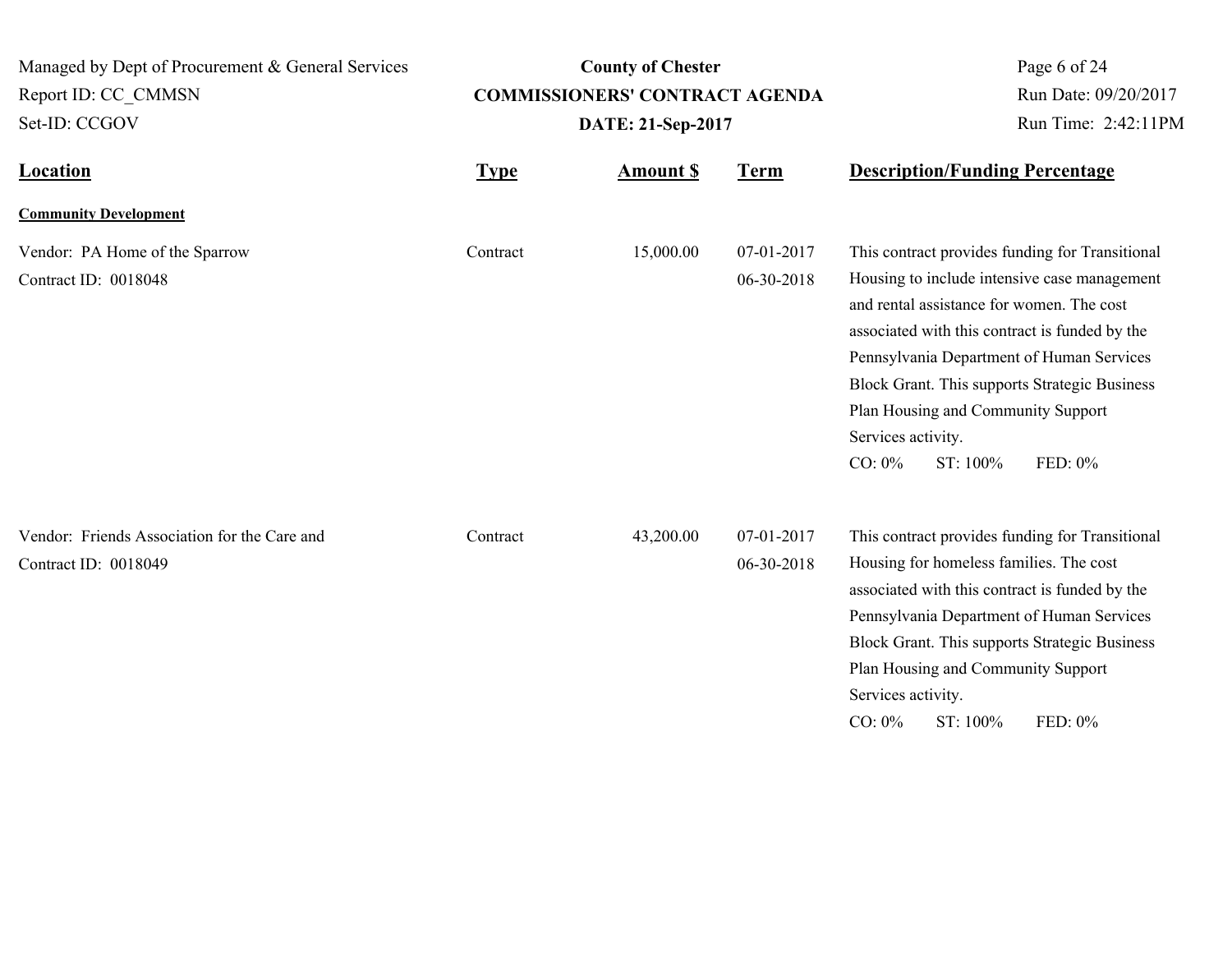| Managed by Dept of Procurement & General Services                    |                                                            | <b>County of Chester</b> | Page 6 of 24             |                                                                                                                                                                                                                                                                                                                                                                                              |
|----------------------------------------------------------------------|------------------------------------------------------------|--------------------------|--------------------------|----------------------------------------------------------------------------------------------------------------------------------------------------------------------------------------------------------------------------------------------------------------------------------------------------------------------------------------------------------------------------------------------|
| Report ID: CC CMMSN                                                  | <b>COMMISSIONERS' CONTRACT AGENDA</b><br>DATE: 21-Sep-2017 |                          |                          | Run Date: 09/20/2017                                                                                                                                                                                                                                                                                                                                                                         |
| Set-ID: CCGOV                                                        |                                                            |                          |                          | Run Time: 2:42:11PM                                                                                                                                                                                                                                                                                                                                                                          |
| <b>Location</b>                                                      | <b>Type</b>                                                | <b>Amount S</b>          | <b>Term</b>              | <b>Description/Funding Percentage</b>                                                                                                                                                                                                                                                                                                                                                        |
| <b>Community Development</b>                                         |                                                            |                          |                          |                                                                                                                                                                                                                                                                                                                                                                                              |
| Vendor: PA Home of the Sparrow<br>Contract ID: 0018048               | Contract                                                   | 15,000.00                | 07-01-2017<br>06-30-2018 | This contract provides funding for Transitional<br>Housing to include intensive case management<br>and rental assistance for women. The cost<br>associated with this contract is funded by the<br>Pennsylvania Department of Human Services<br>Block Grant. This supports Strategic Business<br>Plan Housing and Community Support<br>Services activity.<br>$CO: 0\%$<br>ST: 100%<br>FED: 0% |
| Vendor: Friends Association for the Care and<br>Contract ID: 0018049 | Contract                                                   | 43,200.00                | 07-01-2017<br>06-30-2018 | This contract provides funding for Transitional<br>Housing for homeless families. The cost<br>associated with this contract is funded by the<br>Pennsylvania Department of Human Services<br>Block Grant. This supports Strategic Business<br>Plan Housing and Community Support<br>Services activity.<br>ST: 100%<br>$CO: 0\%$<br>FED: 0%                                                   |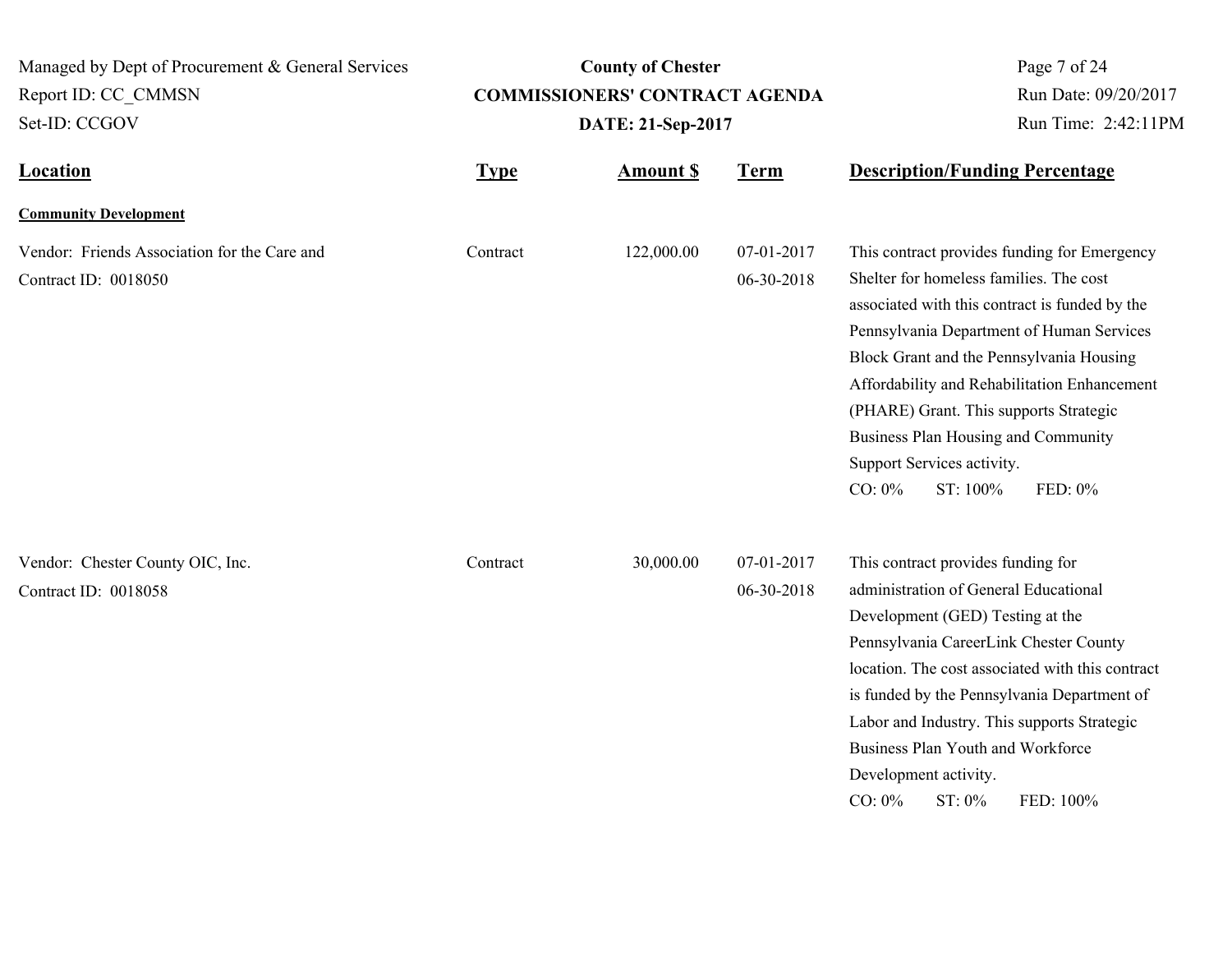| Managed by Dept of Procurement & General Services                    |                   | <b>County of Chester</b>              | Page 7 of 24<br>Run Date: 09/20/2017 |                                                                                                                                                                                                                                                                                                                                                                                                                                       |
|----------------------------------------------------------------------|-------------------|---------------------------------------|--------------------------------------|---------------------------------------------------------------------------------------------------------------------------------------------------------------------------------------------------------------------------------------------------------------------------------------------------------------------------------------------------------------------------------------------------------------------------------------|
| Report ID: CC CMMSN                                                  |                   | <b>COMMISSIONERS' CONTRACT AGENDA</b> |                                      |                                                                                                                                                                                                                                                                                                                                                                                                                                       |
| Set-ID: CCGOV                                                        | DATE: 21-Sep-2017 |                                       |                                      | Run Time: 2:42:11PM                                                                                                                                                                                                                                                                                                                                                                                                                   |
| <b>Location</b>                                                      | <b>Type</b>       | <b>Amount \$</b>                      | <b>Term</b>                          | <b>Description/Funding Percentage</b>                                                                                                                                                                                                                                                                                                                                                                                                 |
| <b>Community Development</b>                                         |                   |                                       |                                      |                                                                                                                                                                                                                                                                                                                                                                                                                                       |
| Vendor: Friends Association for the Care and<br>Contract ID: 0018050 | Contract          | 122,000.00                            | 07-01-2017<br>06-30-2018             | This contract provides funding for Emergency<br>Shelter for homeless families. The cost<br>associated with this contract is funded by the<br>Pennsylvania Department of Human Services<br>Block Grant and the Pennsylvania Housing<br>Affordability and Rehabilitation Enhancement<br>(PHARE) Grant. This supports Strategic<br>Business Plan Housing and Community<br>Support Services activity.<br>$CO: 0\%$<br>ST: 100%<br>FED: 0% |
| Vendor: Chester County OIC, Inc.<br>Contract ID: 0018058             | Contract          | 30,000.00                             | 07-01-2017<br>06-30-2018             | This contract provides funding for<br>administration of General Educational<br>Development (GED) Testing at the<br>Pennsylvania CareerLink Chester County<br>location. The cost associated with this contract<br>is funded by the Pennsylvania Department of<br>Labor and Industry. This supports Strategic<br>Business Plan Youth and Workforce<br>Development activity.<br>$CO: 0\%$<br>ST: 0%<br>FED: 100%                         |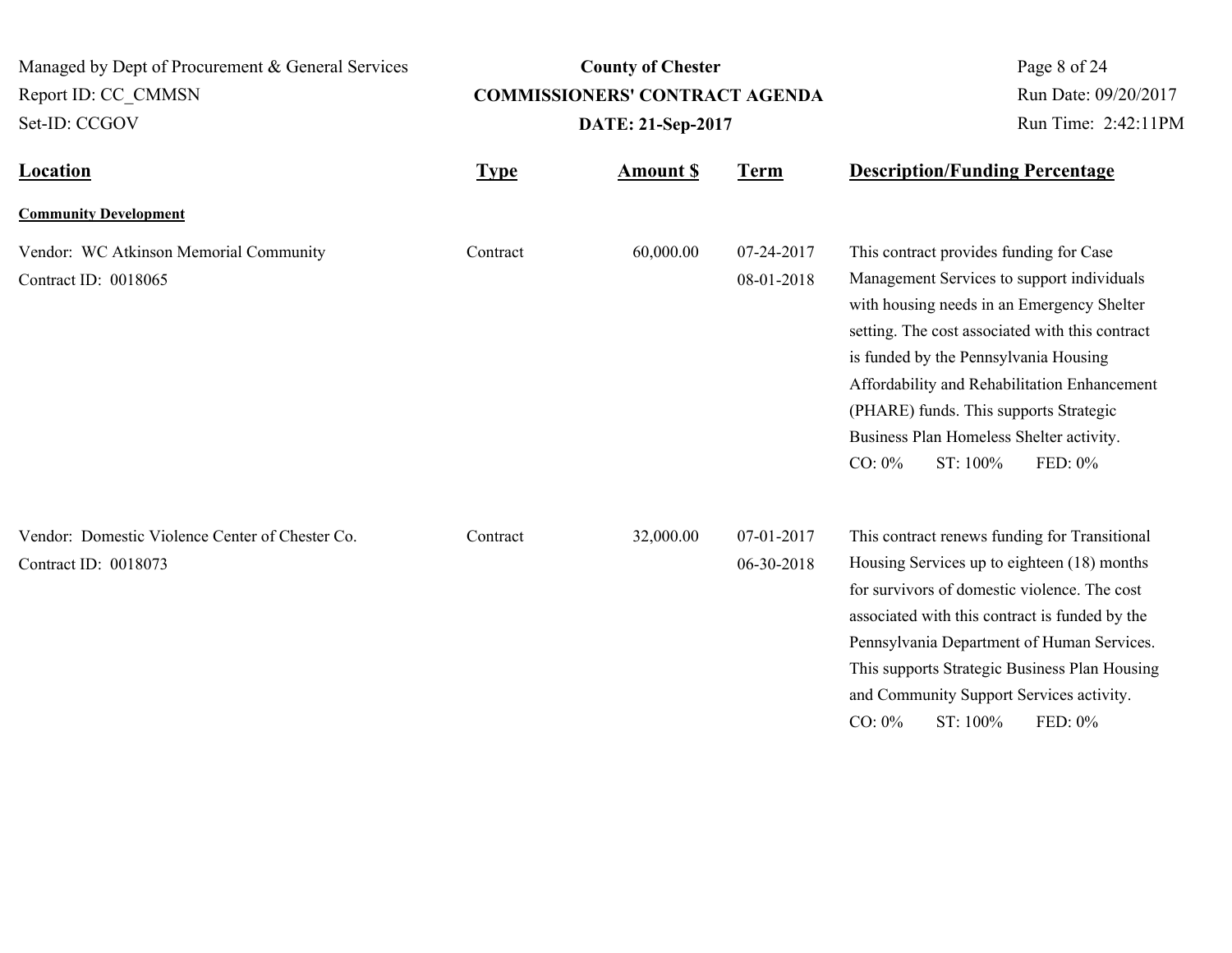| Managed by Dept of Procurement & General Services                       |                                                            | <b>County of Chester</b> | Page 8 of 24             |                                                                                                                                                                                                                                                                                                                                                                                                           |
|-------------------------------------------------------------------------|------------------------------------------------------------|--------------------------|--------------------------|-----------------------------------------------------------------------------------------------------------------------------------------------------------------------------------------------------------------------------------------------------------------------------------------------------------------------------------------------------------------------------------------------------------|
| Report ID: CC CMMSN                                                     | <b>COMMISSIONERS' CONTRACT AGENDA</b><br>DATE: 21-Sep-2017 |                          |                          | Run Date: 09/20/2017<br>Run Time: 2:42:11PM                                                                                                                                                                                                                                                                                                                                                               |
| Set-ID: CCGOV                                                           |                                                            |                          |                          |                                                                                                                                                                                                                                                                                                                                                                                                           |
| Location                                                                | <b>Type</b>                                                | <b>Amount \$</b>         | <b>Term</b>              | <b>Description/Funding Percentage</b>                                                                                                                                                                                                                                                                                                                                                                     |
| <b>Community Development</b>                                            |                                                            |                          |                          |                                                                                                                                                                                                                                                                                                                                                                                                           |
| Vendor: WC Atkinson Memorial Community<br>Contract ID: 0018065          | Contract                                                   | 60,000.00                | 07-24-2017<br>08-01-2018 | This contract provides funding for Case<br>Management Services to support individuals<br>with housing needs in an Emergency Shelter<br>setting. The cost associated with this contract<br>is funded by the Pennsylvania Housing<br>Affordability and Rehabilitation Enhancement<br>(PHARE) funds. This supports Strategic<br>Business Plan Homeless Shelter activity.<br>ST: 100%<br>$CO: 0\%$<br>FED: 0% |
| Vendor: Domestic Violence Center of Chester Co.<br>Contract ID: 0018073 | Contract                                                   | 32,000.00                | 07-01-2017<br>06-30-2018 | This contract renews funding for Transitional<br>Housing Services up to eighteen (18) months<br>for survivors of domestic violence. The cost<br>associated with this contract is funded by the<br>Pennsylvania Department of Human Services.<br>This supports Strategic Business Plan Housing<br>and Community Support Services activity.<br>ST: 100%<br>$CO: 0\%$<br>FED: 0%                             |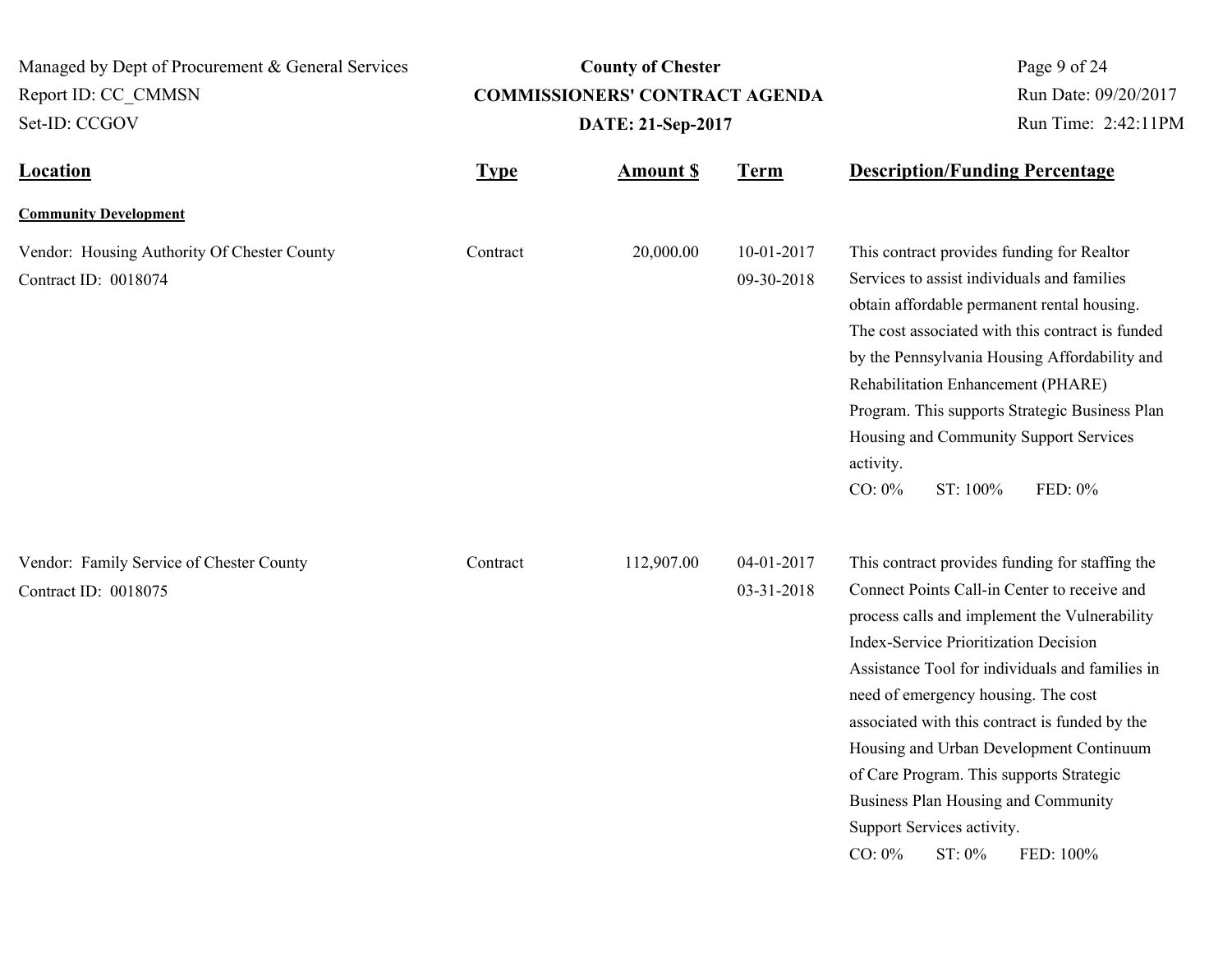| Managed by Dept of Procurement & General Services<br><b>County of Chester</b><br><b>COMMISSIONERS' CONTRACT AGENDA</b> |             |                   | Page 9 of 24             |                                                                                                                                                                                                                                                                                                                                                                                                                                                                                                                                              |  |
|------------------------------------------------------------------------------------------------------------------------|-------------|-------------------|--------------------------|----------------------------------------------------------------------------------------------------------------------------------------------------------------------------------------------------------------------------------------------------------------------------------------------------------------------------------------------------------------------------------------------------------------------------------------------------------------------------------------------------------------------------------------------|--|
| Report ID: CC CMMSN<br>Set-ID: CCGOV                                                                                   |             | DATE: 21-Sep-2017 |                          | Run Date: 09/20/2017<br>Run Time: 2:42:11PM                                                                                                                                                                                                                                                                                                                                                                                                                                                                                                  |  |
| <b>Location</b>                                                                                                        | <b>Type</b> | <b>Amount S</b>   | <b>Term</b>              | <b>Description/Funding Percentage</b>                                                                                                                                                                                                                                                                                                                                                                                                                                                                                                        |  |
| <b>Community Development</b>                                                                                           |             |                   |                          |                                                                                                                                                                                                                                                                                                                                                                                                                                                                                                                                              |  |
| Vendor: Housing Authority Of Chester County<br>Contract ID: 0018074                                                    | Contract    | 20,000.00         | 10-01-2017<br>09-30-2018 | This contract provides funding for Realtor<br>Services to assist individuals and families<br>obtain affordable permanent rental housing.<br>The cost associated with this contract is funded<br>by the Pennsylvania Housing Affordability and<br>Rehabilitation Enhancement (PHARE)<br>Program. This supports Strategic Business Plan<br>Housing and Community Support Services<br>activity.<br>$CO: 0\%$<br>ST: 100%<br>FED: 0%                                                                                                             |  |
| Vendor: Family Service of Chester County<br>Contract ID: 0018075                                                       | Contract    | 112,907.00        | 04-01-2017<br>03-31-2018 | This contract provides funding for staffing the<br>Connect Points Call-in Center to receive and<br>process calls and implement the Vulnerability<br><b>Index-Service Prioritization Decision</b><br>Assistance Tool for individuals and families in<br>need of emergency housing. The cost<br>associated with this contract is funded by the<br>Housing and Urban Development Continuum<br>of Care Program. This supports Strategic<br>Business Plan Housing and Community<br>Support Services activity.<br>ST: 0%<br>$CO: 0\%$<br>FED: 100% |  |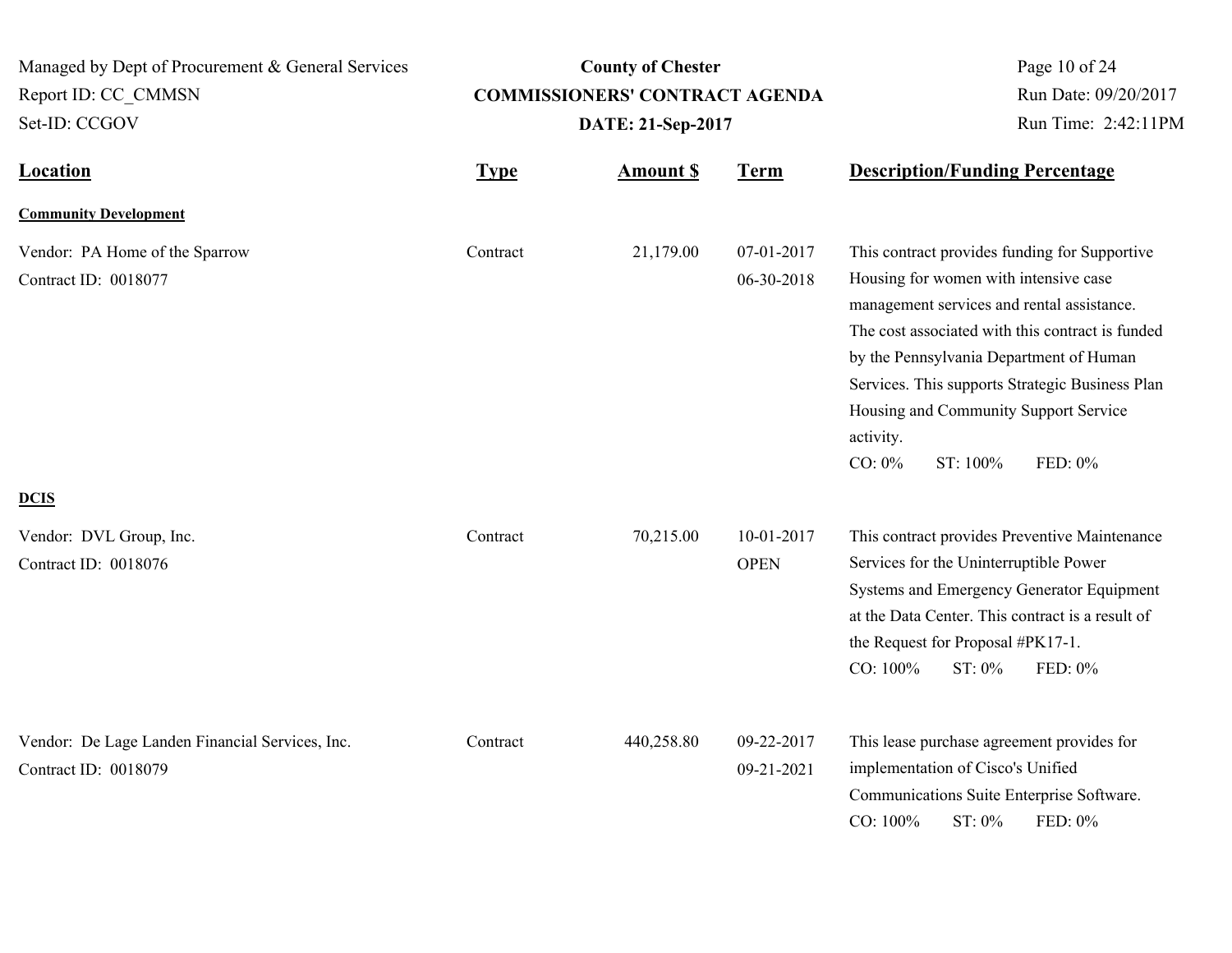| Managed by Dept of Procurement & General Services<br>Report ID: CC CMMSN<br>Set-ID: CCGOV | <b>County of Chester</b><br><b>COMMISSIONERS' CONTRACT AGENDA</b><br>DATE: 21-Sep-2017 |                  |                           | Page 10 of 24<br>Run Date: 09/20/2017<br>Run Time: 2:42:11PM                                                                                                                                                                                                                                                                                                                     |  |
|-------------------------------------------------------------------------------------------|----------------------------------------------------------------------------------------|------------------|---------------------------|----------------------------------------------------------------------------------------------------------------------------------------------------------------------------------------------------------------------------------------------------------------------------------------------------------------------------------------------------------------------------------|--|
| <b>Location</b>                                                                           | <b>Type</b>                                                                            | <b>Amount \$</b> | <b>Term</b>               | <b>Description/Funding Percentage</b>                                                                                                                                                                                                                                                                                                                                            |  |
| <b>Community Development</b>                                                              |                                                                                        |                  |                           |                                                                                                                                                                                                                                                                                                                                                                                  |  |
| Vendor: PA Home of the Sparrow<br>Contract ID: 0018077                                    | Contract                                                                               | 21,179.00        | 07-01-2017<br>06-30-2018  | This contract provides funding for Supportive<br>Housing for women with intensive case<br>management services and rental assistance.<br>The cost associated with this contract is funded<br>by the Pennsylvania Department of Human<br>Services. This supports Strategic Business Plan<br>Housing and Community Support Service<br>activity.<br>$CO: 0\%$<br>ST: 100%<br>FED: 0% |  |
| <b>DCIS</b><br>Vendor: DVL Group, Inc.<br>Contract ID: 0018076                            | Contract                                                                               | 70,215.00        | 10-01-2017<br><b>OPEN</b> | This contract provides Preventive Maintenance<br>Services for the Uninterruptible Power<br>Systems and Emergency Generator Equipment<br>at the Data Center. This contract is a result of<br>the Request for Proposal #PK17-1.<br>CO: 100%<br>ST: 0%<br>FED: 0%                                                                                                                   |  |
| Vendor: De Lage Landen Financial Services, Inc.<br>Contract ID: 0018079                   | Contract                                                                               | 440,258.80       | 09-22-2017<br>09-21-2021  | This lease purchase agreement provides for<br>implementation of Cisco's Unified<br>Communications Suite Enterprise Software.<br>CO: 100%<br>ST: 0%<br>FED: 0%                                                                                                                                                                                                                    |  |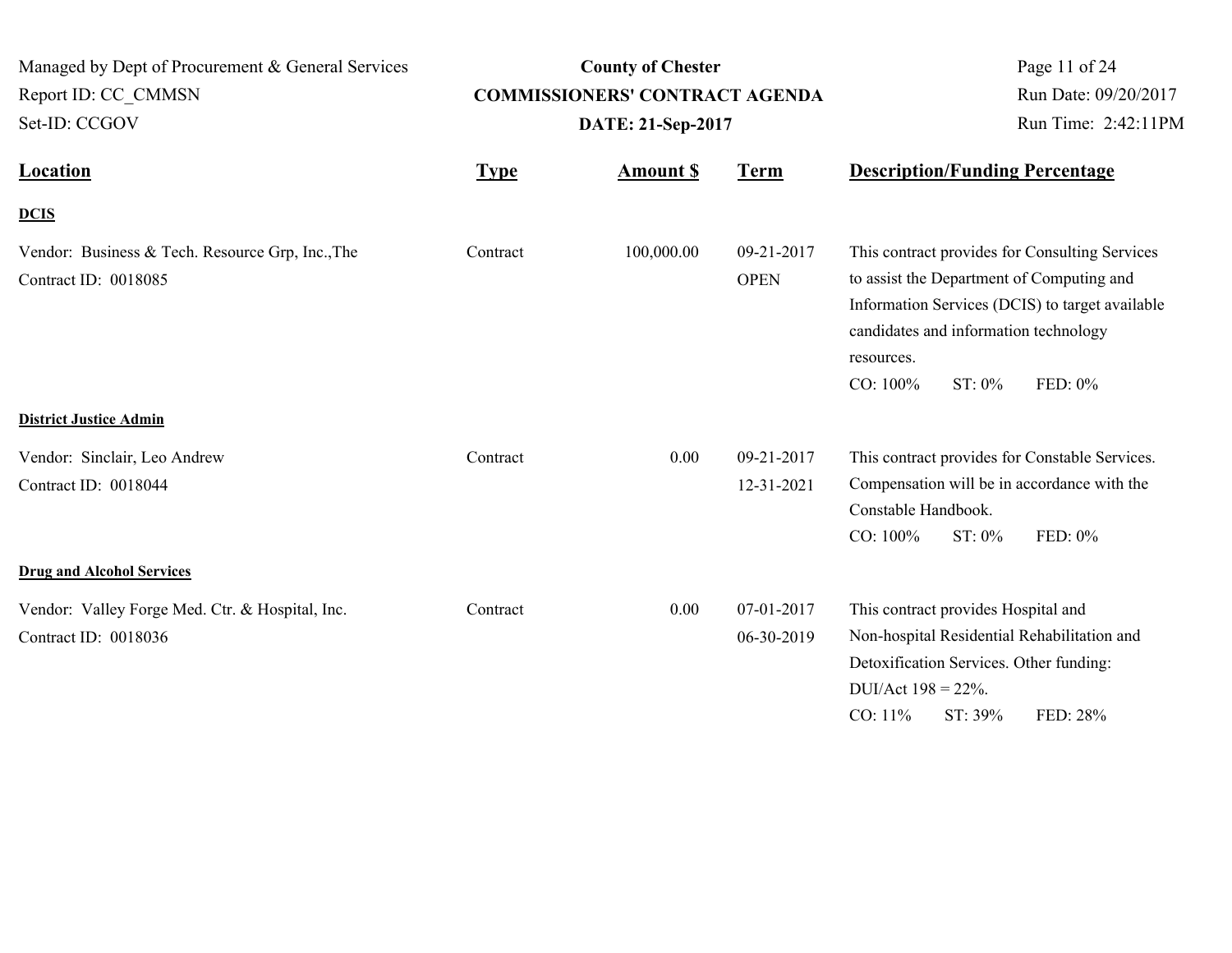| Managed by Dept of Procurement & General Services                        |             | <b>County of Chester</b>              |                           | Page 11 of 24                                                                                                                                                                                                                          |  |
|--------------------------------------------------------------------------|-------------|---------------------------------------|---------------------------|----------------------------------------------------------------------------------------------------------------------------------------------------------------------------------------------------------------------------------------|--|
| Report ID: CC_CMMSN                                                      |             | <b>COMMISSIONERS' CONTRACT AGENDA</b> |                           | Run Date: 09/20/2017                                                                                                                                                                                                                   |  |
| Set-ID: CCGOV                                                            |             | DATE: 21-Sep-2017                     |                           | Run Time: 2:42:11PM                                                                                                                                                                                                                    |  |
| <b>Location</b>                                                          | <b>Type</b> | <b>Amount S</b>                       | <b>Term</b>               | <b>Description/Funding Percentage</b>                                                                                                                                                                                                  |  |
| <b>DCIS</b>                                                              |             |                                       |                           |                                                                                                                                                                                                                                        |  |
| Vendor: Business & Tech. Resource Grp, Inc., The<br>Contract ID: 0018085 | Contract    | 100,000.00                            | 09-21-2017<br><b>OPEN</b> | This contract provides for Consulting Services<br>to assist the Department of Computing and<br>Information Services (DCIS) to target available<br>candidates and information technology<br>resources.<br>ST: 0%<br>CO: 100%<br>FED: 0% |  |
| <b>District Justice Admin</b>                                            |             |                                       |                           |                                                                                                                                                                                                                                        |  |
| Vendor: Sinclair, Leo Andrew<br>Contract ID: 0018044                     | Contract    | 0.00                                  | 09-21-2017<br>12-31-2021  | This contract provides for Constable Services.<br>Compensation will be in accordance with the<br>Constable Handbook.<br>CO: 100%<br>ST: 0%<br>FED: 0%                                                                                  |  |
| <b>Drug and Alcohol Services</b>                                         |             |                                       |                           |                                                                                                                                                                                                                                        |  |
| Vendor: Valley Forge Med. Ctr. & Hospital, Inc.<br>Contract ID: 0018036  | Contract    | 0.00                                  | 07-01-2017<br>06-30-2019  | This contract provides Hospital and<br>Non-hospital Residential Rehabilitation and<br>Detoxification Services. Other funding:<br>DUI/Act $198 = 22\%$ .<br>$CO: 11\%$<br>ST: 39%<br>FED: 28%                                           |  |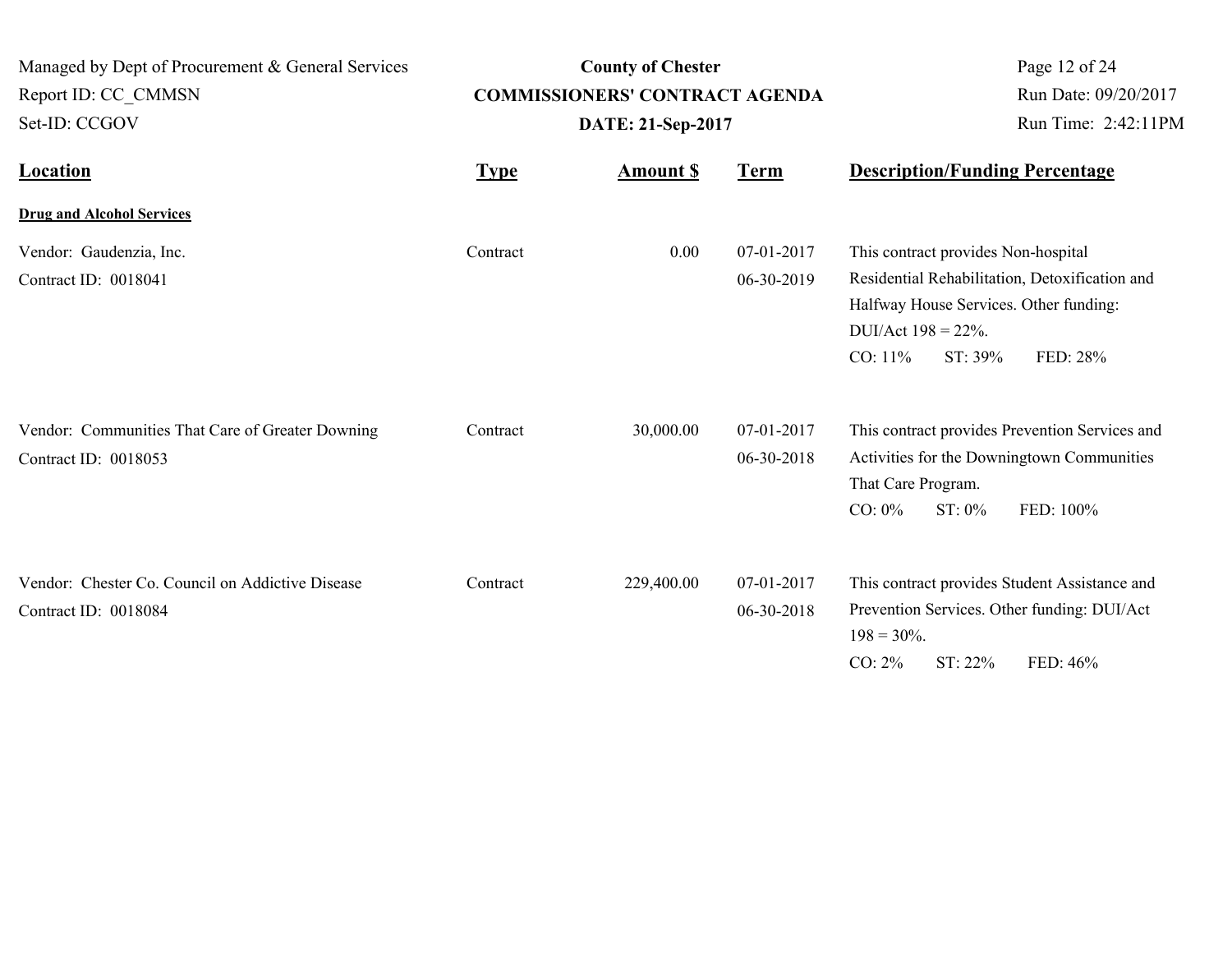| Managed by Dept of Procurement & General Services<br>Report ID: CC CMMSN<br>Set-ID: CCGOV | <b>County of Chester</b><br><b>COMMISSIONERS' CONTRACT AGENDA</b><br>DATE: 21-Sep-2017 |                 |                                | Page 12 of 24<br>Run Date: 09/20/2017<br>Run Time: 2:42:11PM                                                                                                                                   |  |
|-------------------------------------------------------------------------------------------|----------------------------------------------------------------------------------------|-----------------|--------------------------------|------------------------------------------------------------------------------------------------------------------------------------------------------------------------------------------------|--|
| <b>Location</b>                                                                           | <b>Type</b>                                                                            | <b>Amount S</b> | <b>Term</b>                    | <b>Description/Funding Percentage</b>                                                                                                                                                          |  |
| <b>Drug and Alcohol Services</b>                                                          |                                                                                        |                 |                                |                                                                                                                                                                                                |  |
| Vendor: Gaudenzia, Inc.<br>Contract ID: 0018041                                           | Contract                                                                               | 0.00            | $07 - 01 - 2017$<br>06-30-2019 | This contract provides Non-hospital<br>Residential Rehabilitation, Detoxification and<br>Halfway House Services. Other funding:<br>DUI/Act $198 = 22\%$ .<br>CO: 11%<br>$ST: 39\%$<br>FED: 28% |  |
| Vendor: Communities That Care of Greater Downing<br>Contract ID: 0018053                  | Contract                                                                               | 30,000.00       | 07-01-2017<br>06-30-2018       | This contract provides Prevention Services and<br>Activities for the Downingtown Communities<br>That Care Program.<br>$CO: 0\%$<br>$ST: 0\%$<br>FED: 100%                                      |  |
| Vendor: Chester Co. Council on Addictive Disease<br>Contract ID: 0018084                  | Contract                                                                               | 229,400.00      | 07-01-2017<br>06-30-2018       | This contract provides Student Assistance and<br>Prevention Services. Other funding: DUI/Act<br>$198 = 30\%$ .<br>$CO: 2\%$<br>ST: 22%<br>FED: 46%                                             |  |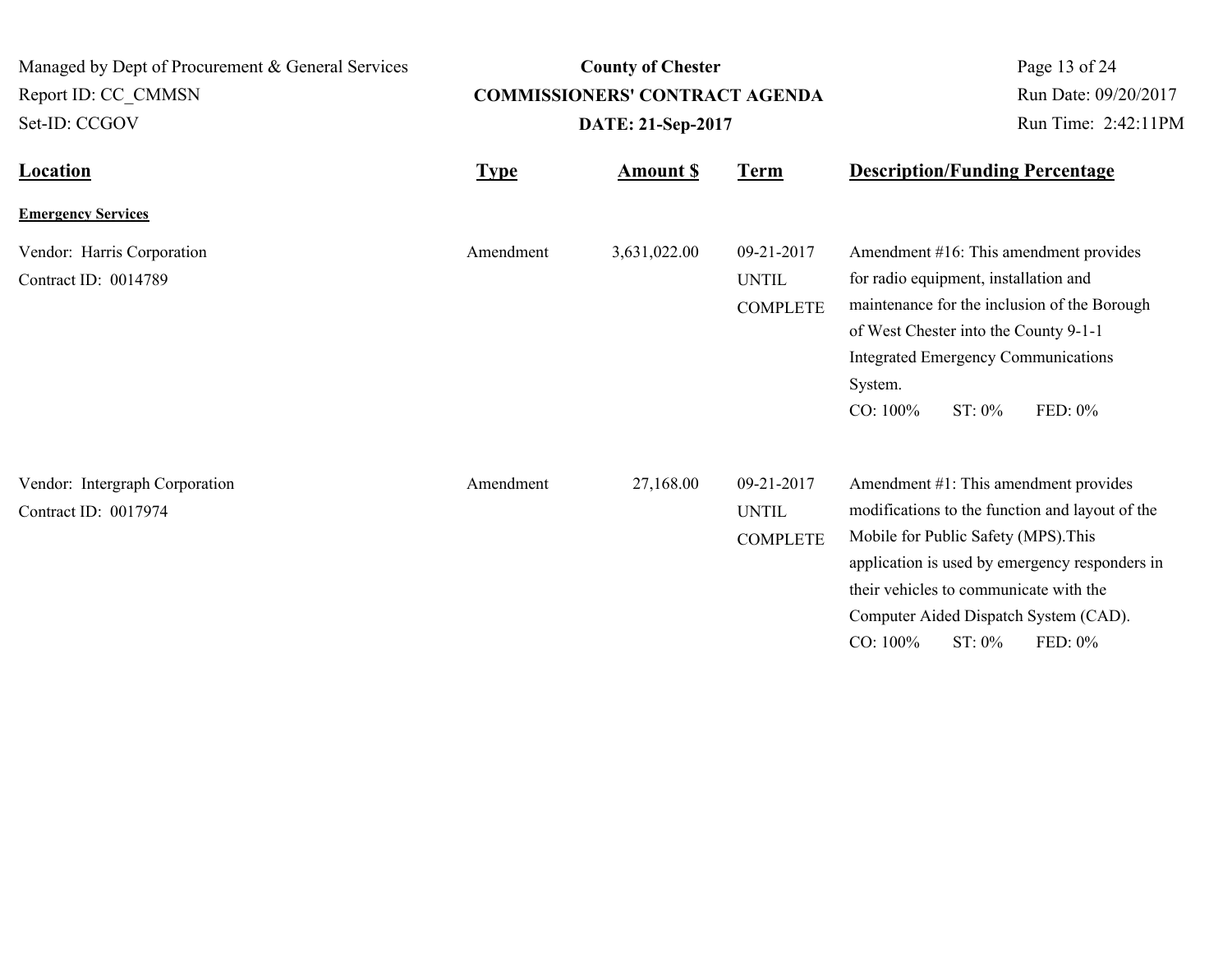| Managed by Dept of Procurement & General Services      |             | <b>County of Chester</b>              | Page 13 of 24                                 |                                                                                                                                                                                                                                                                                                        |
|--------------------------------------------------------|-------------|---------------------------------------|-----------------------------------------------|--------------------------------------------------------------------------------------------------------------------------------------------------------------------------------------------------------------------------------------------------------------------------------------------------------|
| Report ID: CC CMMSN                                    |             | <b>COMMISSIONERS' CONTRACT AGENDA</b> | Run Date: 09/20/2017                          |                                                                                                                                                                                                                                                                                                        |
| Set-ID: CCGOV                                          |             | DATE: 21-Sep-2017                     |                                               | Run Time: 2:42:11PM                                                                                                                                                                                                                                                                                    |
| <b>Location</b>                                        | <b>Type</b> | <b>Amount \$</b>                      | <b>Term</b>                                   | <b>Description/Funding Percentage</b>                                                                                                                                                                                                                                                                  |
| <b>Emergency Services</b>                              |             |                                       |                                               |                                                                                                                                                                                                                                                                                                        |
| Vendor: Harris Corporation<br>Contract ID: 0014789     | Amendment   | 3,631,022.00                          | 09-21-2017<br><b>UNTIL</b><br><b>COMPLETE</b> | Amendment #16: This amendment provides<br>for radio equipment, installation and<br>maintenance for the inclusion of the Borough<br>of West Chester into the County 9-1-1<br><b>Integrated Emergency Communications</b><br>System.<br>CO: 100%<br>FED: 0%<br>$ST: 0\%$                                  |
| Vendor: Intergraph Corporation<br>Contract ID: 0017974 | Amendment   | 27,168.00                             | 09-21-2017<br><b>UNTIL</b><br><b>COMPLETE</b> | Amendment #1: This amendment provides<br>modifications to the function and layout of the<br>Mobile for Public Safety (MPS). This<br>application is used by emergency responders in<br>their vehicles to communicate with the<br>Computer Aided Dispatch System (CAD).<br>FED: 0%<br>CO: 100%<br>ST: 0% |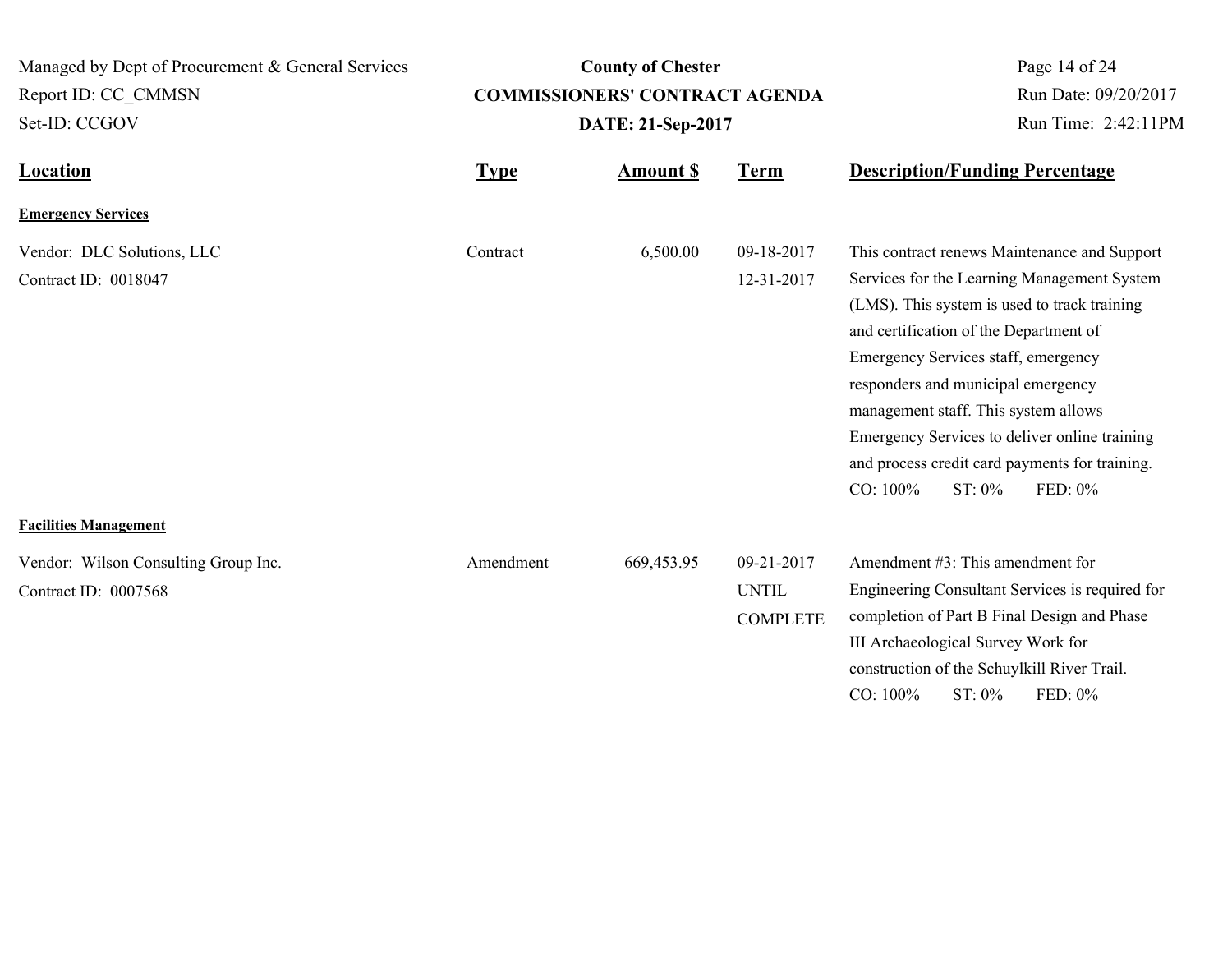**Location Type Type** *Amount \$* **Term Description/Funding Percentage County of Chester COMMISSIONERS' CONTRACT AGENDA** Managed by Dept of Procurement & General Services Set-ID: CCGOV Report ID: CC\_CMMSN Page 14 of 24 **Amount \$ DATE: 21-Sep-2017** Run Date: 09/20/2017 Run Time: 2:42:11PM **Emergency Services** Vendor: DLC Solutions, LLC 6,500.00 09-18-2017 Contract ID: 0018047 12-31-2017 This contract renews Maintenance and Support Services for the Learning Management System (LMS). This system is used to track training Contract

#### **Facilities Management**

| Vendor: Wilson Consulting Group Inc. | Amendment | 669.453.95 | $09 - 21 - 2017$ | Amendment #3: This amendment for                |
|--------------------------------------|-----------|------------|------------------|-------------------------------------------------|
| Contract ID: $0007568$               |           |            | UNTIL            | Engineering Consultant Services is required for |
|                                      |           |            | <b>COMPLETE</b>  | completion of Part B Final Design and Phase     |
|                                      |           |            |                  | III Archaeological Survey Work for              |

and certification of the Department of Emergency Services staff, emergency responders and municipal emergency management staff. This system allows

CO: 100% ST: 0% FED: 0%

construction of the Schuylkill River Trail. CO: 100% ST: 0% FED: 0%

Emergency Services to deliver online training and process credit card payments for training.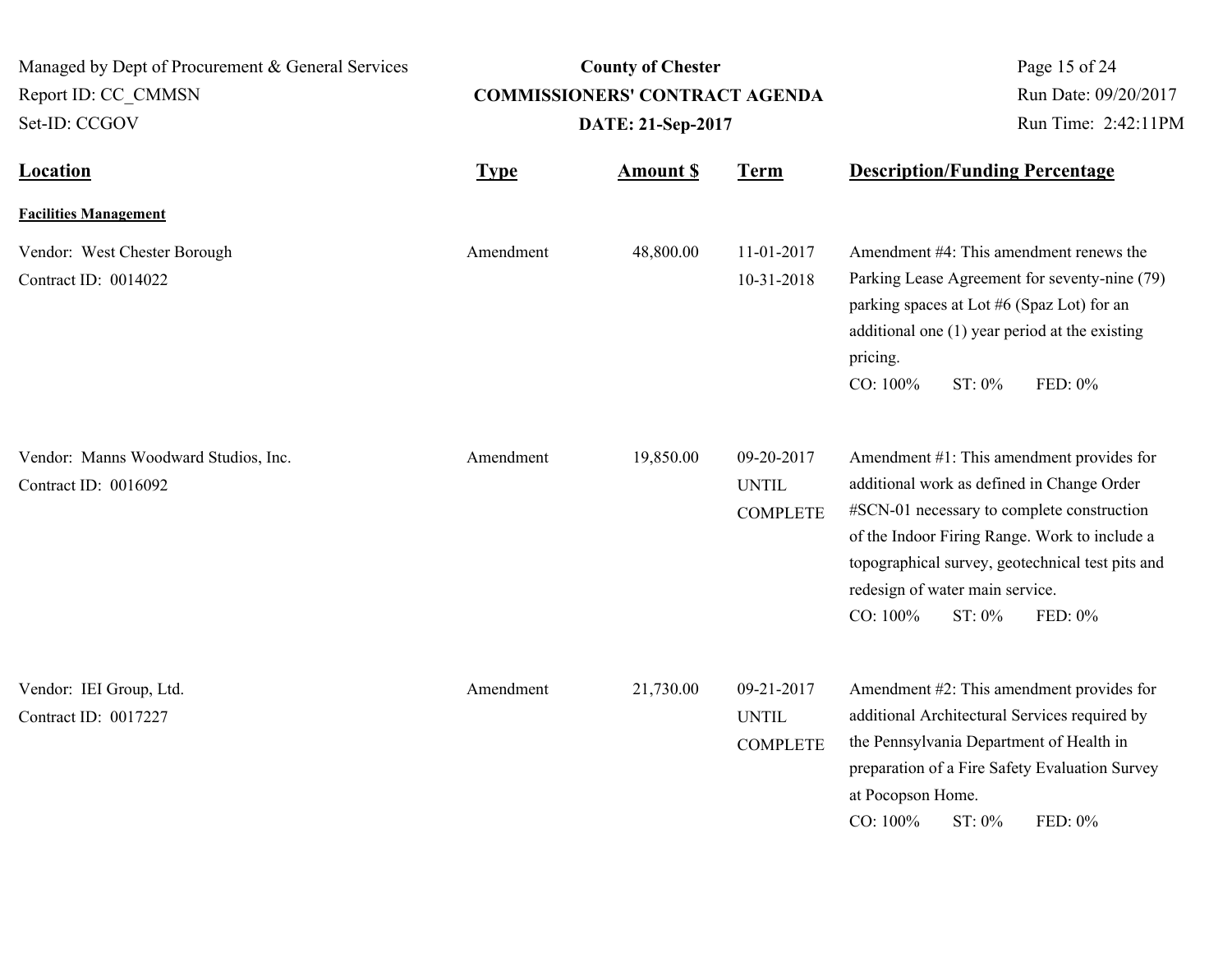| Managed by Dept of Procurement & General Services<br>Report ID: CC CMMSN | <b>County of Chester</b><br><b>COMMISSIONERS' CONTRACT AGENDA</b> |                   |                                               | Page 15 of 24<br>Run Date: 09/20/2017                                                                                                                                                                                                                                                                          |
|--------------------------------------------------------------------------|-------------------------------------------------------------------|-------------------|-----------------------------------------------|----------------------------------------------------------------------------------------------------------------------------------------------------------------------------------------------------------------------------------------------------------------------------------------------------------------|
| Set-ID: CCGOV                                                            |                                                                   | DATE: 21-Sep-2017 |                                               | Run Time: 2:42:11PM                                                                                                                                                                                                                                                                                            |
| <b>Location</b>                                                          | <b>Type</b>                                                       | <b>Amount S</b>   | <b>Term</b>                                   | <b>Description/Funding Percentage</b>                                                                                                                                                                                                                                                                          |
| <b>Facilities Management</b>                                             |                                                                   |                   |                                               |                                                                                                                                                                                                                                                                                                                |
| Vendor: West Chester Borough<br>Contract ID: 0014022                     | Amendment                                                         | 48,800.00         | 11-01-2017<br>10-31-2018                      | Amendment #4: This amendment renews the<br>Parking Lease Agreement for seventy-nine (79)<br>parking spaces at Lot #6 (Spaz Lot) for an<br>additional one (1) year period at the existing<br>pricing.<br>CO: 100%<br>ST: 0%<br>FED: 0%                                                                          |
| Vendor: Manns Woodward Studios, Inc.<br>Contract ID: 0016092             | Amendment                                                         | 19,850.00         | 09-20-2017<br><b>UNTIL</b><br><b>COMPLETE</b> | Amendment #1: This amendment provides for<br>additional work as defined in Change Order<br>#SCN-01 necessary to complete construction<br>of the Indoor Firing Range. Work to include a<br>topographical survey, geotechnical test pits and<br>redesign of water main service.<br>CO: 100%<br>ST: 0%<br>FED: 0% |
| Vendor: IEI Group, Ltd.<br>Contract ID: 0017227                          | Amendment                                                         | 21,730.00         | 09-21-2017<br><b>UNTIL</b><br><b>COMPLETE</b> | Amendment #2: This amendment provides for<br>additional Architectural Services required by<br>the Pennsylvania Department of Health in<br>preparation of a Fire Safety Evaluation Survey<br>at Pocopson Home.<br>CO: 100%<br>ST: 0%<br>FED: 0%                                                                 |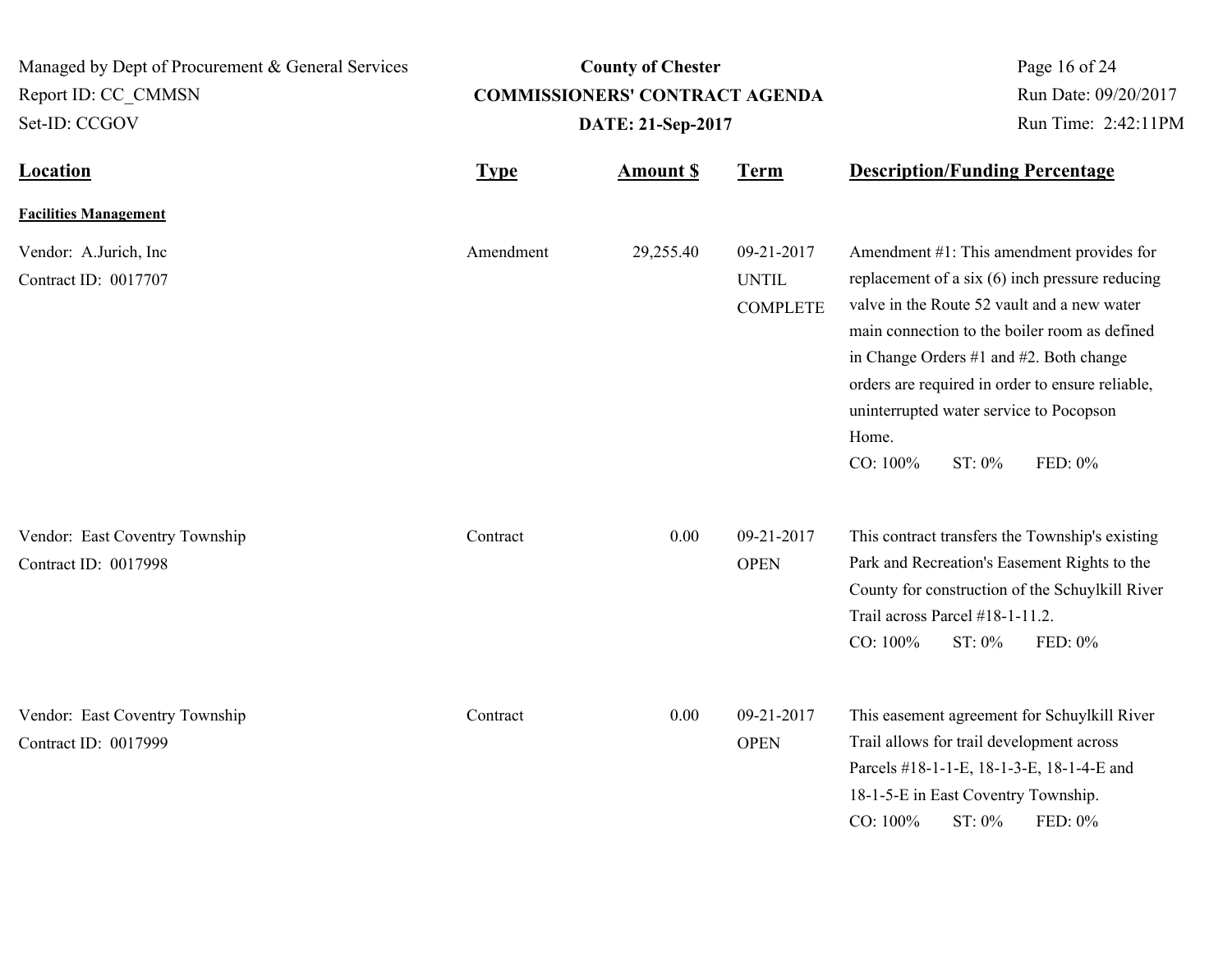| Managed by Dept of Procurement & General Services<br>Report ID: CC CMMSN<br>Set-ID: CCGOV |             | <b>County of Chester</b><br><b>COMMISSIONERS' CONTRACT AGENDA</b><br>DATE: 21-Sep-2017 | Page 16 of 24<br>Run Date: 09/20/2017<br>Run Time: 2:42:11PM |                                                                                                                                                                                                                                                                                                                                                                                  |
|-------------------------------------------------------------------------------------------|-------------|----------------------------------------------------------------------------------------|--------------------------------------------------------------|----------------------------------------------------------------------------------------------------------------------------------------------------------------------------------------------------------------------------------------------------------------------------------------------------------------------------------------------------------------------------------|
| <b>Location</b>                                                                           | <b>Type</b> | <b>Amount \$</b>                                                                       | <b>Term</b>                                                  | <b>Description/Funding Percentage</b>                                                                                                                                                                                                                                                                                                                                            |
| <b>Facilities Management</b>                                                              |             |                                                                                        |                                                              |                                                                                                                                                                                                                                                                                                                                                                                  |
| Vendor: A.Jurich, Inc<br>Contract ID: 0017707                                             | Amendment   | 29,255.40                                                                              | 09-21-2017<br><b>UNTIL</b><br><b>COMPLETE</b>                | Amendment #1: This amendment provides for<br>replacement of a six (6) inch pressure reducing<br>valve in the Route 52 vault and a new water<br>main connection to the boiler room as defined<br>in Change Orders #1 and #2. Both change<br>orders are required in order to ensure reliable,<br>uninterrupted water service to Pocopson<br>Home.<br>CO: 100%<br>ST: 0%<br>FED: 0% |
| Vendor: East Coventry Township<br>Contract ID: 0017998                                    | Contract    | 0.00                                                                                   | 09-21-2017<br><b>OPEN</b>                                    | This contract transfers the Township's existing<br>Park and Recreation's Easement Rights to the<br>County for construction of the Schuylkill River<br>Trail across Parcel #18-1-11.2.<br>ST: 0%<br>FED: 0%<br>CO: 100%                                                                                                                                                           |
| Vendor: East Coventry Township<br>Contract ID: 0017999                                    | Contract    | 0.00                                                                                   | 09-21-2017<br><b>OPEN</b>                                    | This easement agreement for Schuylkill River<br>Trail allows for trail development across<br>Parcels #18-1-1-E, 18-1-3-E, 18-1-4-E and<br>18-1-5-E in East Coventry Township.<br>CO: 100%<br>ST: 0%<br>FED: 0%                                                                                                                                                                   |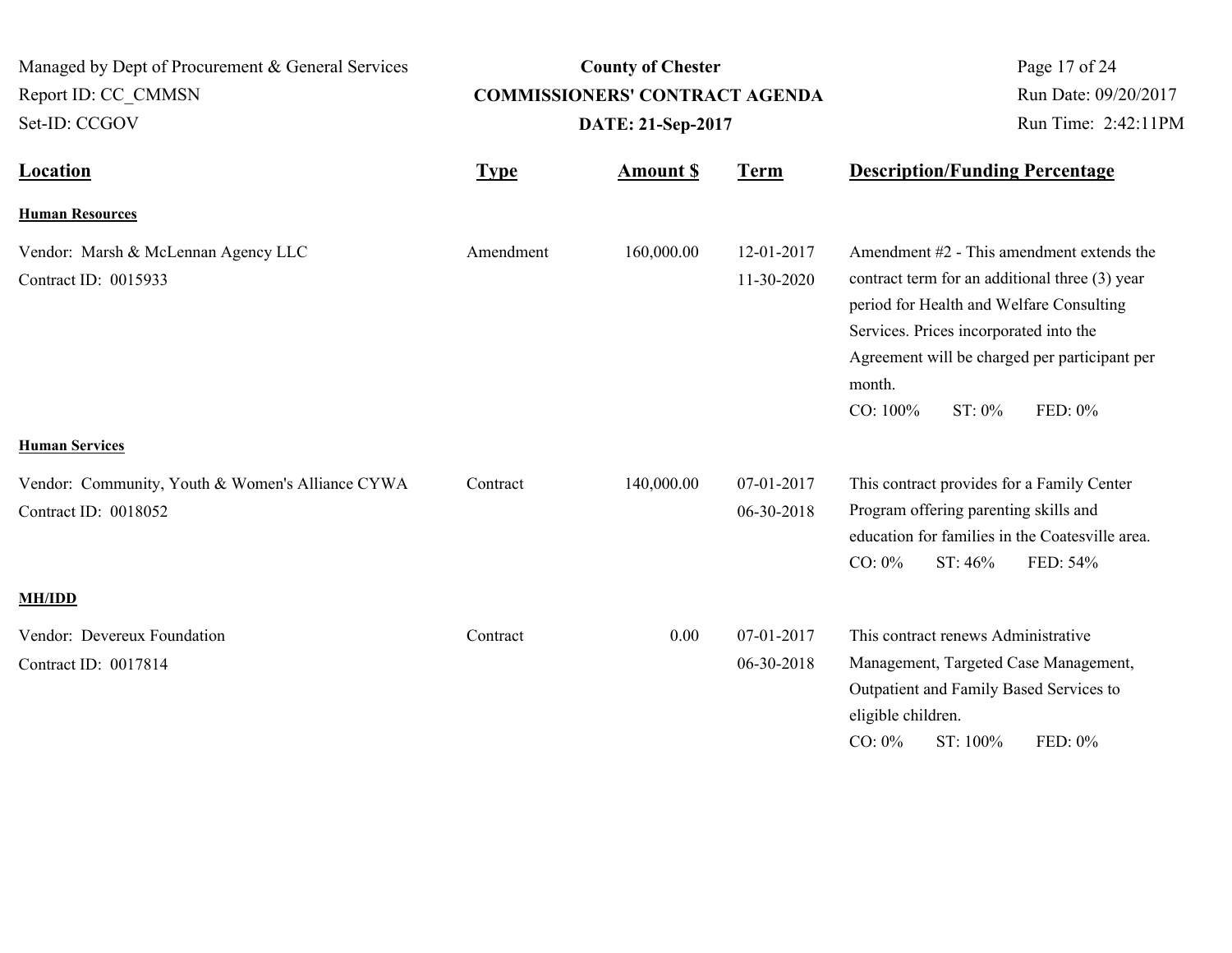| Managed by Dept of Procurement & General Services<br>Report ID: CC CMMSN<br>Set-ID: CCGOV |             | <b>County of Chester</b><br><b>COMMISSIONERS' CONTRACT AGENDA</b><br>DATE: 21-Sep-2017 |                          | Page 17 of 24<br>Run Date: 09/20/2017<br>Run Time: 2:42:11PM                                                                                                                                                                                                                     |
|-------------------------------------------------------------------------------------------|-------------|----------------------------------------------------------------------------------------|--------------------------|----------------------------------------------------------------------------------------------------------------------------------------------------------------------------------------------------------------------------------------------------------------------------------|
| <b>Location</b>                                                                           | <b>Type</b> | <b>Amount \$</b>                                                                       | <b>Term</b>              | <b>Description/Funding Percentage</b>                                                                                                                                                                                                                                            |
| <b>Human Resources</b>                                                                    |             |                                                                                        |                          |                                                                                                                                                                                                                                                                                  |
| Vendor: Marsh & McLennan Agency LLC<br>Contract ID: 0015933                               | Amendment   | 160,000.00                                                                             | 12-01-2017<br>11-30-2020 | Amendment #2 - This amendment extends the<br>contract term for an additional three (3) year<br>period for Health and Welfare Consulting<br>Services. Prices incorporated into the<br>Agreement will be charged per participant per<br>month.<br>CO: 100%<br>$ST: 0\%$<br>FED: 0% |
| <b>Human Services</b>                                                                     |             |                                                                                        |                          |                                                                                                                                                                                                                                                                                  |
| Vendor: Community, Youth & Women's Alliance CYWA<br>Contract ID: 0018052                  | Contract    | 140,000.00                                                                             | 07-01-2017<br>06-30-2018 | This contract provides for a Family Center<br>Program offering parenting skills and<br>education for families in the Coatesville area.<br>$CO: 0\%$<br>ST: 46%<br>FED: 54%                                                                                                       |
| <b>MH/IDD</b>                                                                             |             |                                                                                        |                          |                                                                                                                                                                                                                                                                                  |
| Vendor: Devereux Foundation<br>Contract ID: 0017814                                       | Contract    | 0.00                                                                                   | 07-01-2017<br>06-30-2018 | This contract renews Administrative<br>Management, Targeted Case Management,<br>Outpatient and Family Based Services to<br>eligible children.<br>$CO: 0\%$<br>ST: 100%<br>FED: 0%                                                                                                |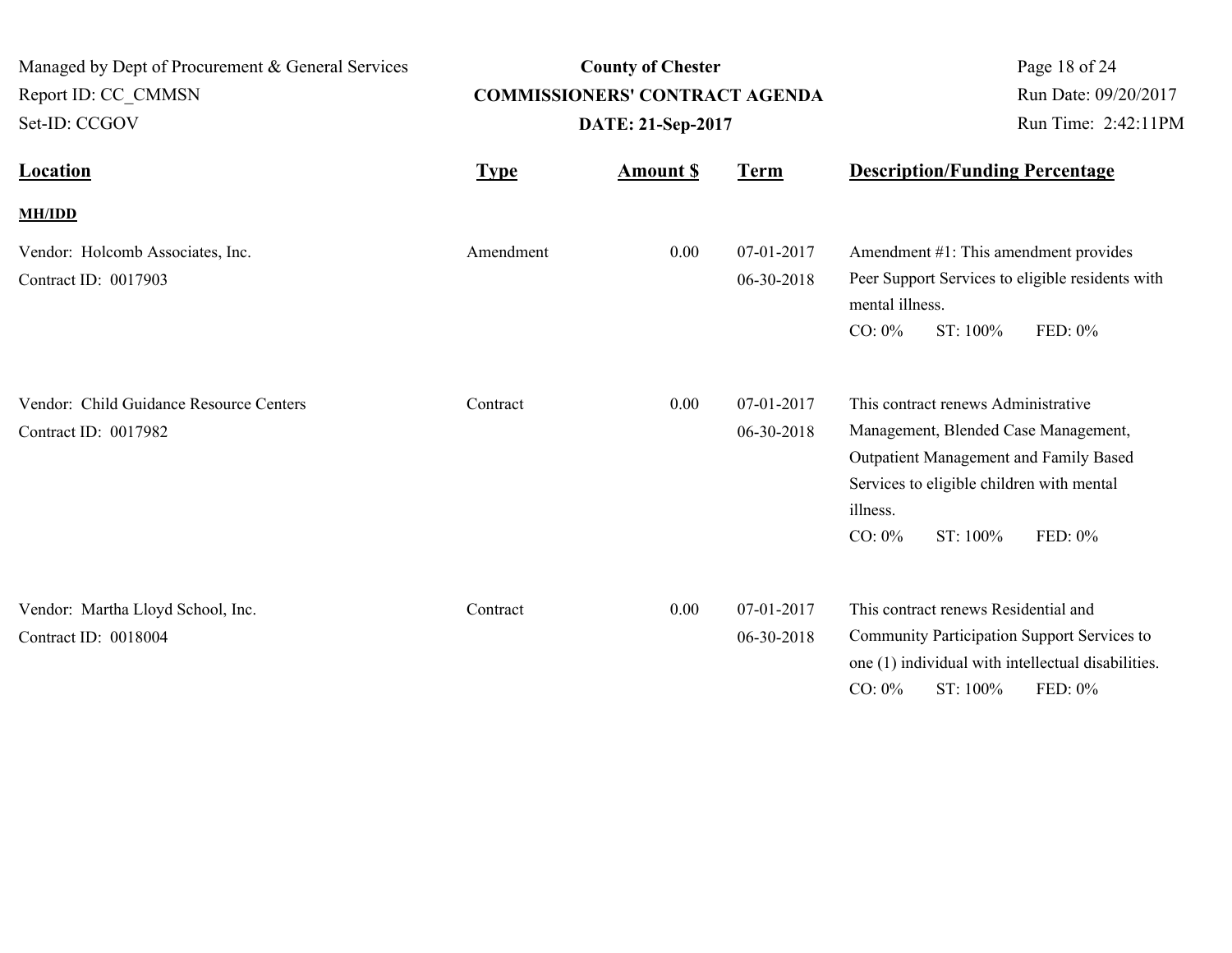| Managed by Dept of Procurement & General Services<br>Report ID: CC CMMSN<br>Set-ID: CCGOV |             | <b>County of Chester</b><br><b>COMMISSIONERS' CONTRACT AGENDA</b><br>DATE: 21-Sep-2017 | Page 18 of 24<br>Run Date: 09/20/2017<br>Run Time: 2:42:11PM |                                                                                                                                                                                                                    |
|-------------------------------------------------------------------------------------------|-------------|----------------------------------------------------------------------------------------|--------------------------------------------------------------|--------------------------------------------------------------------------------------------------------------------------------------------------------------------------------------------------------------------|
| <b>Location</b>                                                                           | <b>Type</b> | <b>Amount \$</b>                                                                       | <b>Term</b>                                                  | <b>Description/Funding Percentage</b>                                                                                                                                                                              |
| <b>MH/IDD</b>                                                                             |             |                                                                                        |                                                              |                                                                                                                                                                                                                    |
| Vendor: Holcomb Associates, Inc.<br>Contract ID: 0017903                                  | Amendment   | 0.00                                                                                   | 07-01-2017<br>06-30-2018                                     | Amendment #1: This amendment provides<br>Peer Support Services to eligible residents with<br>mental illness.<br>ST: 100%<br>FED: 0%<br>$CO: 0\%$                                                                   |
| Vendor: Child Guidance Resource Centers<br>Contract ID: 0017982                           | Contract    | 0.00                                                                                   | 07-01-2017<br>06-30-2018                                     | This contract renews Administrative<br>Management, Blended Case Management,<br>Outpatient Management and Family Based<br>Services to eligible children with mental<br>illness.<br>ST: 100%<br>$CO: 0\%$<br>FED: 0% |
| Vendor: Martha Lloyd School, Inc.<br>Contract ID: 0018004                                 | Contract    | 0.00                                                                                   | 07-01-2017<br>06-30-2018                                     | This contract renews Residential and<br>Community Participation Support Services to<br>one (1) individual with intellectual disabilities.<br>$CO: 0\%$<br>ST: 100%<br>FED: 0%                                      |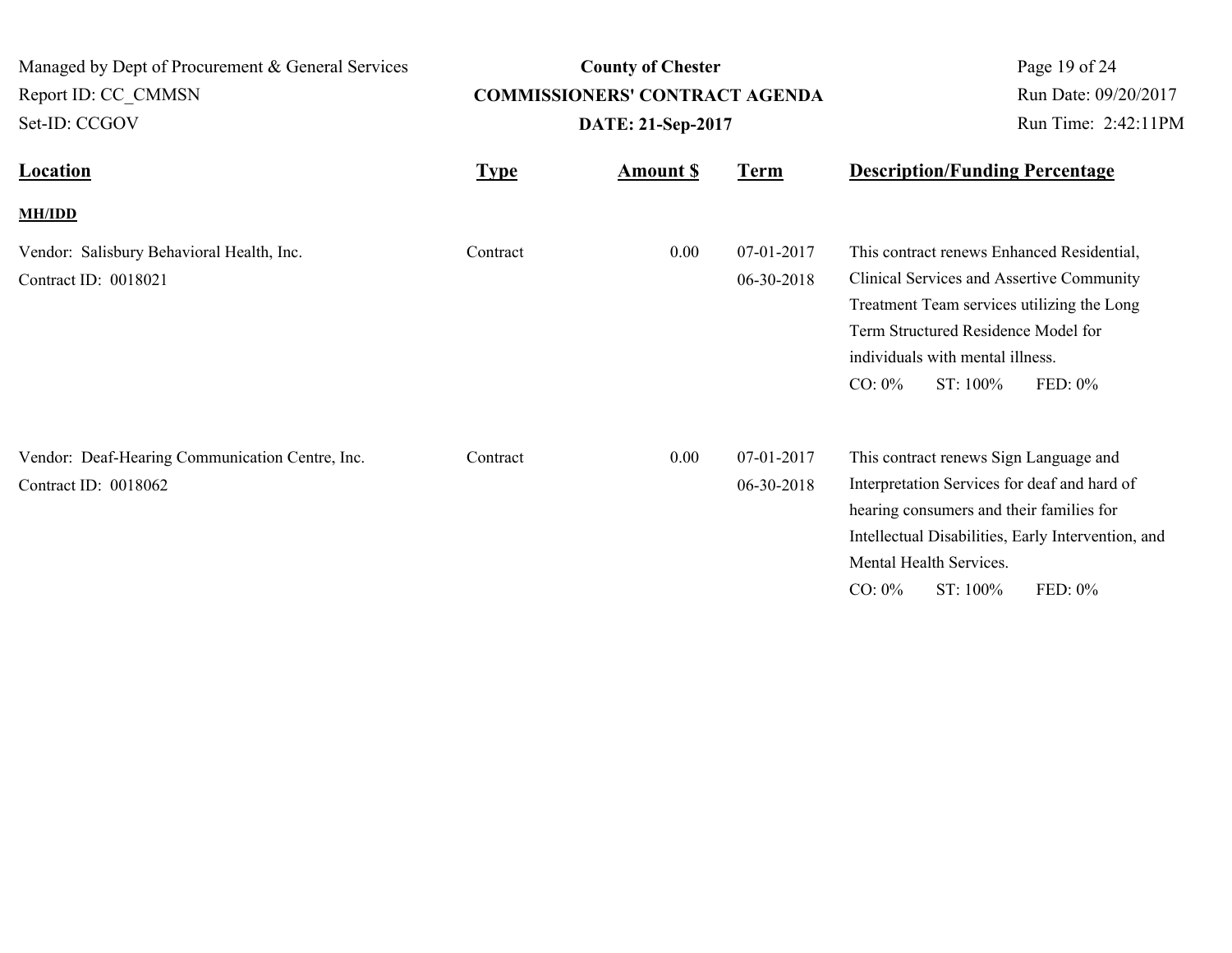| Managed by Dept of Procurement & General Services                       |             | <b>County of Chester</b>              |                          | Page 19 of 24                                                                                                                                                                                                                                           |  |
|-------------------------------------------------------------------------|-------------|---------------------------------------|--------------------------|---------------------------------------------------------------------------------------------------------------------------------------------------------------------------------------------------------------------------------------------------------|--|
| Report ID: CC CMMSN                                                     |             | <b>COMMISSIONERS' CONTRACT AGENDA</b> |                          | Run Date: 09/20/2017                                                                                                                                                                                                                                    |  |
| Set-ID: CCGOV                                                           |             | DATE: 21-Sep-2017                     |                          | Run Time: 2:42:11PM                                                                                                                                                                                                                                     |  |
| <b>Location</b>                                                         | <b>Type</b> | <b>Amount S</b>                       | <b>Term</b>              | <b>Description/Funding Percentage</b>                                                                                                                                                                                                                   |  |
| <b>MH/IDD</b>                                                           |             |                                       |                          |                                                                                                                                                                                                                                                         |  |
| Vendor: Salisbury Behavioral Health, Inc.<br>Contract ID: 0018021       | Contract    | 0.00                                  | 07-01-2017<br>06-30-2018 | This contract renews Enhanced Residential,<br>Clinical Services and Assertive Community<br>Treatment Team services utilizing the Long<br>Term Structured Residence Model for<br>individuals with mental illness.<br>$CO: 0\%$<br>ST: 100%<br>FED: 0%    |  |
| Vendor: Deaf-Hearing Communication Centre, Inc.<br>Contract ID: 0018062 | Contract    | 0.00                                  | 07-01-2017<br>06-30-2018 | This contract renews Sign Language and<br>Interpretation Services for deaf and hard of<br>hearing consumers and their families for<br>Intellectual Disabilities, Early Intervention, and<br>Mental Health Services.<br>$CO: 0\%$<br>ST: 100%<br>FED: 0% |  |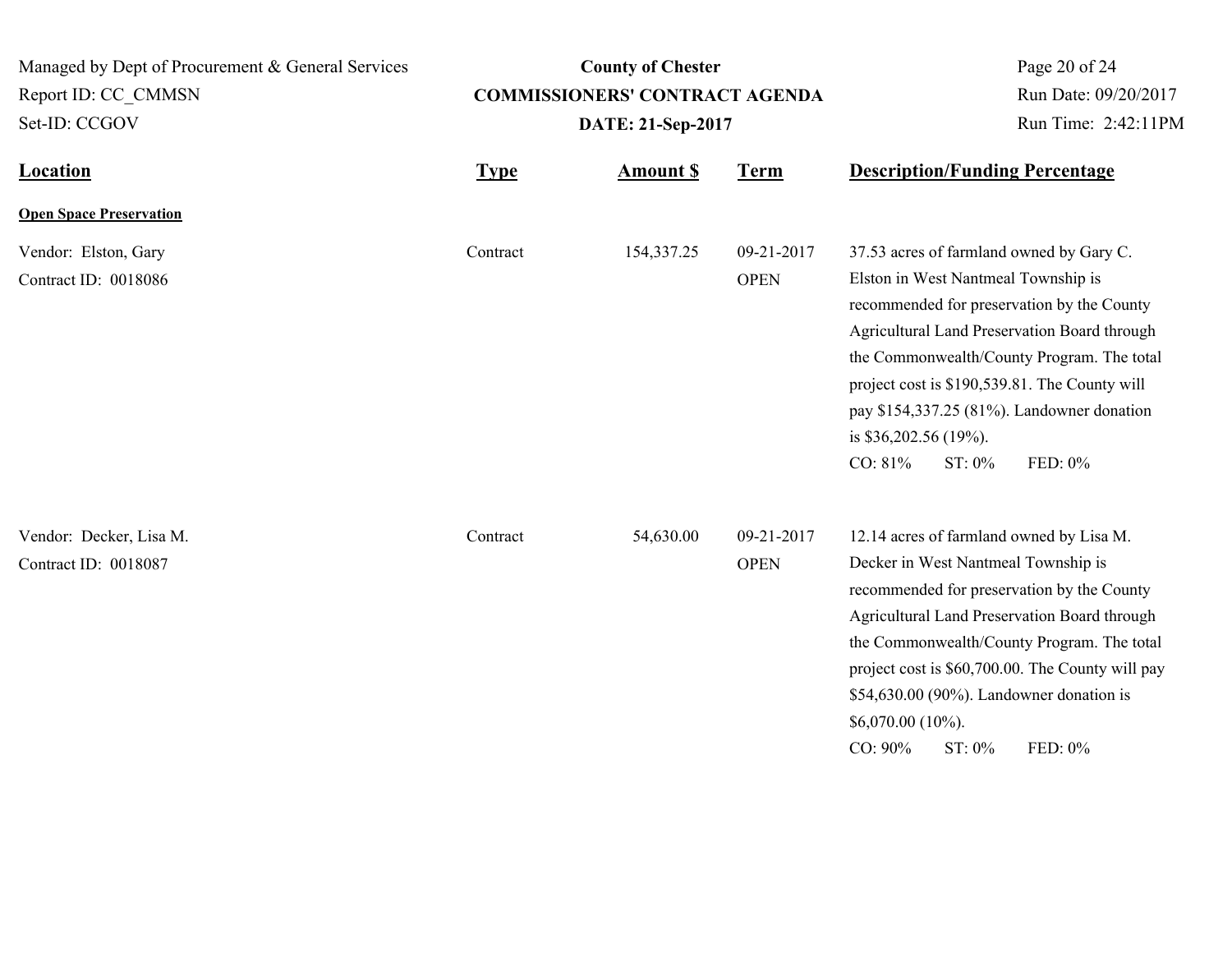| Managed by Dept of Procurement & General Services |             | <b>County of Chester</b>              |                           | Page 20 of 24                                                                                                                                                                                                                                                                                                                                                                       |  |
|---------------------------------------------------|-------------|---------------------------------------|---------------------------|-------------------------------------------------------------------------------------------------------------------------------------------------------------------------------------------------------------------------------------------------------------------------------------------------------------------------------------------------------------------------------------|--|
| Report ID: CC CMMSN                               |             | <b>COMMISSIONERS' CONTRACT AGENDA</b> | Run Date: 09/20/2017      |                                                                                                                                                                                                                                                                                                                                                                                     |  |
| Set-ID: CCGOV                                     |             | DATE: 21-Sep-2017                     | Run Time: 2:42:11PM       |                                                                                                                                                                                                                                                                                                                                                                                     |  |
| <b>Location</b>                                   | <b>Type</b> | <b>Amount \$</b>                      | <b>Term</b>               | <b>Description/Funding Percentage</b>                                                                                                                                                                                                                                                                                                                                               |  |
| <b>Open Space Preservation</b>                    |             |                                       |                           |                                                                                                                                                                                                                                                                                                                                                                                     |  |
| Vendor: Elston, Gary<br>Contract ID: 0018086      | Contract    | 154,337.25                            | 09-21-2017<br><b>OPEN</b> | 37.53 acres of farmland owned by Gary C.<br>Elston in West Nantmeal Township is<br>recommended for preservation by the County<br>Agricultural Land Preservation Board through<br>the Commonwealth/County Program. The total<br>project cost is \$190,539.81. The County will<br>pay \$154,337.25 (81%). Landowner donation<br>is \$36,202.56 (19%).<br>CO: 81%<br>FED: 0%<br>ST: 0% |  |
| Vendor: Decker, Lisa M.<br>Contract ID: 0018087   | Contract    | 54,630.00                             | 09-21-2017<br><b>OPEN</b> | 12.14 acres of farmland owned by Lisa M.<br>Decker in West Nantmeal Township is<br>recommended for preservation by the County<br>Agricultural Land Preservation Board through<br>the Commonwealth/County Program. The total<br>project cost is \$60,700.00. The County will pay<br>\$54,630.00 (90%). Landowner donation is<br>\$6,070.00 (10%).<br>CO: 90%<br>ST: 0%<br>FED: 0%    |  |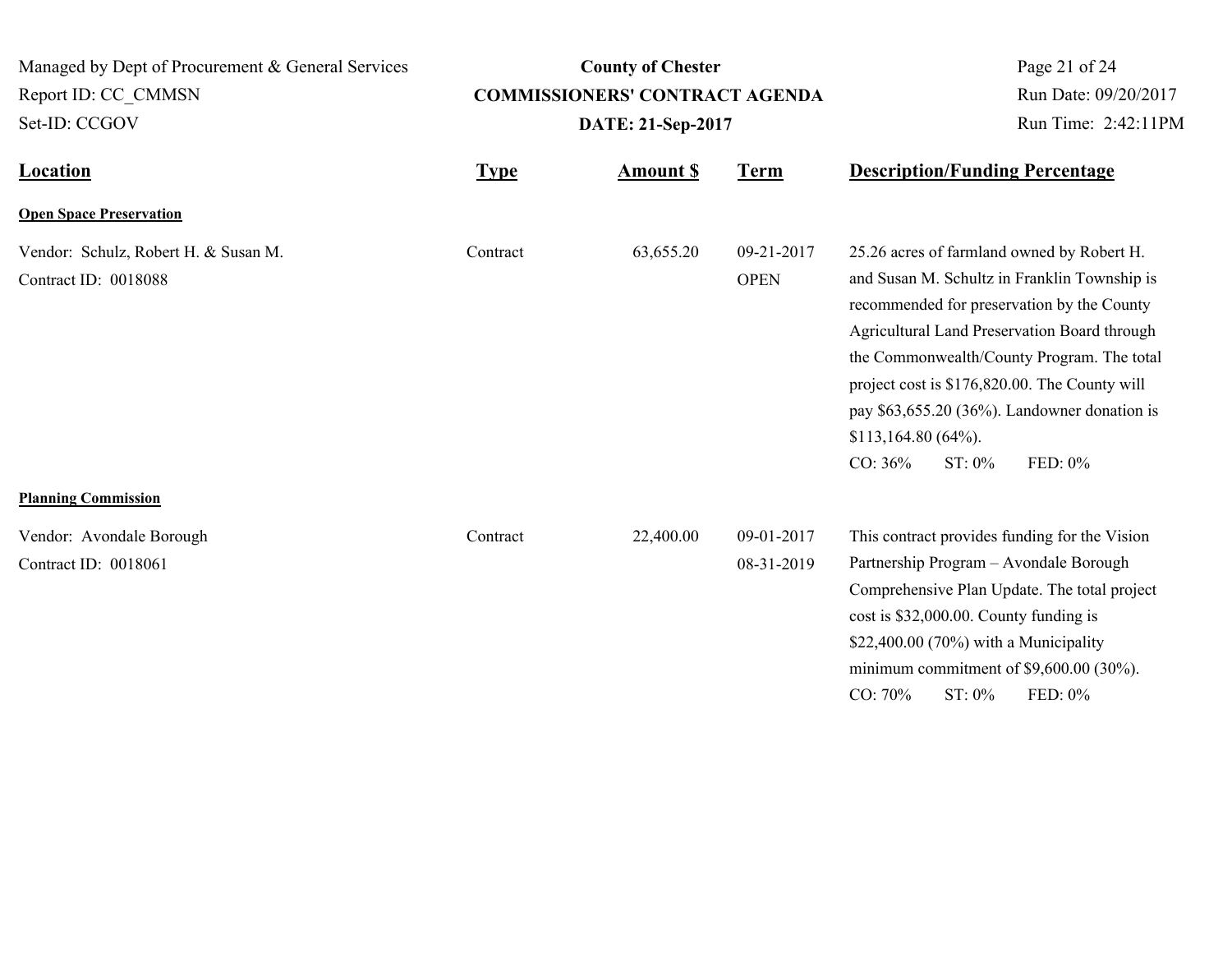| Managed by Dept of Procurement & General Services<br>Report ID: CC CMMSN<br>Set-ID: CCGOV |             | <b>County of Chester</b><br><b>COMMISSIONERS' CONTRACT AGENDA</b><br>DATE: 21-Sep-2017 | Page 21 of 24<br>Run Date: 09/20/2017<br>Run Time: 2:42:11PM |                                                                                                                                                                                                                                                                                                                                                                                                      |
|-------------------------------------------------------------------------------------------|-------------|----------------------------------------------------------------------------------------|--------------------------------------------------------------|------------------------------------------------------------------------------------------------------------------------------------------------------------------------------------------------------------------------------------------------------------------------------------------------------------------------------------------------------------------------------------------------------|
| <b>Location</b>                                                                           | <b>Type</b> | <b>Amount S</b>                                                                        | <b>Term</b>                                                  | <b>Description/Funding Percentage</b>                                                                                                                                                                                                                                                                                                                                                                |
| <b>Open Space Preservation</b>                                                            |             |                                                                                        |                                                              |                                                                                                                                                                                                                                                                                                                                                                                                      |
| Vendor: Schulz, Robert H. & Susan M.<br>Contract ID: 0018088                              | Contract    | 63,655.20                                                                              | 09-21-2017<br><b>OPEN</b>                                    | 25.26 acres of farmland owned by Robert H.<br>and Susan M. Schultz in Franklin Township is<br>recommended for preservation by the County<br>Agricultural Land Preservation Board through<br>the Commonwealth/County Program. The total<br>project cost is \$176,820.00. The County will<br>pay $$63,655.20$ (36%). Landowner donation is<br>\$113,164.80(64%).<br>$CO: 36\%$<br>FED: 0%<br>$ST: 0\%$ |
| <b>Planning Commission</b>                                                                |             |                                                                                        |                                                              |                                                                                                                                                                                                                                                                                                                                                                                                      |
| Vendor: Avondale Borough<br>Contract ID: 0018061                                          | Contract    | 22,400.00                                                                              | 09-01-2017<br>08-31-2019                                     | This contract provides funding for the Vision<br>Partnership Program - Avondale Borough<br>Comprehensive Plan Update. The total project<br>cost is \$32,000.00. County funding is<br>\$22,400.00 (70%) with a Municipality<br>minimum commitment of $$9,600.00$ (30%).<br>FED: 0%<br>CO: 70%<br>ST: 0%                                                                                               |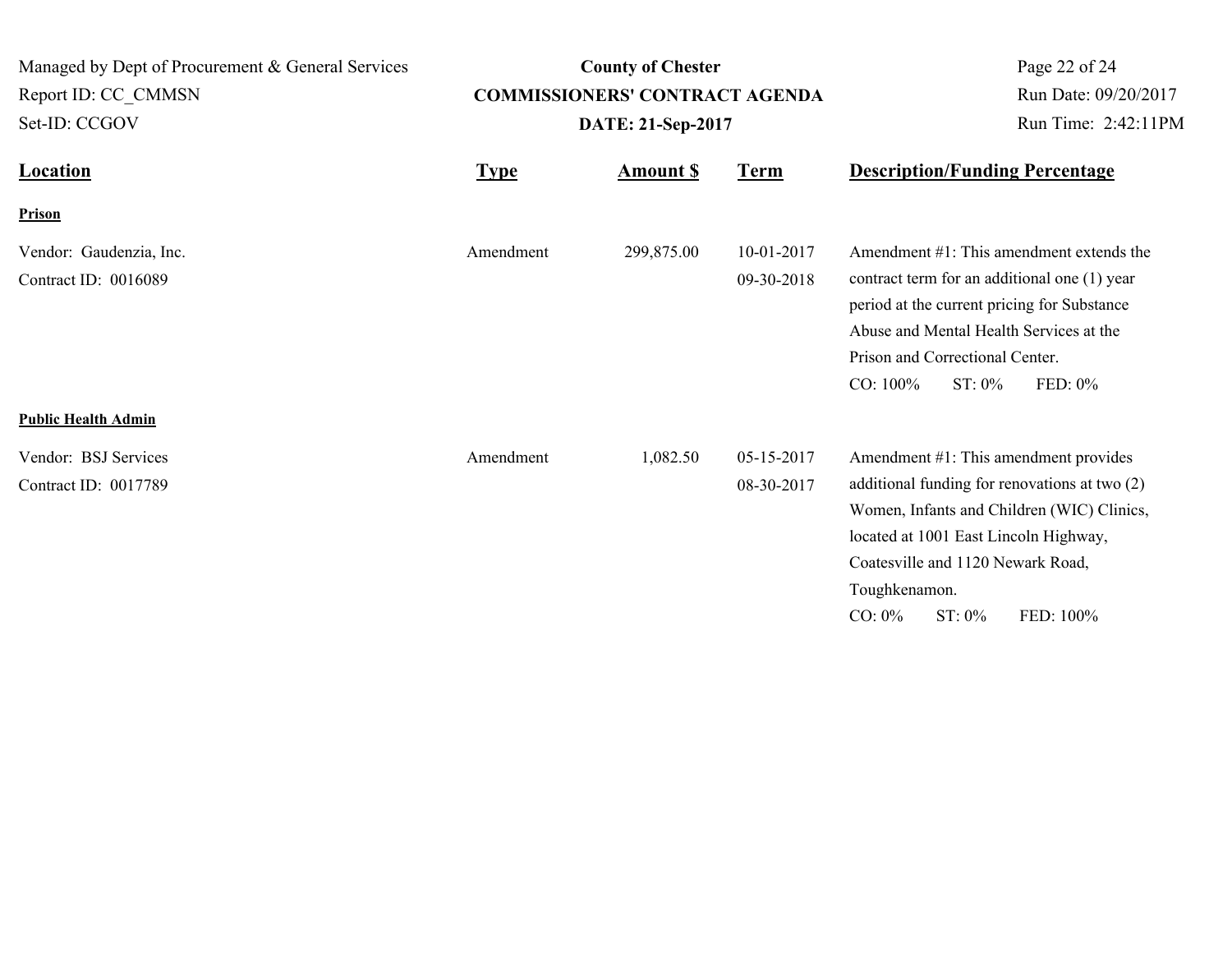| Managed by Dept of Procurement & General Services<br>Report ID: CC CMMSN<br>Set-ID: CCGOV |             | <b>County of Chester</b><br><b>COMMISSIONERS' CONTRACT AGENDA</b><br>DATE: 21-Sep-2017 | Page 22 of 24<br>Run Date: 09/20/2017<br>Run Time: 2:42:11PM<br><b>Description/Funding Percentage</b> |                                                                                                                                                                                                                                                                            |
|-------------------------------------------------------------------------------------------|-------------|----------------------------------------------------------------------------------------|-------------------------------------------------------------------------------------------------------|----------------------------------------------------------------------------------------------------------------------------------------------------------------------------------------------------------------------------------------------------------------------------|
| <b>Location</b>                                                                           | <b>Type</b> | <b>Term</b><br><b>Amount S</b>                                                         |                                                                                                       |                                                                                                                                                                                                                                                                            |
| Prison                                                                                    |             |                                                                                        |                                                                                                       |                                                                                                                                                                                                                                                                            |
| Vendor: Gaudenzia, Inc.<br>Contract ID: 0016089                                           | Amendment   | 299,875.00                                                                             | 10-01-2017<br>09-30-2018                                                                              | Amendment #1: This amendment extends the<br>contract term for an additional one (1) year<br>period at the current pricing for Substance<br>Abuse and Mental Health Services at the<br>Prison and Correctional Center.<br>CO: 100%<br>$ST: 0\%$<br>FED: 0%                  |
| <b>Public Health Admin</b>                                                                |             |                                                                                        |                                                                                                       |                                                                                                                                                                                                                                                                            |
| Vendor: BSJ Services<br>Contract ID: 0017789                                              | Amendment   | 1,082.50                                                                               | 05-15-2017<br>08-30-2017                                                                              | Amendment #1: This amendment provides<br>additional funding for renovations at two (2)<br>Women, Infants and Children (WIC) Clinics,<br>located at 1001 East Lincoln Highway,<br>Coatesville and 1120 Newark Road,<br>Toughkenamon.<br>$ST: 0\%$<br>$CO: 0\%$<br>FED: 100% |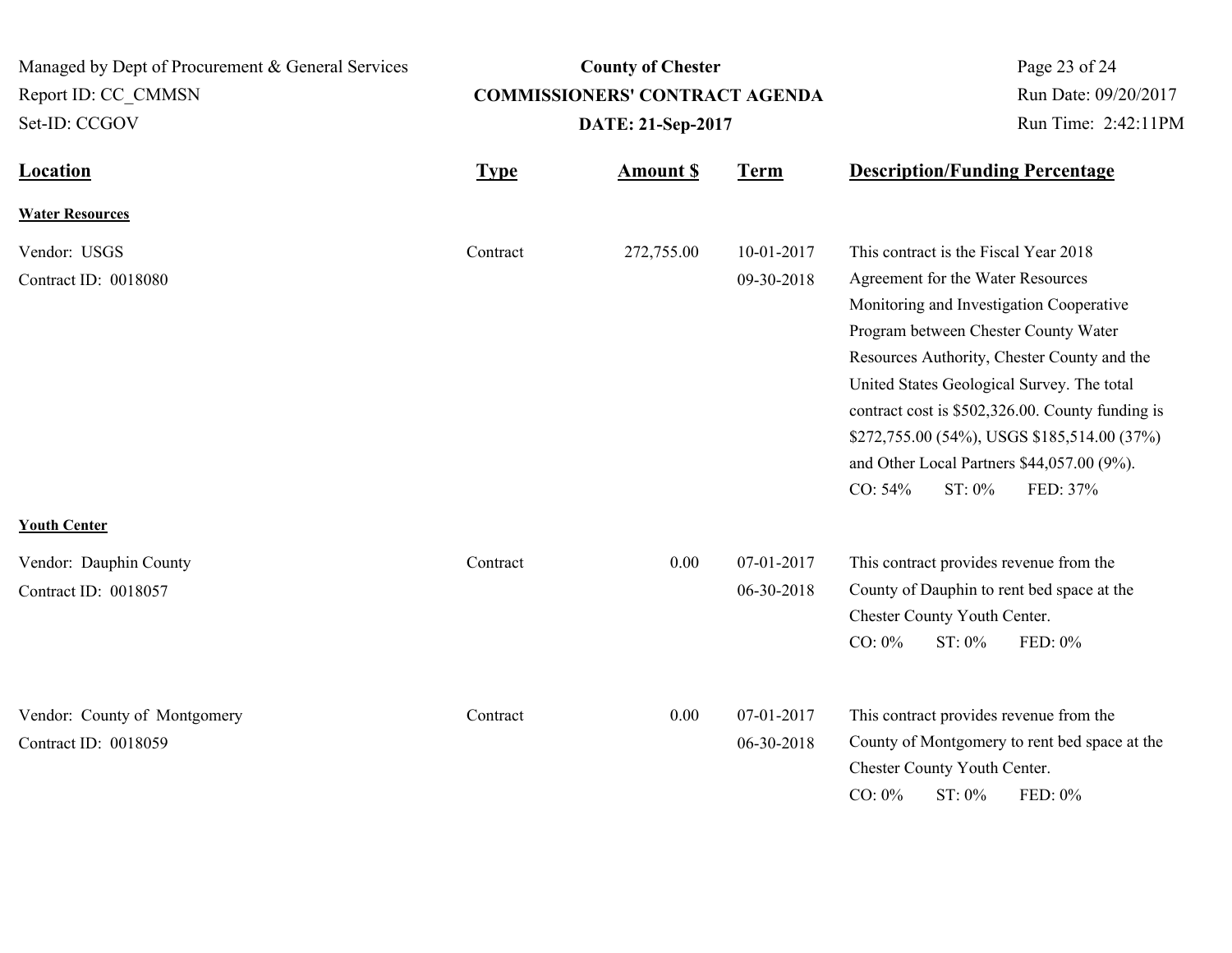| Managed by Dept of Procurement & General Services    |             | <b>County of Chester</b>              |                          | Page 23 of 24                                                                                                                                                                                                                                                                                                                                                                                                                                 |  |
|------------------------------------------------------|-------------|---------------------------------------|--------------------------|-----------------------------------------------------------------------------------------------------------------------------------------------------------------------------------------------------------------------------------------------------------------------------------------------------------------------------------------------------------------------------------------------------------------------------------------------|--|
| Report ID: CC CMMSN                                  |             | <b>COMMISSIONERS' CONTRACT AGENDA</b> | Run Date: 09/20/2017     |                                                                                                                                                                                                                                                                                                                                                                                                                                               |  |
| Set-ID: CCGOV                                        |             | DATE: 21-Sep-2017                     | Run Time: 2:42:11PM      |                                                                                                                                                                                                                                                                                                                                                                                                                                               |  |
| <b>Location</b>                                      | <b>Type</b> | <b>Amount \$</b>                      | <b>Term</b>              | <b>Description/Funding Percentage</b>                                                                                                                                                                                                                                                                                                                                                                                                         |  |
| <b>Water Resources</b>                               |             |                                       |                          |                                                                                                                                                                                                                                                                                                                                                                                                                                               |  |
| Vendor: USGS<br>Contract ID: 0018080                 | Contract    | 272,755.00                            | 10-01-2017<br>09-30-2018 | This contract is the Fiscal Year 2018<br>Agreement for the Water Resources<br>Monitoring and Investigation Cooperative<br>Program between Chester County Water<br>Resources Authority, Chester County and the<br>United States Geological Survey. The total<br>contract cost is \$502,326.00. County funding is<br>\$272,755.00 (54%), USGS \$185,514.00 (37%)<br>and Other Local Partners \$44,057.00 (9%).<br>FED: 37%<br>CO: 54%<br>ST: 0% |  |
| <b>Youth Center</b>                                  |             |                                       |                          |                                                                                                                                                                                                                                                                                                                                                                                                                                               |  |
| Vendor: Dauphin County<br>Contract ID: 0018057       | Contract    | 0.00                                  | 07-01-2017<br>06-30-2018 | This contract provides revenue from the<br>County of Dauphin to rent bed space at the<br>Chester County Youth Center.<br>$CO: 0\%$<br>ST: 0%<br>FED: 0%                                                                                                                                                                                                                                                                                       |  |
| Vendor: County of Montgomery<br>Contract ID: 0018059 | Contract    | 0.00                                  | 07-01-2017<br>06-30-2018 | This contract provides revenue from the<br>County of Montgomery to rent bed space at the<br>Chester County Youth Center.<br>CO: 0%<br>ST: 0%<br>FED: 0%                                                                                                                                                                                                                                                                                       |  |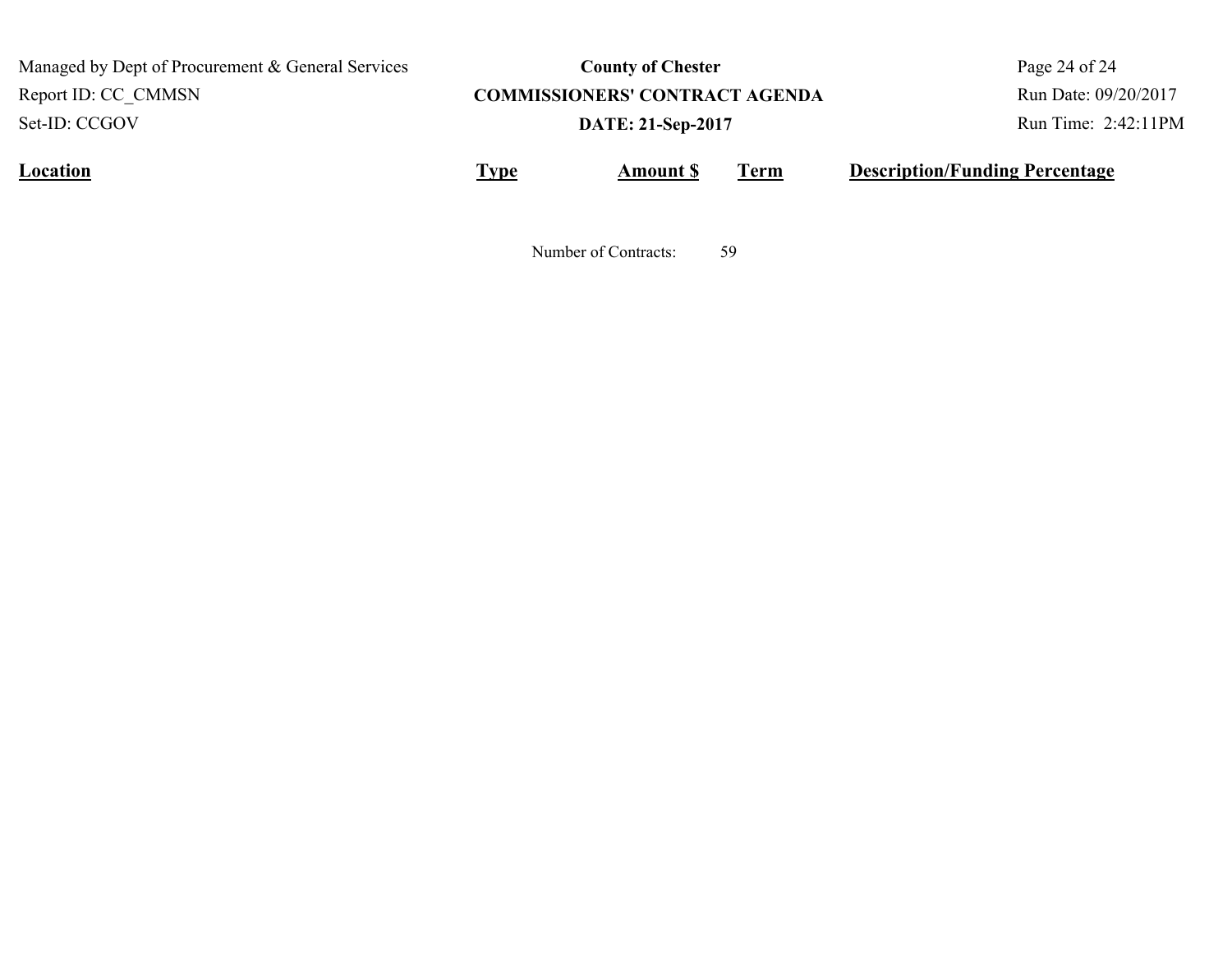Managed by Dept of Procurement & General Services Set-ID: CCGOV Report ID: CC\_CMMSN

# **County of Chester COMMISSIONERS' CONTRACT AGENDA DATE: 21-Sep-2017**

Page 24 of 24 Run Date: 09/20/2017 Run Time: 2:42:11PM

**Location Type Type** *Amount \$* Term **Description/Funding Percentage Amount \$**

Number of Contracts: 59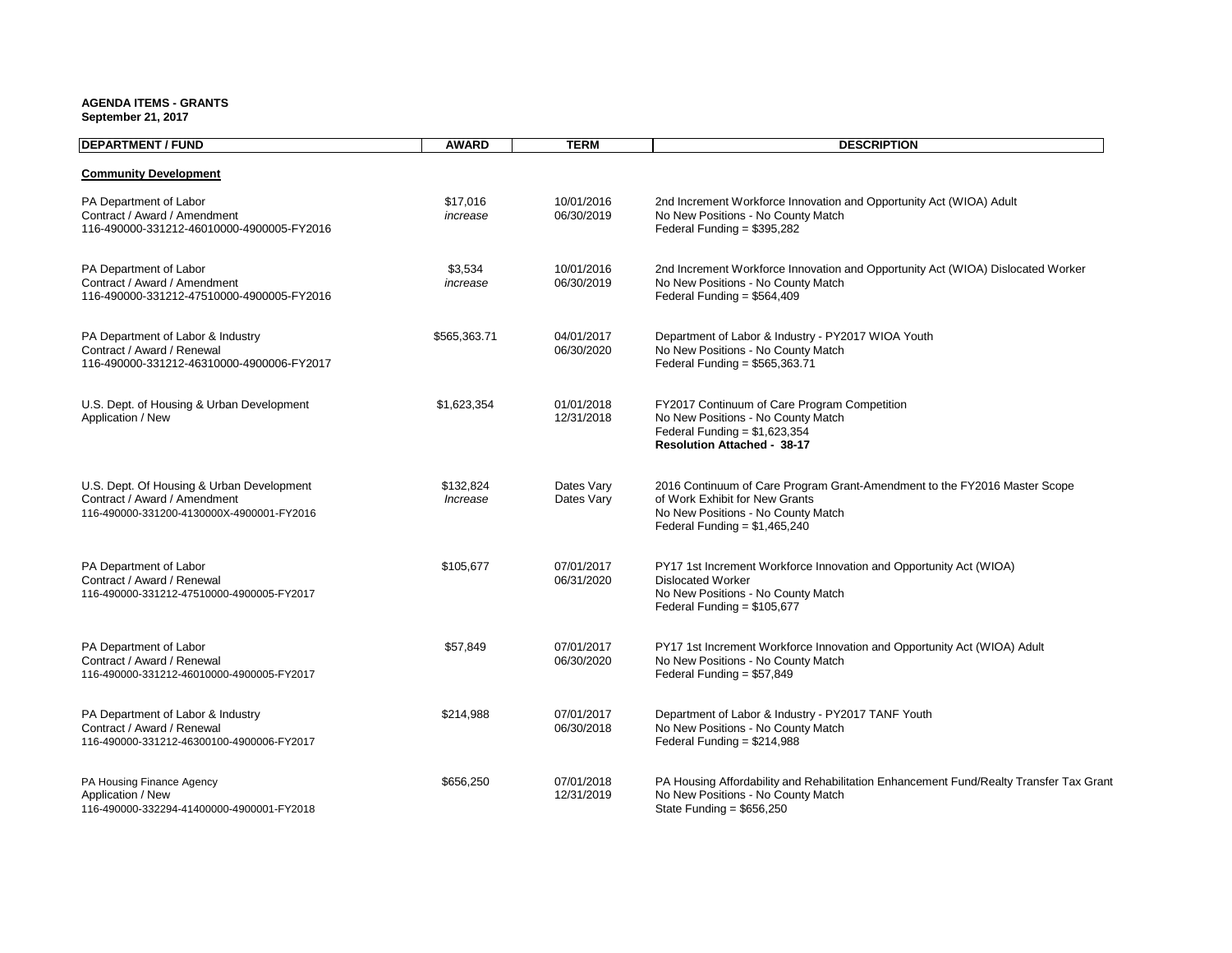#### **AGENDA ITEMS - GRANTS**

**September 21, 2017**

| <b>DEPARTMENT / FUND</b>                                                                                               | <b>AWARD</b>          | <b>TERM</b>              | <b>DESCRIPTION</b>                                                                                                                                                                  |
|------------------------------------------------------------------------------------------------------------------------|-----------------------|--------------------------|-------------------------------------------------------------------------------------------------------------------------------------------------------------------------------------|
| <b>Community Development</b>                                                                                           |                       |                          |                                                                                                                                                                                     |
| PA Department of Labor<br>Contract / Award / Amendment<br>116-490000-331212-46010000-4900005-FY2016                    | \$17,016<br>increase  | 10/01/2016<br>06/30/2019 | 2nd Increment Workforce Innovation and Opportunity Act (WIOA) Adult<br>No New Positions - No County Match<br>Federal Funding = $$395,282$                                           |
| PA Department of Labor<br>Contract / Award / Amendment<br>116-490000-331212-47510000-4900005-FY2016                    | \$3,534<br>increase   | 10/01/2016<br>06/30/2019 | 2nd Increment Workforce Innovation and Opportunity Act (WIOA) Dislocated Worker<br>No New Positions - No County Match<br>Federal Funding = $$564,409$                               |
| PA Department of Labor & Industry<br>Contract / Award / Renewal<br>116-490000-331212-46310000-4900006-FY2017           | \$565,363.71          | 04/01/2017<br>06/30/2020 | Department of Labor & Industry - PY2017 WIOA Youth<br>No New Positions - No County Match<br>Federal Funding = $$565,363.71$                                                         |
| U.S. Dept. of Housing & Urban Development<br>Application / New                                                         | \$1,623,354           | 01/01/2018<br>12/31/2018 | FY2017 Continuum of Care Program Competition<br>No New Positions - No County Match<br>Federal Funding = $$1,623,354$<br><b>Resolution Attached - 38-17</b>                          |
| U.S. Dept. Of Housing & Urban Development<br>Contract / Award / Amendment<br>116-490000-331200-4130000X-4900001-FY2016 | \$132,824<br>Increase | Dates Vary<br>Dates Vary | 2016 Continuum of Care Program Grant-Amendment to the FY2016 Master Scope<br>of Work Exhibit for New Grants<br>No New Positions - No County Match<br>Federal Funding = $$1,465,240$ |
| PA Department of Labor<br>Contract / Award / Renewal<br>116-490000-331212-47510000-4900005-FY2017                      | \$105,677             | 07/01/2017<br>06/31/2020 | PY17 1st Increment Workforce Innovation and Opportunity Act (WIOA)<br><b>Dislocated Worker</b><br>No New Positions - No County Match<br>Federal Funding = $$105,677$                |
| PA Department of Labor<br>Contract / Award / Renewal<br>116-490000-331212-46010000-4900005-FY2017                      | \$57,849              | 07/01/2017<br>06/30/2020 | PY17 1st Increment Workforce Innovation and Opportunity Act (WIOA) Adult<br>No New Positions - No County Match<br>Federal Funding = $$57,849$                                       |
| PA Department of Labor & Industry<br>Contract / Award / Renewal<br>116-490000-331212-46300100-4900006-FY2017           | \$214,988             | 07/01/2017<br>06/30/2018 | Department of Labor & Industry - PY2017 TANF Youth<br>No New Positions - No County Match<br>Federal Funding = $$214,988$                                                            |
| PA Housing Finance Agency<br>Application / New<br>116-490000-332294-41400000-4900001-FY2018                            | \$656,250             | 07/01/2018<br>12/31/2019 | PA Housing Affordability and Rehabilitation Enhancement Fund/Realty Transfer Tax Grant<br>No New Positions - No County Match<br>State Funding = $$656,250$                          |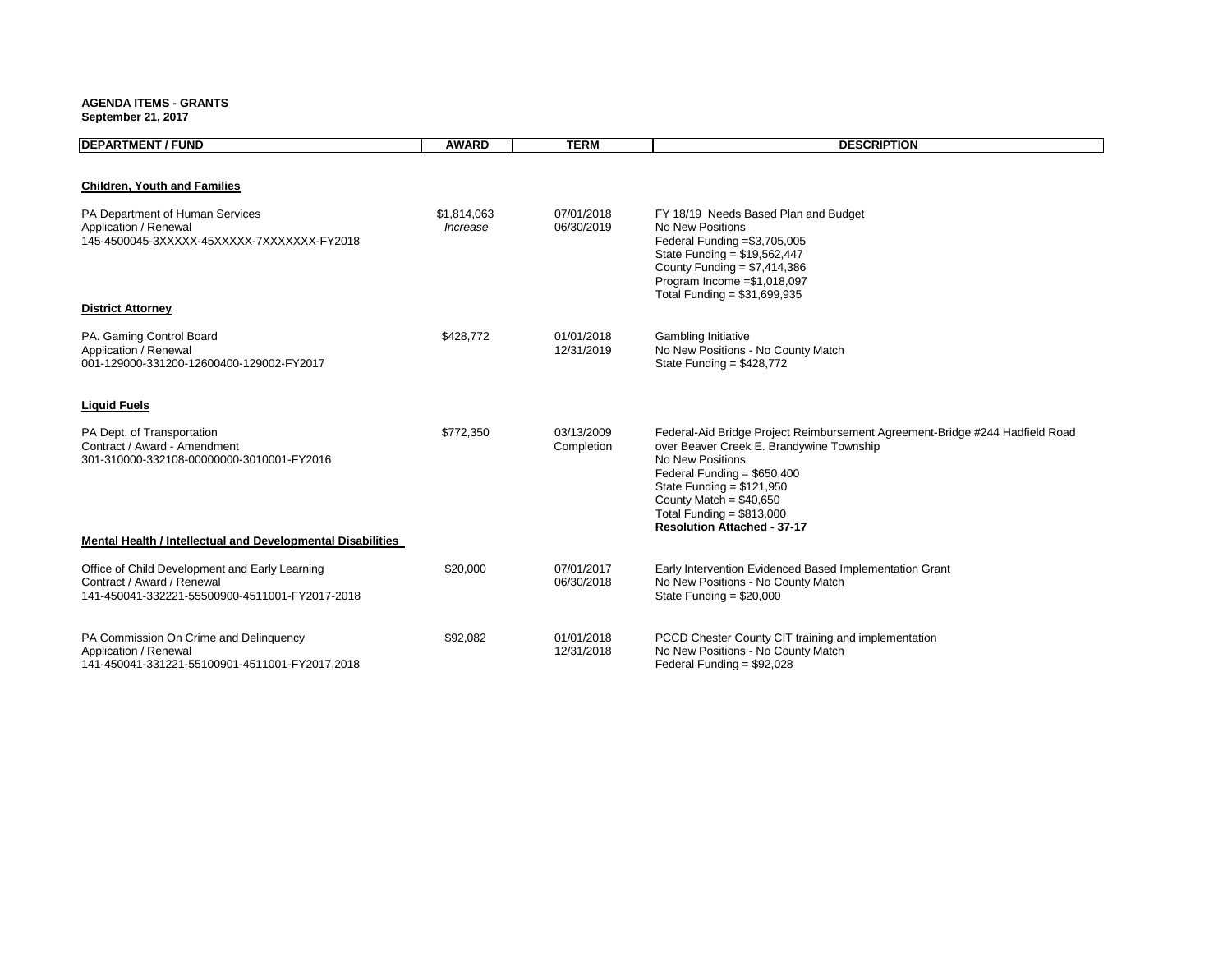**AGENDA ITEMS - GRANTS September 21, 2017**

| <b>DEPARTMENT / FUND</b>                                                                                                       | <b>AWARD</b>            | <b>TERM</b>              | <b>DESCRIPTION</b>                                                                                                                                                                                                                                                                                         |
|--------------------------------------------------------------------------------------------------------------------------------|-------------------------|--------------------------|------------------------------------------------------------------------------------------------------------------------------------------------------------------------------------------------------------------------------------------------------------------------------------------------------------|
|                                                                                                                                |                         |                          |                                                                                                                                                                                                                                                                                                            |
| <b>Children, Youth and Families</b>                                                                                            |                         |                          |                                                                                                                                                                                                                                                                                                            |
| PA Department of Human Services<br>Application / Renewal<br>145-4500045-3XXXXX-45XXXXX-7XXXXXXX-FY2018                         | \$1,814,063<br>Increase | 07/01/2018<br>06/30/2019 | FY 18/19 Needs Based Plan and Budget<br>No New Positions<br>Federal Funding = \$3,705,005<br>State Funding = \$19,562,447<br>County Funding = $$7,414,386$<br>Program Income = \$1,018,097<br>Total Funding = $$31,699,935$                                                                                |
| <b>District Attorney</b>                                                                                                       |                         |                          |                                                                                                                                                                                                                                                                                                            |
| PA. Gaming Control Board<br>Application / Renewal<br>001-129000-331200-12600400-129002-FY2017                                  | \$428,772               | 01/01/2018<br>12/31/2019 | Gambling Initiative<br>No New Positions - No County Match<br>State Funding = $$428,772$                                                                                                                                                                                                                    |
| <b>Liquid Fuels</b>                                                                                                            |                         |                          |                                                                                                                                                                                                                                                                                                            |
| PA Dept. of Transportation<br>Contract / Award - Amendment<br>301-310000-332108-00000000-3010001-FY2016                        | \$772,350               | 03/13/2009<br>Completion | Federal-Aid Bridge Project Reimbursement Agreement-Bridge #244 Hadfield Road<br>over Beaver Creek E. Brandywine Township<br>No New Positions<br>Federal Funding = $$650,400$<br>State Funding = $$121,950$<br>County Match = $$40,650$<br>Total Funding = $$813,000$<br><b>Resolution Attached - 37-17</b> |
| <b>Mental Health / Intellectual and Developmental Disabilities</b>                                                             |                         |                          |                                                                                                                                                                                                                                                                                                            |
| Office of Child Development and Early Learning<br>Contract / Award / Renewal<br>141-450041-332221-55500900-4511001-FY2017-2018 | \$20,000                | 07/01/2017<br>06/30/2018 | Early Intervention Evidenced Based Implementation Grant<br>No New Positions - No County Match<br>State Funding = $$20,000$                                                                                                                                                                                 |
| PA Commission On Crime and Delinquency<br>Application / Renewal<br>141-450041-331221-55100901-4511001-FY2017,2018              | \$92,082                | 01/01/2018<br>12/31/2018 | PCCD Chester County CIT training and implementation<br>No New Positions - No County Match<br>Federal Funding = \$92,028                                                                                                                                                                                    |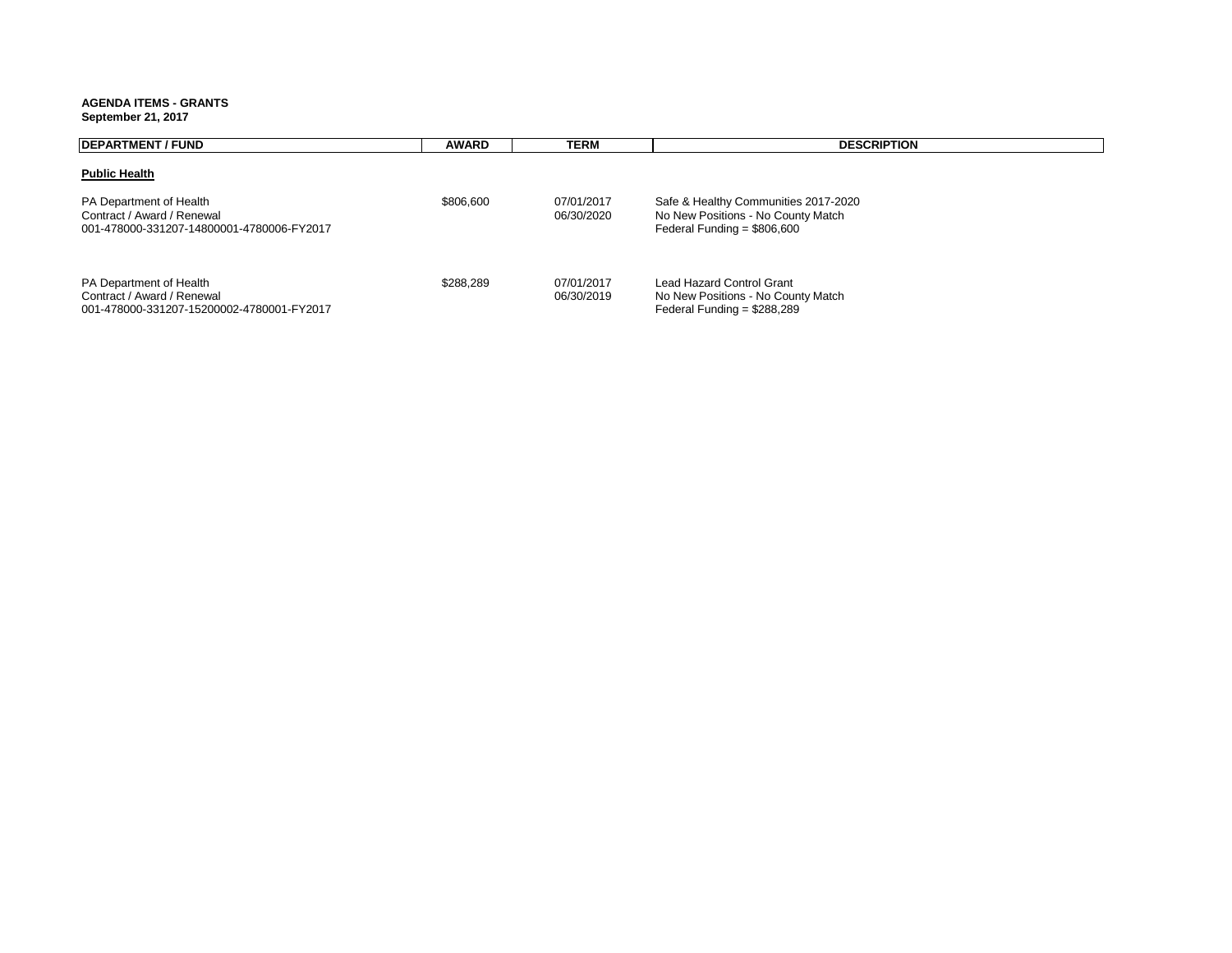**AGENDA ITEMS - GRANTS**

#### **September 21, 2017**

| <b>DEPARTMENT / FUND</b>                                                                           | <b>AWARD</b> | TERM                     | <b>DESCRIPTION</b>                                                                                         |  |
|----------------------------------------------------------------------------------------------------|--------------|--------------------------|------------------------------------------------------------------------------------------------------------|--|
| <b>Public Health</b>                                                                               |              |                          |                                                                                                            |  |
| PA Department of Health<br>Contract / Award / Renewal<br>001-478000-331207-14800001-4780006-FY2017 | \$806,600    | 07/01/2017<br>06/30/2020 | Safe & Healthy Communities 2017-2020<br>No New Positions - No County Match<br>Federal Funding = $$806,600$ |  |
| PA Department of Health<br>Contract / Award / Renewal<br>001-478000-331207-15200002-4780001-FY2017 | \$288.289    | 07/01/2017<br>06/30/2019 | Lead Hazard Control Grant<br>No New Positions - No County Match<br>Federal Funding = $$288,289$            |  |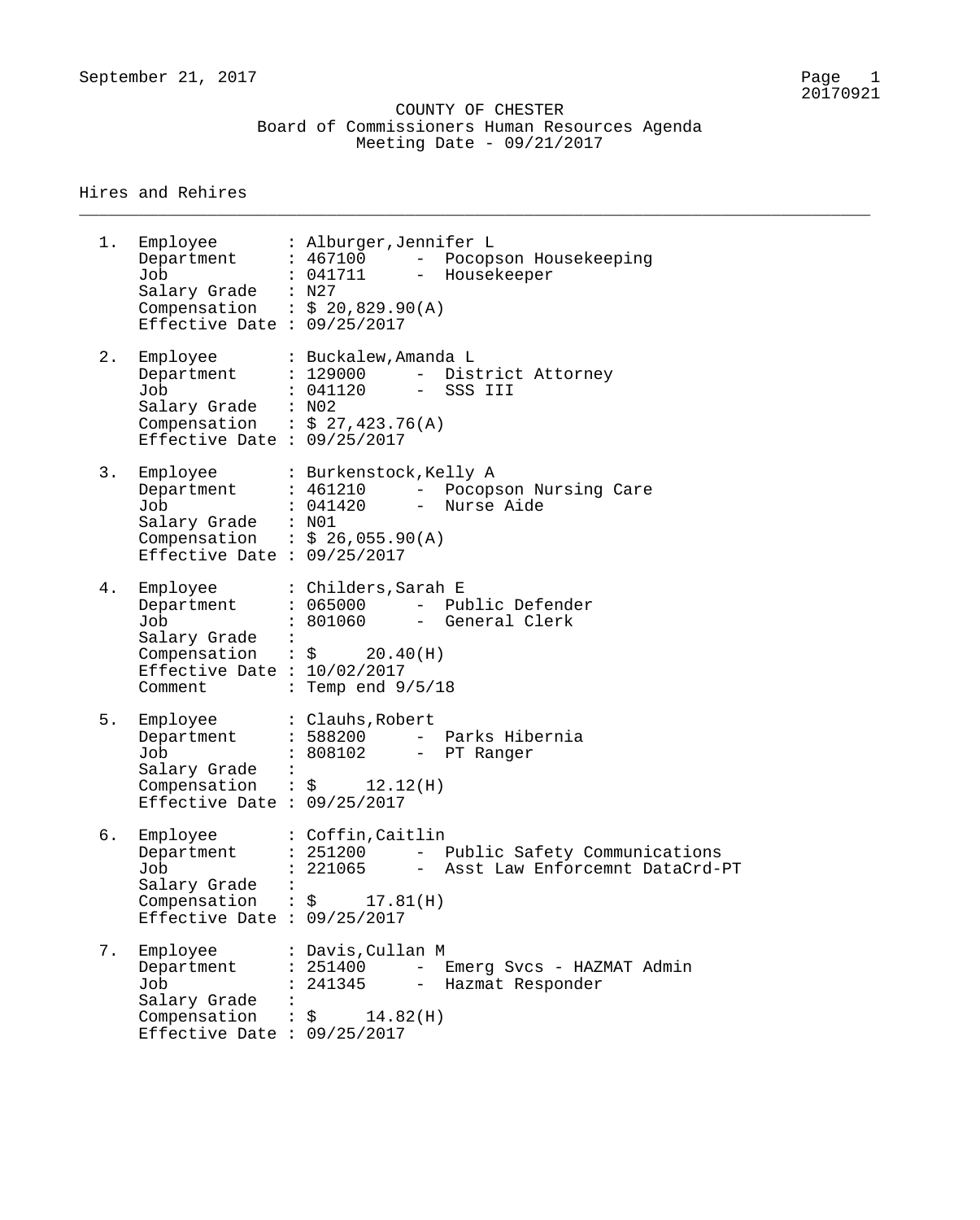\_\_\_\_\_\_\_\_\_\_\_\_\_\_\_\_\_\_\_\_\_\_\_\_\_\_\_\_\_\_\_\_\_\_\_\_\_\_\_\_\_\_\_\_\_\_\_\_\_\_\_\_\_\_\_\_\_\_\_\_\_\_\_\_\_\_\_\_\_\_\_\_\_\_\_\_\_\_\_\_

#### Hires and Rehires

1. Employee : Alburger,Jennifer L Department : 467100 - Pocopson Housekeeping Job : 041711 - Housekeeper Salary Grade : N27 Compensation :  $$20,829.90 (A)$ Effective Date : 09/25/2017 2. Employee : Buckalew,Amanda L Department : 129000 - District Attorney Job : 041120 - SSS III Salary Grade : N02 Compensation :  $$27,423.76(A)$ Effective Date : 09/25/2017 3. Employee : Burkenstock,Kelly A Department : 461210 - Pocopson Nursing Care Job : 041420 - Nurse Aide Salary Grade : N01 Compensation :  $$26,055.90(A)$ Effective Date : 09/25/2017 4. Employee : Childers, Sarah E Department : 065000 - Public Defender Job : 801060 - General Clerk Salary Grade :  $Comparison : \S$  20.40(H) Effective Date : 10/02/2017 Comment : Temp end  $9/5/18$ 5. Employee : Clauhs, Robert Department : 588200 - Parks Hibernia Job : 808102 - PT Ranger Salary Grade : Compensation :  $\zeta$  12.12(H) Effective Date : 09/25/2017 6. Employee : Coffin,Caitlin Department : 251200 - Public Safety Communications Job : 221065 - Asst Law Enforcemnt DataCrd-PT Salary Grade : Compensation :  $\zeta$  17.81(H) Effective Date : 09/25/2017 7. Employee : Davis,Cullan M Department : 251400 - Emerg Svcs - HAZMAT Admin Job : 241345 - Hazmat Responder Salary Grade : Compensation :  $\zeta$  14.82(H) Effective Date : 09/25/2017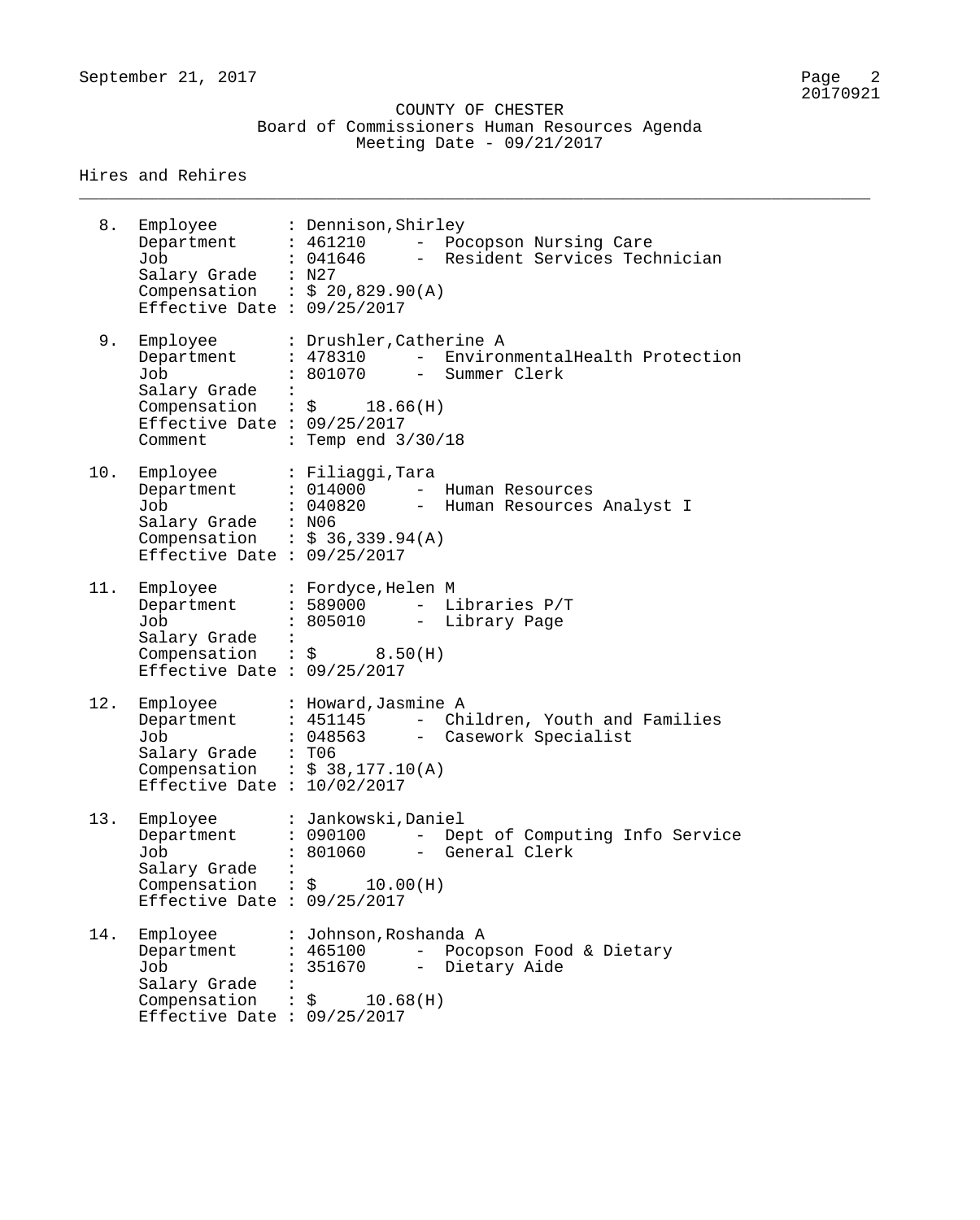\_\_\_\_\_\_\_\_\_\_\_\_\_\_\_\_\_\_\_\_\_\_\_\_\_\_\_\_\_\_\_\_\_\_\_\_\_\_\_\_\_\_\_\_\_\_\_\_\_\_\_\_\_\_\_\_\_\_\_\_\_\_\_\_\_\_\_\_\_\_\_\_\_\_\_\_\_\_\_\_

| 8.  | Employee<br>Department<br>Job<br>Salary Grade : N27<br>Effective Date : $09/25/2017$          | : Dennison, Shirley<br>$: 461210 -$<br>Pocopson Nursing Care<br>- Resident Services Technician<br>: 041646<br>Compensation : $$ 20,829.90(A)$                                                        |
|-----|-----------------------------------------------------------------------------------------------|------------------------------------------------------------------------------------------------------------------------------------------------------------------------------------------------------|
| 9.  | Employee<br>Department<br>Job<br>Salary Grade<br>Effective Date : $09/25/2017$<br>Comment     | : Drushler, Catherine A<br>EnvironmentalHealth Protection<br>: 478310<br>$\frac{1}{2}$<br>: 801070<br>Summer Clerk<br>$\frac{1}{2}$<br>Compensation : $\frac{1}{5}$ 18.66(H)<br>: Temp end $3/30/18$ |
| 10. | Employee<br>Department : 014000<br>Job<br>Salary Grade : N06<br>Effective Date : $09/25/2017$ | : Filiaggi,Tara<br>Human Resources<br>$-$<br>: 040820<br>Human Resources Analyst I<br>$ -$<br>Compensation : $$36,339.94(A)$                                                                         |
| 11. | Employee<br>Department<br>Job<br>Salary Grade :<br>Effective Date : $09/25/2017$              | : Fordyce, Helen M<br>$: 589000$ -<br>Libraries P/T<br>: 805010 - Library Page<br>Compensation : $\zeta$ 8.50(H)                                                                                     |
| 12. | Employee<br>Department<br>Job<br>Salary Grade : T06<br>Effective Date : $10/02/2017$          | : Howard, Jasmine A<br>: 451145<br>Children, Youth and Families<br>$-$<br>: 048563 - Casework Specialist<br>Compensation : $$38,177.10(A)$                                                           |
| 13. | Employee<br>Department<br>Job<br>Salary Grade<br>Effective Date : $09/25/2017$                | : Jankowski, Daniel<br>Dept of Computing Info Service<br>: 090100<br>: 801060<br>General Clerk<br>$ -$<br>Compensation : $\frac{1}{2}$ 10.00(H)                                                      |
| 14. | Employee<br>Department<br>Job<br>Salary Grade<br>Effective Date : $09/25/2017$                | : Johnson, Roshanda A<br>: 465100<br>Pocopson Food & Dietary<br>$-$<br>: 351670<br>Dietary Aide<br>$-$<br>Compensation : $\frac{1}{2}$ 10.68(H)                                                      |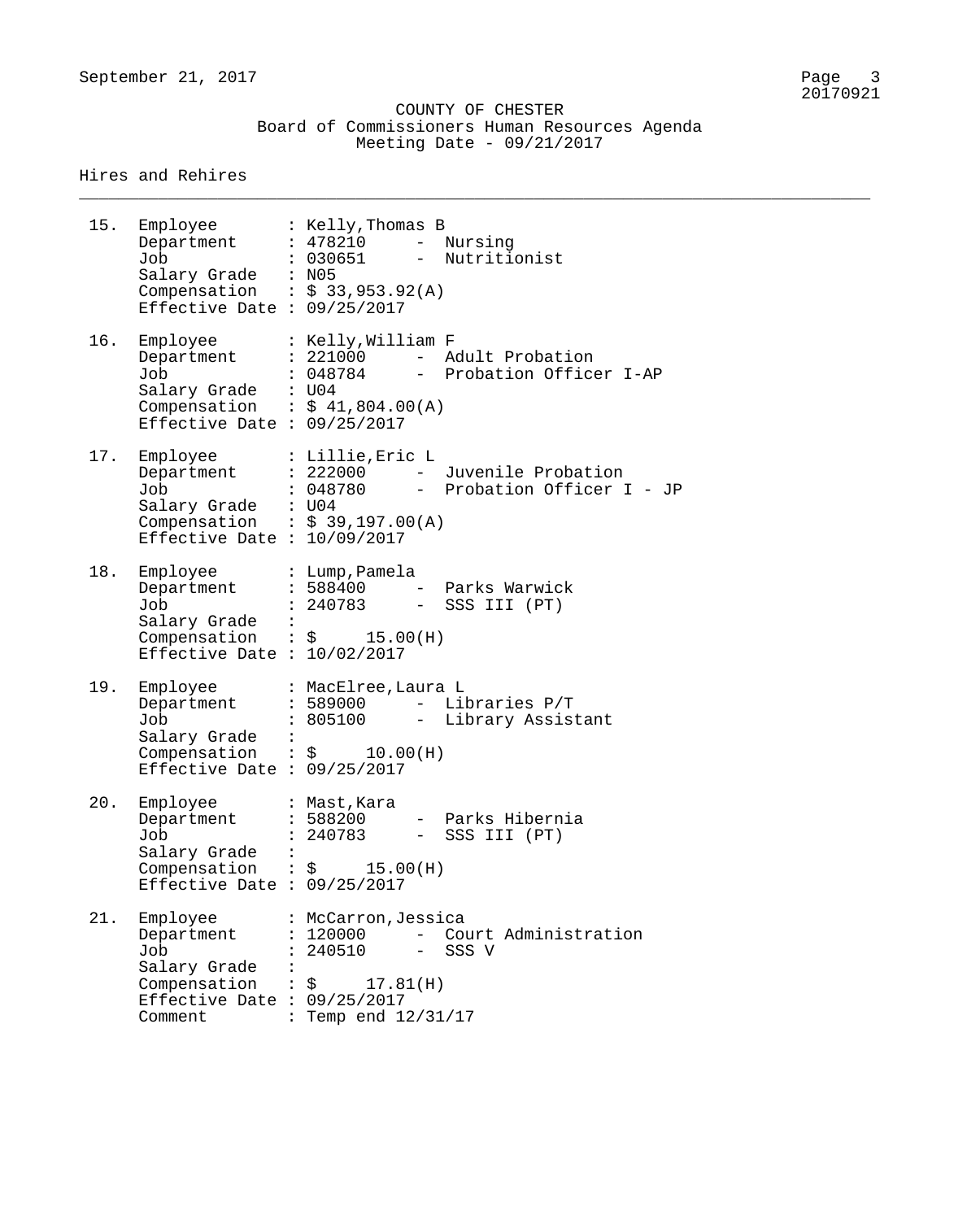\_\_\_\_\_\_\_\_\_\_\_\_\_\_\_\_\_\_\_\_\_\_\_\_\_\_\_\_\_\_\_\_\_\_\_\_\_\_\_\_\_\_\_\_\_\_\_\_\_\_\_\_\_\_\_\_\_\_\_\_\_\_\_\_\_\_\_\_\_\_\_\_\_\_\_\_\_\_\_\_

| 15. | Employee<br>Department<br>Job<br>Salary Grade : N05<br>Compensation : $$33,953.92(A)$<br>Effective Date : $09/25/2017$                  | : Kelly,Thomas B<br>: 478210<br>- Nursing<br>- Nutritionist<br>: 030651                                             |
|-----|-----------------------------------------------------------------------------------------------------------------------------------------|---------------------------------------------------------------------------------------------------------------------|
| 16. | Department<br>Job<br>Salary Grade : U04<br>Compensation : $$41,804.00(A)$<br>Effective Date : $09/25/2017$                              | Employee : Kelly, William F<br>: 221000 - Adult Probation<br>: 048784<br>- Probation Officer I-AP                   |
| 17. | Employee : Lillie, Eric L<br>Department<br>Job<br>Salary Grade : U04<br>Compensation : $$39,197.00(A)$<br>Effective Date : $10/09/2017$ | : 222000 - Juvenile Probation<br>: 048780<br>- Probation Officer I - JP                                             |
| 18. | Employee<br>Department<br>Job<br>Salary Grade :<br>Compensation : $\sin 15.00(H)$<br>Effective Date : $10/02/2017$                      | : Lump, Pamela<br>: 588400 - Parks Warwick<br>: 240783<br>- SSS III (PT)                                            |
| 19. | Employee<br>Department<br>Job<br>Salary Grade :<br>Compensation : $\frac{1}{2}$ 10.00(H)<br>Effective Date : $09/25/2017$               | : MacElree, Laura L<br>: 589000<br>- Libraries P/T<br>: 805100 - Library Assistant                                  |
| 20. | Employee<br>Department<br>Job<br>Salary Grade<br>Compensation<br>Effective Date : $09/25/2017$                                          | : Mast, Kara<br>- Parks Hibernia<br>: 588200<br>$240783 -$<br>SSS III (PT)<br>$\therefore$ \$ 15.00(H)              |
| 21. | Employee<br>Department<br>Job<br>Salary Grade<br>Compensation<br>Effective Date : $09/25/2017$<br>Comment                               | : McCarron, Jessica<br>: 120000<br>- Court Administration<br>240510<br>- SSS V<br>\$17.81(H)<br>: Temp end 12/31/17 |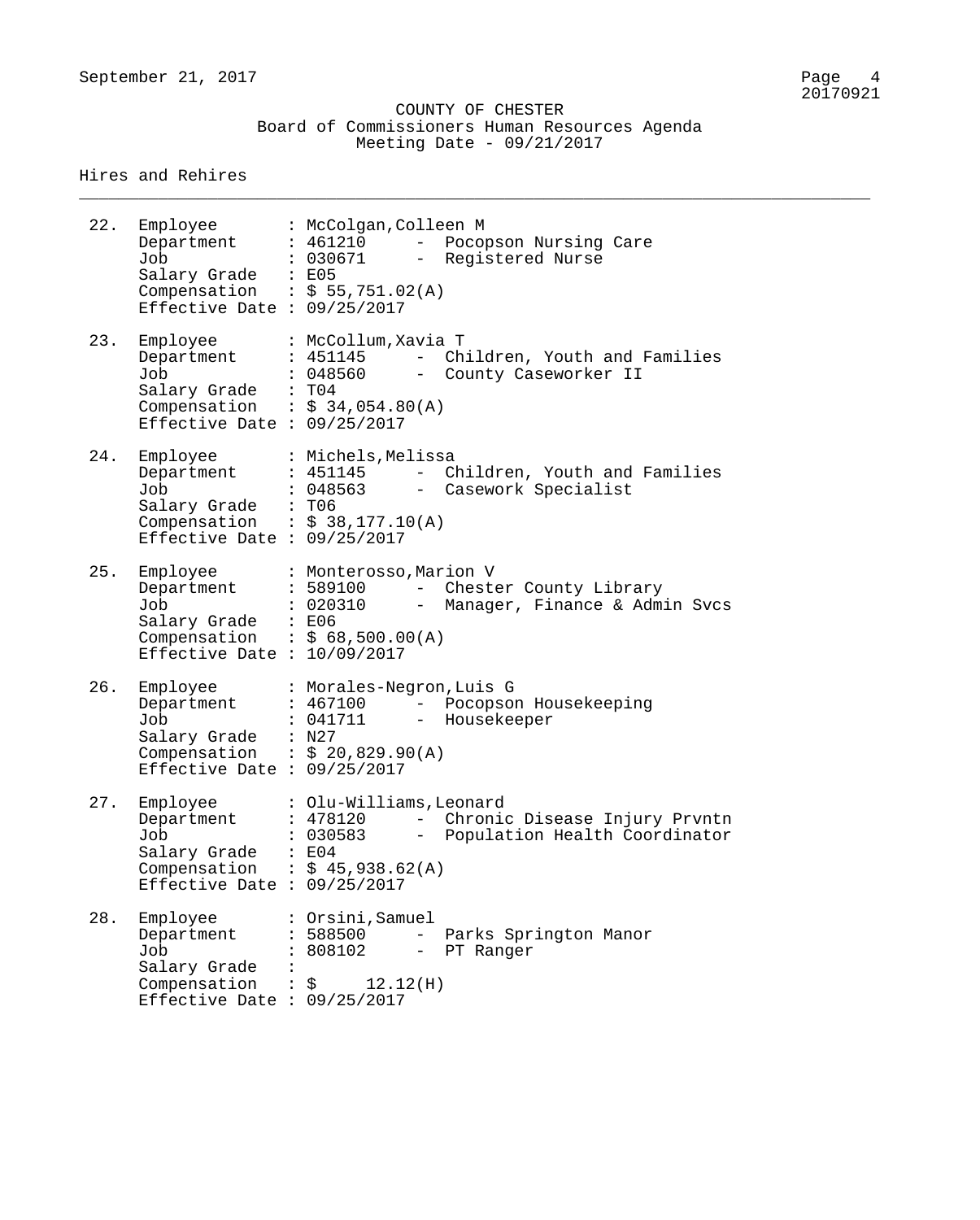\_\_\_\_\_\_\_\_\_\_\_\_\_\_\_\_\_\_\_\_\_\_\_\_\_\_\_\_\_\_\_\_\_\_\_\_\_\_\_\_\_\_\_\_\_\_\_\_\_\_\_\_\_\_\_\_\_\_\_\_\_\_\_\_\_\_\_\_\_\_\_\_\_\_\_\_\_\_\_\_

| 22. | Employee<br>Department<br>Job<br>Salary Grade : E05<br>Effective Date : $09/25/2017$           | : McColgan, Colleen M<br>: 461210<br>Pocopson Nursing Care<br>$ \,$<br>: 030671<br>- Registered Nurse<br>Compensation : $$55,751.02(A)$                                                   |
|-----|------------------------------------------------------------------------------------------------|-------------------------------------------------------------------------------------------------------------------------------------------------------------------------------------------|
| 23. | Employee<br>Department<br>Job<br>Salary Grade<br>Effective Date : $09/25/2017$                 | : McCollum, Xavia T<br>: 451145<br>Children, Youth and Families<br>$\frac{1}{2}$ and $\frac{1}{2}$<br>: 048560<br>- County Caseworker II<br>: T04<br>Compensation : $$34,054.80(A)$       |
| 24. | Employee<br>Department<br>Job<br>Salary Grade<br>Effective Date : $09/25/2017$                 | : Michels, Melissa<br>: 451145<br>Children, Youth and Families<br>$\frac{1}{2}$<br>: 048563<br>- Casework Specialist<br>: T06<br>Compensation : $$38,177.10(A)$                           |
| 25. | Employee<br>Department<br>Job<br>Salary Grade<br>Effective Date : $10/09/2017$                 | : Monterosso, Marion V<br>: 589100<br>Chester County Library<br>$\frac{1}{2}$ and $\frac{1}{2}$<br>: 020310<br>- Manager, Finance & Admin Svcs<br>: E06<br>Compensation : $$68,500.00(A)$ |
| 26. | Employee<br>Department<br>Job<br>Salary Grade<br>Effective Date : $09/25/2017$                 | : Morales-Negron, Luis G<br>: 467100<br>- Pocopson Housekeeping<br>: 041711<br>- Housekeeper<br>: N27<br>Compensation : $$ 20,829.90(A)$                                                  |
| 27. | Employee<br>Department<br>Job<br>Salary Grade<br>Compensation<br>Effective Date : $09/25/2017$ | : Olu-Williams, Leonard<br>: 478120<br>Chronic Disease Injury Prvntn<br>$ -$<br>: 030583<br>Population Health Coordinator<br>: E04<br>: $$45,938.62(A)$                                   |
| 28. | Employee<br>Department<br>Job<br>Salary Grade<br>Compensation<br>Effective Date : $09/25/2017$ | : Orsini,Samuel<br>: 588500<br>- Parks Springton Manor<br>: 808102<br>- PT Ranger<br>$:$ $\uparrow$<br>12.12(H)                                                                           |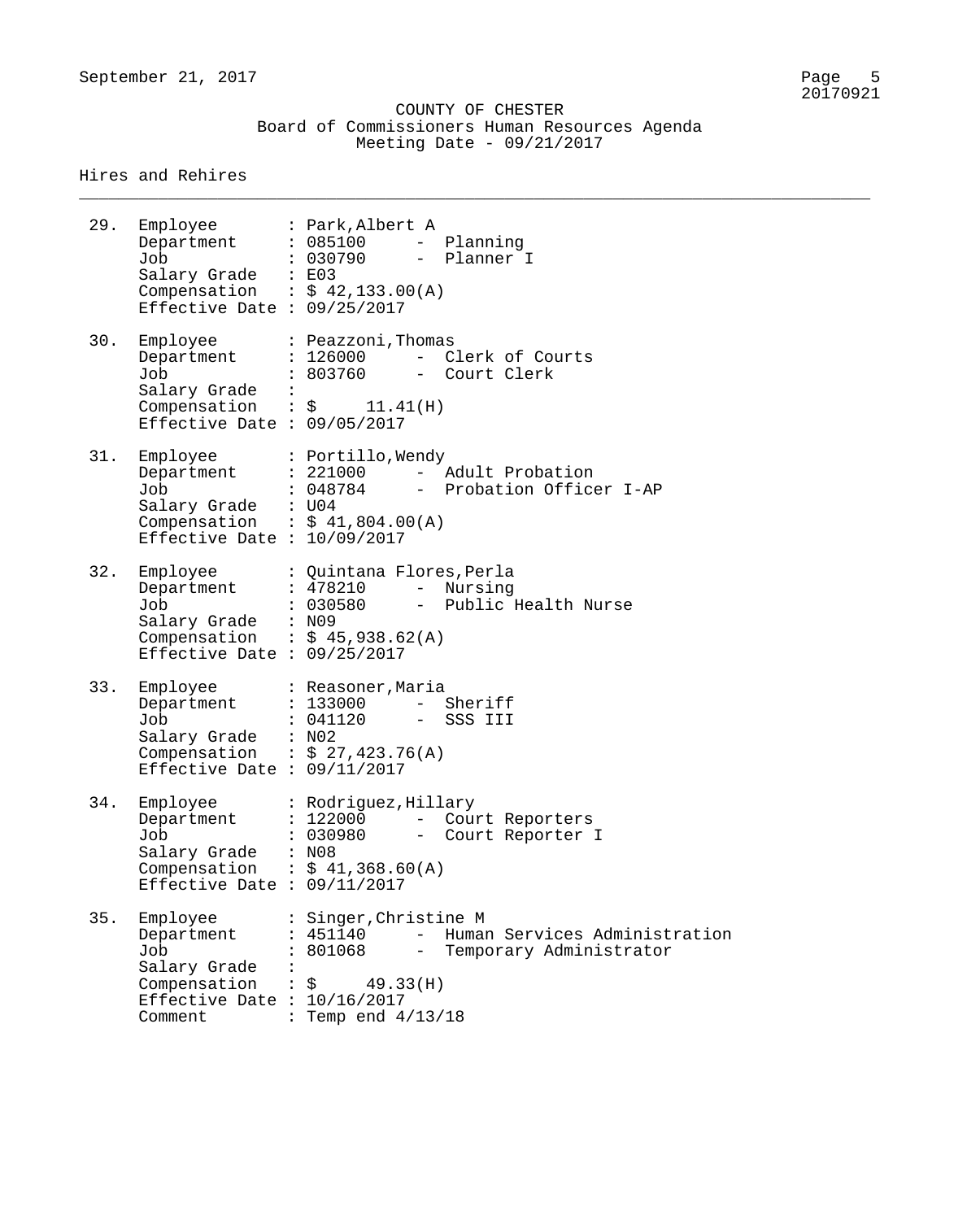\_\_\_\_\_\_\_\_\_\_\_\_\_\_\_\_\_\_\_\_\_\_\_\_\_\_\_\_\_\_\_\_\_\_\_\_\_\_\_\_\_\_\_\_\_\_\_\_\_\_\_\_\_\_\_\_\_\_\_\_\_\_\_\_\_\_\_\_\_\_\_\_\_\_\_\_\_\_\_\_

| 29. | Employee<br>Department<br>Job<br>Salary Grade : E03<br>Effective Date : $09/25/2017$                      | : Park, Albert A<br>: 085100<br>Planning<br>$\frac{1}{2}$<br>: 030790<br>- Planner I<br>Compensation : $$42,133.00(A)$                                                            |
|-----|-----------------------------------------------------------------------------------------------------------|-----------------------------------------------------------------------------------------------------------------------------------------------------------------------------------|
| 30. | Employee<br>Department<br>Job<br>Salary Grade<br>Effective Date : $09/05/2017$                            | : Peazzoni, Thomas<br>: 126000 - Clerk of Courts<br>: 803760<br>- Court Clerk<br>Compensation : $\zeta$ 11.41(H)                                                                  |
| 31. | Employee<br>Department<br>Job<br>Salary Grade : U04<br>Effective Date : $10/09/2017$                      | : Portillo, Wendy<br>: 221000 - Adult Probation<br>: 048784 - Probation Officer I-AP<br>Compensation : $$41,804.00(A)$                                                            |
| 32. | Employee<br>Department<br>Job<br>Salary Grade : N09<br>Effective Date : $09/25/2017$                      | : Quintana Flores, Perla<br>: 478210 - Nursing<br>: 030580 - Public Health Nurse<br>Compensation : $$45,938.62(A)$                                                                |
| 33. | Employee<br>Department<br>Job<br>Salary Grade : N02<br>Effective Date : $09/11/2017$                      | : Reasoner, Maria<br>: 133000 - Sheriff<br>: 041120<br>- SSS III<br>Compensation : $$27,423.76(A)$                                                                                |
| 34. | Employee<br>Department<br>Job<br>Salary Grade<br>Effective Date : $09/11/2017$                            | : Rodriguez, Hillary<br>: 122000 - Court Reporters<br>: 030980 - Court Reporter I<br>: N08<br>Compensation : $$41,368.60(A)$                                                      |
| 35. | Employee<br>Department<br>Job<br>Salary Grade<br>Compensation<br>Effective Date : $10/16/2017$<br>Comment | : Singer, Christine M<br>Human Services Administration<br>: 451140<br>$\frac{1}{2}$<br>$\frac{1}{2}$<br>: 801068<br>Temporary Administrator<br>\$49.33(H)<br>: Temp end $4/13/18$ |
|     |                                                                                                           |                                                                                                                                                                                   |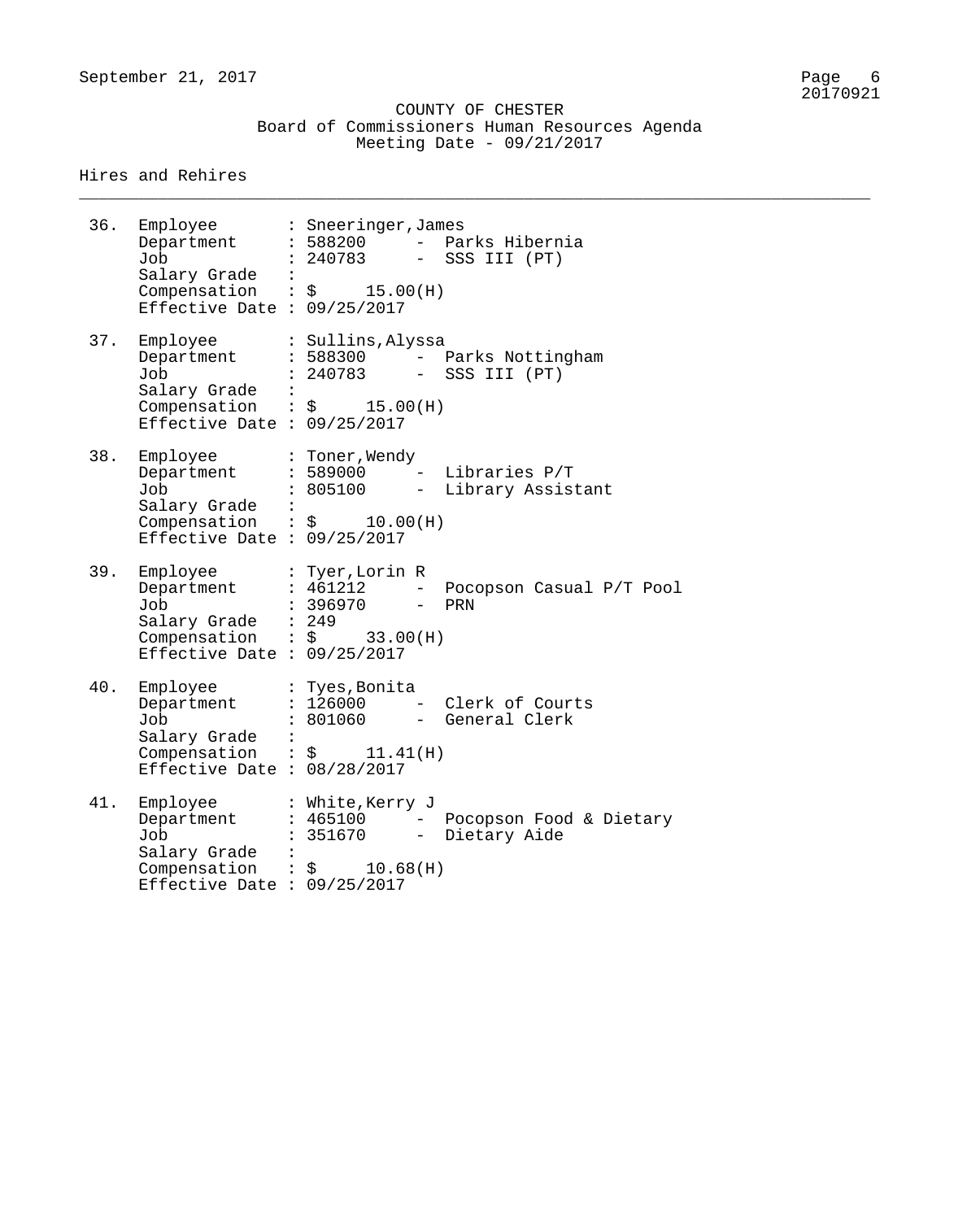\_\_\_\_\_\_\_\_\_\_\_\_\_\_\_\_\_\_\_\_\_\_\_\_\_\_\_\_\_\_\_\_\_\_\_\_\_\_\_\_\_\_\_\_\_\_\_\_\_\_\_\_\_\_\_\_\_\_\_\_\_\_\_\_\_\_\_\_\_\_\_\_\_\_\_\_\_\_\_\_

| 36. | Employee<br>Department<br>Job<br>Salary Grade<br>Compensation : $\zeta$ 15.00(H)<br>Effective Date : $09/25/2017$             |                | : Sneeringer, James<br>: 588200 - Parks Hibernia<br>: 240783<br>- SSS III (PT)                                 |
|-----|-------------------------------------------------------------------------------------------------------------------------------|----------------|----------------------------------------------------------------------------------------------------------------|
| 37. | Employee<br>Department<br>Job<br>Salary Grade<br>Compensation<br>Effective Date : $09/25/2017$                                |                | : Sullins, Alyssa<br>: 588300 - Parks Nottingham<br>: 240783 - SSS III (PT)<br>$\therefore$ \$ 15.00(H)        |
| 38. | Employee<br>Department<br>Job<br>Salary Grade<br>Compensation : $\frac{1}{2}$ 10.00(H)<br>Effective Date : $09/25/2017$       | $\ddot{\cdot}$ | : Toner, Wendy<br>$: 589000 -$ Libraries P/T<br>: 805100<br>- Library Assistant                                |
| 39. | Employee<br>Department<br>Job<br>Salary Grade : 249<br>Compensation : $\frac{1}{5}$ 33.00(H)<br>Effective Date : $09/25/2017$ |                | : Tyer,Lorin R<br>: 461212<br>- Pocopson Casual P/T Pool<br>: 396970 - PRN                                     |
| 40. | Employee<br>Department<br>Job<br>Salary Grade :<br>Effective Date : $08/28/2017$                                              |                | : Tyes,Bonita<br>: 126000 - Clerk of Courts<br>: 801060 - General Clerk<br>Compensation : $\zeta$ 11.41(H)     |
| 41. | Employee<br>Department<br>Job<br>Salary Grade<br>Compensation<br>Effective Date : $09/25/2017$                                |                | : White, Kerry J<br>: 465100 - Pocopson Food & Dietary<br>351670<br>- Dietary Aide<br>$\therefore$ \$ 10.68(H) |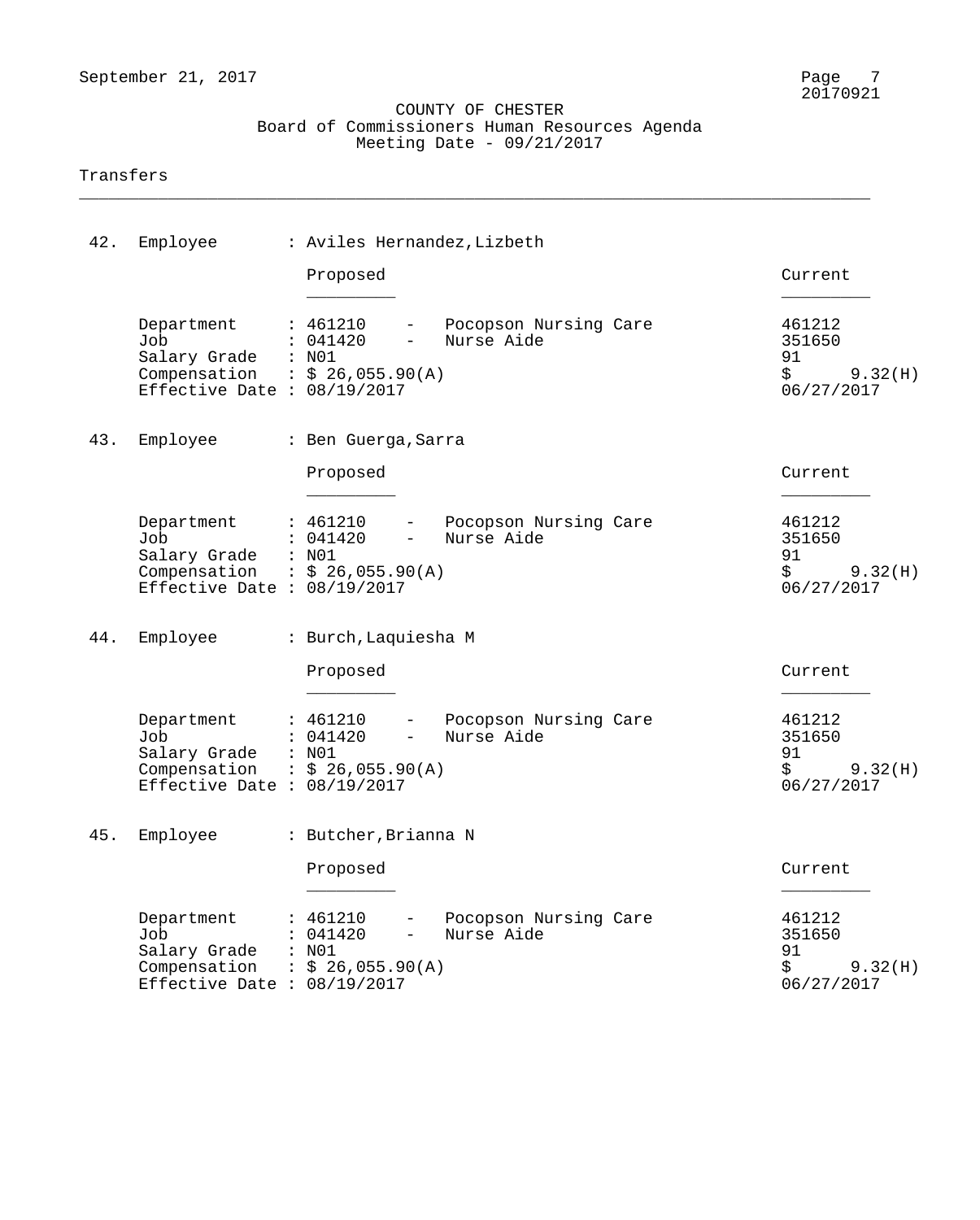\_\_\_\_\_\_\_\_\_\_\_\_\_\_\_\_\_\_\_\_\_\_\_\_\_\_\_\_\_\_\_\_\_\_\_\_\_\_\_\_\_\_\_\_\_\_\_\_\_\_\_\_\_\_\_\_\_\_\_\_\_\_\_\_\_\_\_\_\_\_\_\_\_\_\_\_\_\_\_\_

#### Transfers

| 42. | Employee                                                                                                   | : Aviles Hernandez, Lizbeth                                                                          |                                                                        |
|-----|------------------------------------------------------------------------------------------------------------|------------------------------------------------------------------------------------------------------|------------------------------------------------------------------------|
|     |                                                                                                            | Proposed                                                                                             | Current                                                                |
|     | Department<br>Job<br>Salary Grade : N01<br>Compensation : $$26,055.90(A)$<br>Effective Date : $08/19/2017$ | : 461210<br>- Pocopson Nursing Care<br>Nurse Aide<br>: 041420<br>$-$                                 | 461212<br>351650<br>91<br>$\ddot{\mathsf{S}}$<br>9.32(H)<br>06/27/2017 |
| 43. | Employee                                                                                                   | : Ben Guerga, Sarra                                                                                  |                                                                        |
|     |                                                                                                            | Proposed                                                                                             | Current                                                                |
|     | Department<br>Job<br>Salary Grade : N01<br>Compensation : $$26,055.90(A)$<br>Effective Date : $08/19/2017$ | : 461210<br>- Pocopson Nursing Care<br>$\frac{1}{2}$ .<br>Nurse Aide<br>: 041420                     | 461212<br>351650<br>91<br>\$<br>9.32(H)<br>06/27/2017                  |
| 44. | Employee                                                                                                   | : Burch, Laquiesha M                                                                                 |                                                                        |
|     |                                                                                                            | Proposed                                                                                             | Current                                                                |
|     | Department<br>Job<br>Salary Grade : N01<br>Compensation : $$26,055.90(A)$<br>Effective Date : $08/19/2017$ | : 461210<br>- Pocopson Nursing Care<br>$\frac{1}{2}$ and $\frac{1}{2}$<br>Nurse Aide<br>: 041420     | 461212<br>351650<br>91<br>\$<br>9.32(H)<br>06/27/2017                  |
|     | 45. Employee                                                                                               | : Butcher, Brianna N                                                                                 |                                                                        |
|     |                                                                                                            | Proposed                                                                                             | Current                                                                |
|     | Department<br>Job<br>Salary Grade<br>Compensation<br>Effective Date : $08/19/2017$                         | Pocopson Nursing Care<br>: 461210<br>Nurse Aide<br>: 041420<br>: N01<br>$\therefore$ \$ 26,055.90(A) | 461212<br>351650<br>91<br>\$<br>9.32(H)<br>06/27/2017                  |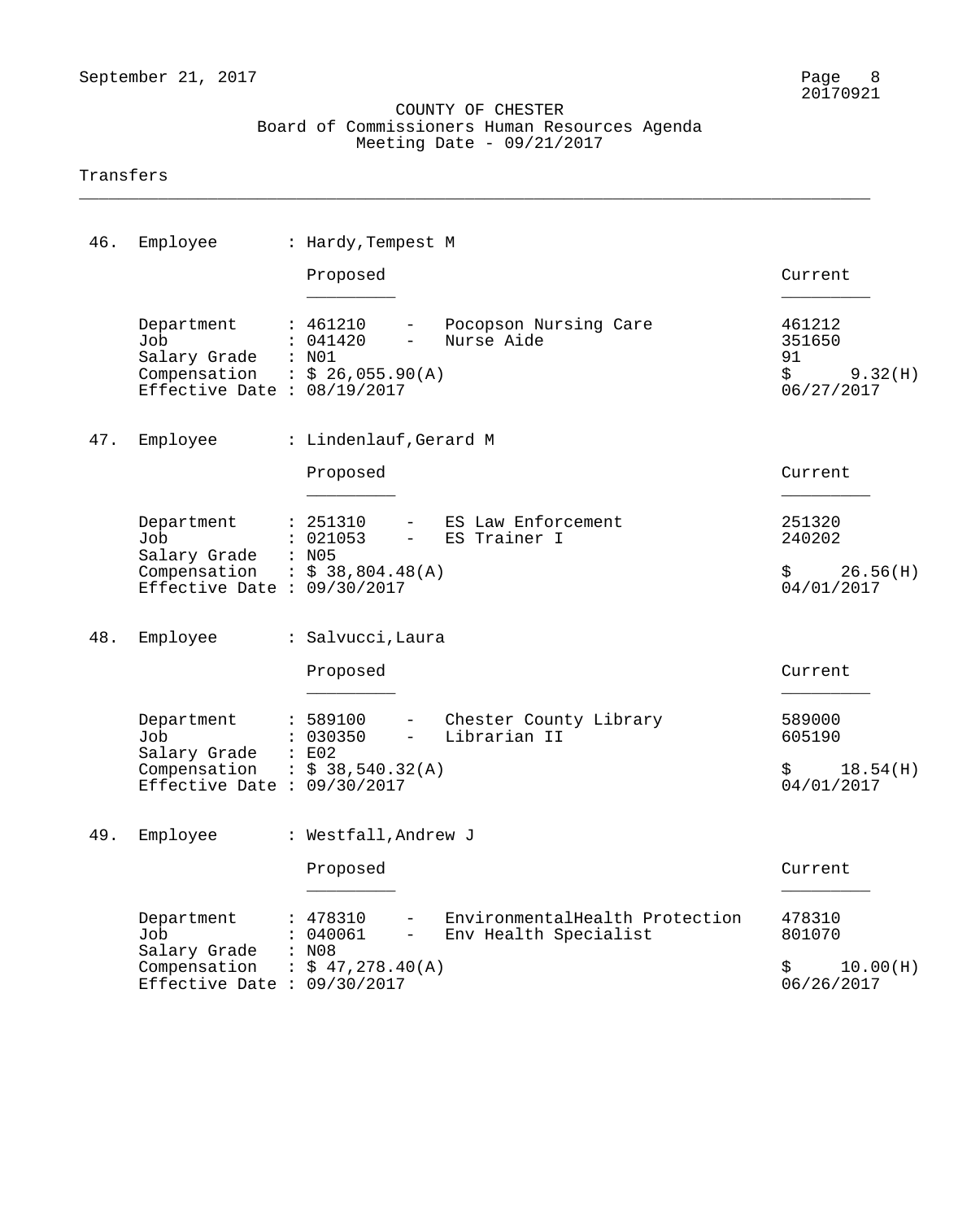\_\_\_\_\_\_\_\_\_\_\_\_\_\_\_\_\_\_\_\_\_\_\_\_\_\_\_\_\_\_\_\_\_\_\_\_\_\_\_\_\_\_\_\_\_\_\_\_\_\_\_\_\_\_\_\_\_\_\_\_\_\_\_\_\_\_\_\_\_\_\_\_\_\_\_\_\_\_\_\_

#### Transfers

| 46. | Employee                                                                                             | : Hardy, Tempest M                                                                                                        |                                                       |
|-----|------------------------------------------------------------------------------------------------------|---------------------------------------------------------------------------------------------------------------------------|-------------------------------------------------------|
|     |                                                                                                      | Proposed                                                                                                                  | Current                                               |
|     | Department<br>Job<br>Salary Grade<br>Compensation : $$26,055.90(A)$<br>Effective Date : $08/19/2017$ | - Pocopson Nursing Care<br>: 461210<br>: 041420<br>Nurse Aide<br>$\sim$<br>$:$ NO1                                        | 461212<br>351650<br>91<br>\$<br>9.32(H)<br>06/27/2017 |
| 47. | Employee                                                                                             | : Lindenlauf, Gerard M                                                                                                    |                                                       |
|     |                                                                                                      | Proposed                                                                                                                  | Current                                               |
|     | Department<br>Job<br>Salary Grade : N05                                                              | - ES Law Enforcement<br>: 251310<br>: 021053<br>ES Trainer I<br>$\frac{1}{2}$                                             | 251320<br>240202                                      |
|     | Compensation : $$38,804.48(A)$<br>Effective Date : $09/30/2017$                                      |                                                                                                                           | 26.56(H)<br>$\ddot{\mathbf{S}}$<br>04/01/2017         |
| 48. | Employee                                                                                             | : Salvucci, Laura                                                                                                         |                                                       |
|     |                                                                                                      | Proposed                                                                                                                  | Current                                               |
|     | Department<br>Job<br>Salary Grade                                                                    | : 589100<br>- Chester County Library<br>: 030350<br>Librarian II<br>$\frac{1}{2}$ and $\frac{1}{2}$<br>$\therefore$ $E02$ | 589000<br>605190                                      |
|     | Compensation : $$38,540.32(A)$<br>Effective Date : $09/30/2017$                                      |                                                                                                                           | 18.54(H)<br>$\ddot{\mathbf{S}}$<br>04/01/2017         |
|     | 49. Employee                                                                                         | : Westfall, Andrew J                                                                                                      |                                                       |
|     |                                                                                                      | Proposed                                                                                                                  | Current                                               |
|     | Department<br>Job<br>Salary Grade                                                                    | EnvironmentalHealth Protection<br>478310<br>040061<br>Env Health Specialist<br>: N08                                      | 478310<br>801070                                      |
|     | Compensation<br>Effective Date : $09/30/2017$                                                        | : $$47,278.40(A)$                                                                                                         | 10.00(H)<br>S.<br>06/26/2017                          |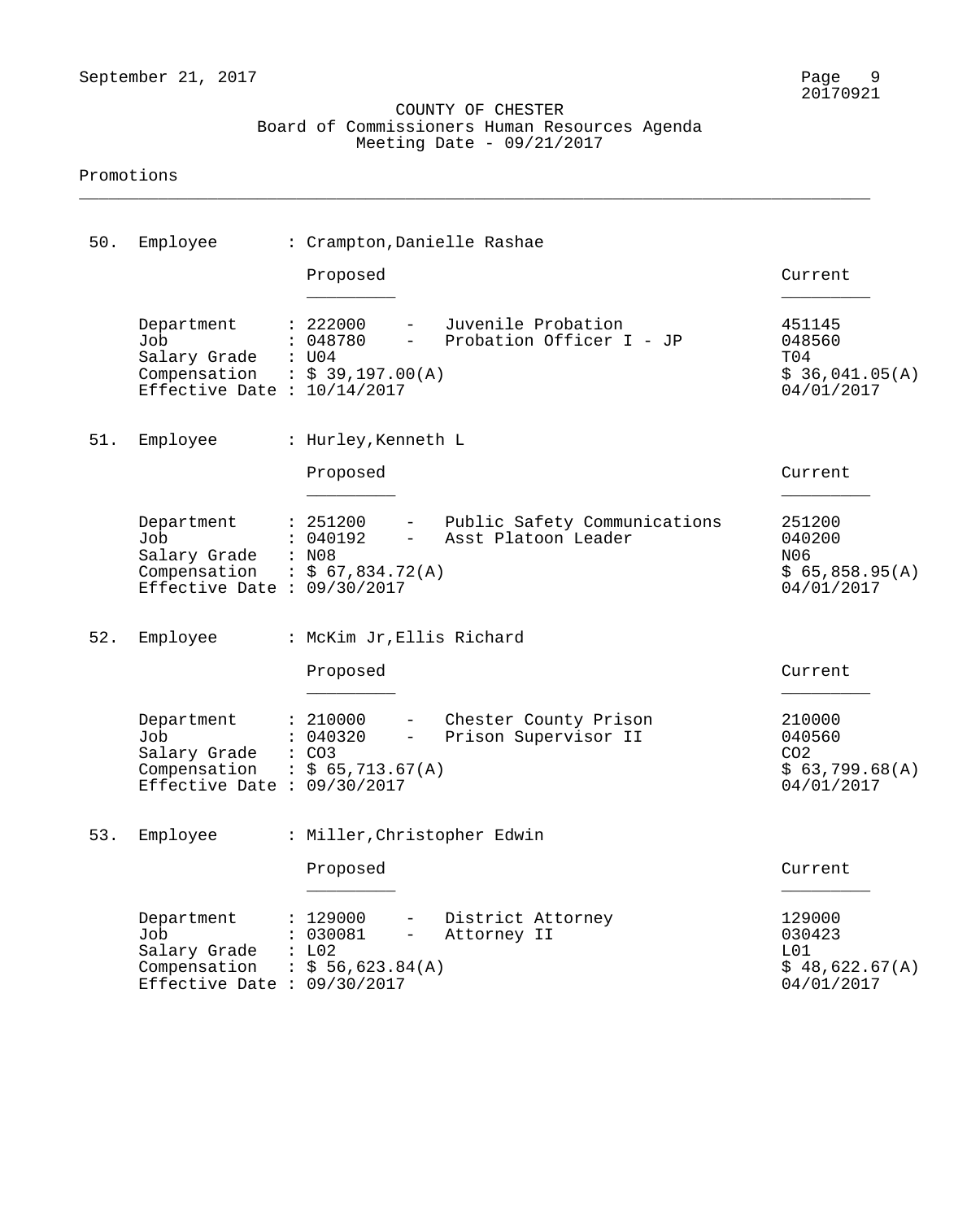\_\_\_\_\_\_\_\_\_\_\_\_\_\_\_\_\_\_\_\_\_\_\_\_\_\_\_\_\_\_\_\_\_\_\_\_\_\_\_\_\_\_\_\_\_\_\_\_\_\_\_\_\_\_\_\_\_\_\_\_\_\_\_\_\_\_\_\_\_\_\_\_\_\_\_\_\_\_\_\_

#### Promotions

| 50. | Employee                                                                           | : Crampton, Danielle Rashae                                                                                                                                |                                                                     |
|-----|------------------------------------------------------------------------------------|------------------------------------------------------------------------------------------------------------------------------------------------------------|---------------------------------------------------------------------|
|     |                                                                                    | Proposed                                                                                                                                                   | Current                                                             |
|     | Department<br>Job<br>Salary Grade<br>Compensation<br>Effective Date : $10/14/2017$ | Juvenile Probation<br>: 222000<br>$ -$<br>: 048780<br>Probation Officer I - JP<br>$\frac{1}{2}$<br>: U04<br>$\therefore$ \$ 39,197.00(A)                   | 451145<br>048560<br>T04<br>\$36,041.05(A)<br>04/01/2017             |
| 51. | Employee                                                                           | : Hurley, Kenneth L                                                                                                                                        |                                                                     |
|     |                                                                                    | Proposed                                                                                                                                                   | Current                                                             |
|     | Department<br>Job<br>Salary Grade<br>Compensation<br>Effective Date : $09/30/2017$ | - Public Safety Communications<br>: 251200<br>: 040192<br>Asst Platoon Leader<br>$\sim$ 100 $\sim$<br>: N08<br>: $$67,834.72(A)$                           | 251200<br>040200<br>N <sub>06</sub><br>\$65,858.95(A)<br>04/01/2017 |
| 52. | Employee                                                                           | : McKim Jr, Ellis Richard                                                                                                                                  |                                                                     |
|     |                                                                                    | Proposed                                                                                                                                                   | Current                                                             |
|     | Department<br>Job<br>Salary Grade<br>Compensation<br>Effective Date : $09/30/2017$ | : 210000<br>- Chester County Prison<br>Prison Supervisor II<br>: 040320<br>$\frac{1}{2}$ and $\frac{1}{2}$<br>$\colon$ CO3<br>$\therefore$ \$ 65,713.67(A) | 210000<br>040560<br>CO <sub>2</sub><br>\$63,799.68(A)<br>04/01/2017 |
|     | 53. Employee                                                                       | : Miller, Christopher Edwin                                                                                                                                |                                                                     |
|     |                                                                                    | Proposed                                                                                                                                                   | Current                                                             |
|     | Department<br>Job<br>Salary Grade<br>Compensation<br>Effective Date : $09/30/2017$ | : 129000<br>District Attorney<br>: 030081<br>Attorney II<br>$\overline{\phantom{0}}$<br>: L02<br>: \$56,623.84(A)                                          | 129000<br>030423<br>L01<br>\$48,622.67(A)<br>04/01/2017             |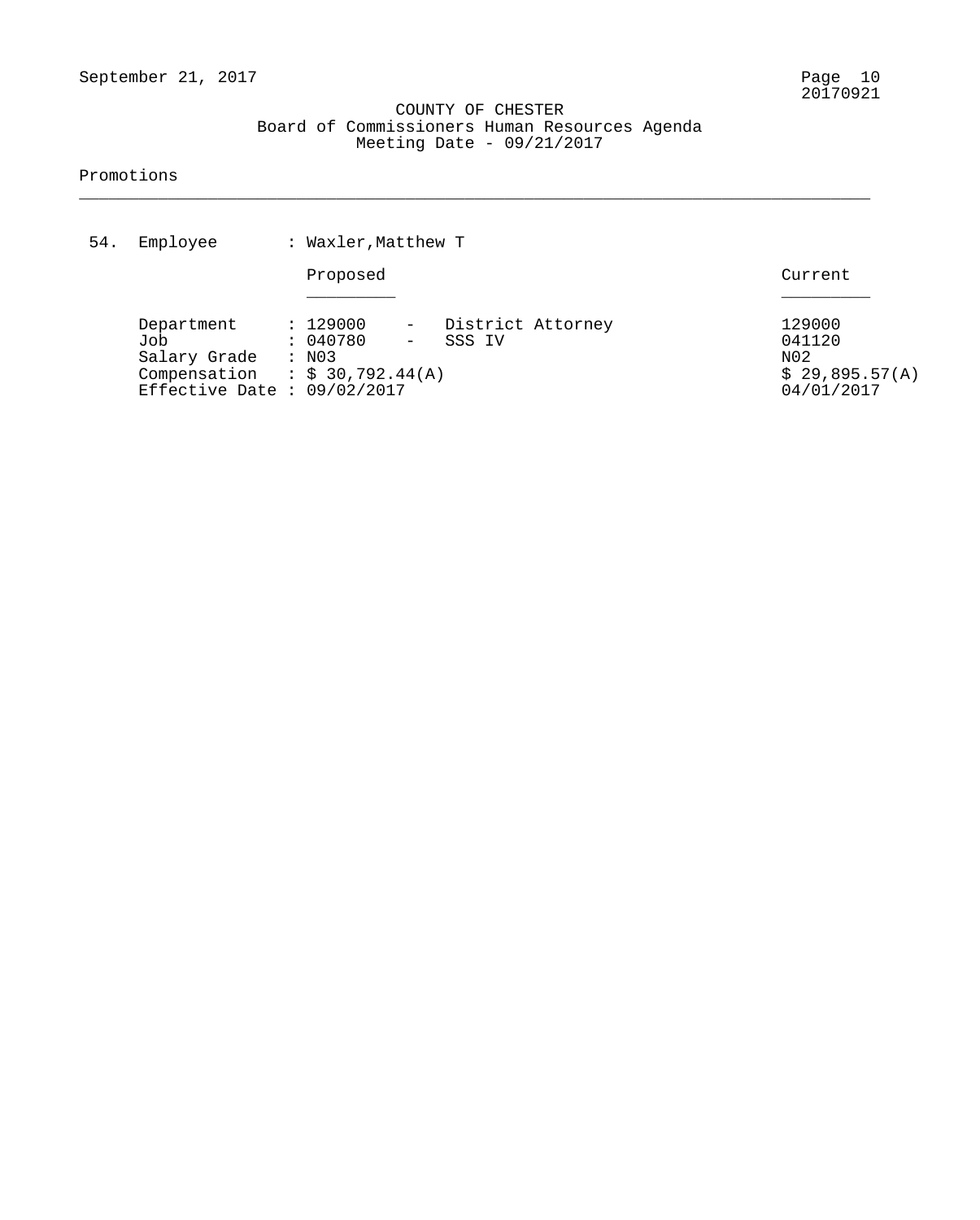\_\_\_\_\_\_\_\_\_\_\_\_\_\_\_\_\_\_\_\_\_\_\_\_\_\_\_\_\_\_\_\_\_\_\_\_\_\_\_\_\_\_\_\_\_\_\_\_\_\_\_\_\_\_\_\_\_\_\_\_\_\_\_\_\_\_\_\_\_\_\_\_\_\_\_\_\_\_\_\_

#### Promotions

| 54. | Employee                                                                                             | : Waxler, Matthew T                      |                 |                             |  |                                                         |  |
|-----|------------------------------------------------------------------------------------------------------|------------------------------------------|-----------------|-----------------------------|--|---------------------------------------------------------|--|
|     |                                                                                                      | Proposed                                 |                 |                             |  | Current                                                 |  |
|     | Department<br>Job<br>Salary Grade<br>Compensation : $$30,792.44(A)$<br>Effective Date : $09/02/2017$ | : 129000<br>: 040780<br>$\therefore$ NO3 | $ \,$<br>$\sim$ | District Attorney<br>SSS IV |  | 129000<br>041120<br>N02<br>\$29,895.57(A)<br>04/01/2017 |  |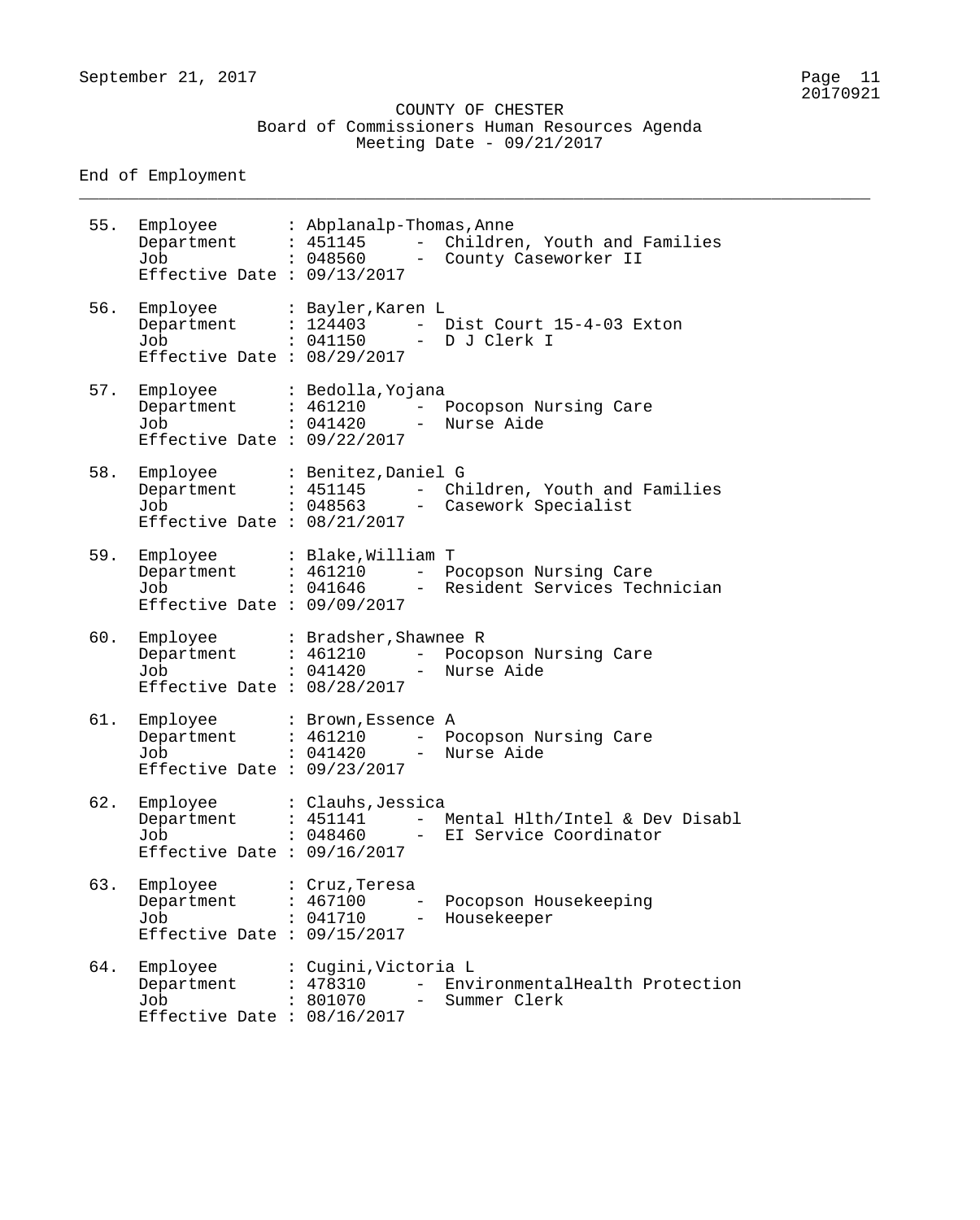\_\_\_\_\_\_\_\_\_\_\_\_\_\_\_\_\_\_\_\_\_\_\_\_\_\_\_\_\_\_\_\_\_\_\_\_\_\_\_\_\_\_\_\_\_\_\_\_\_\_\_\_\_\_\_\_\_\_\_\_\_\_\_\_\_\_\_\_\_\_\_\_\_\_\_\_\_\_\_\_

End of Employment

55. Employee : Abplanalp-Thomas,Anne Department : 451145 - Children, Youth and Families Job : 048560 - County Caseworker II Effective Date : 09/13/2017 56. Employee : Bayler,Karen L Department : 124403 - Dist Court 15-4-03 Exton Job : 041150 - D J Clerk I Effective Date : 08/29/2017 57. Employee : Bedolla,Yojana Department : 461210 - Pocopson Nursing Care Job : 041420 - Nurse Aide Effective Date : 09/22/2017 58. Employee : Benitez,Daniel G Department : 451145 - Children, Youth and Families Job : 048563 - Casework Specialist Effective Date : 08/21/2017 59. Employee : Blake,William T Department : 461210 - Pocopson Nursing Care Job : 041646 - Resident Services Technician Effective Date : 09/09/2017 60. Employee : Bradsher,Shawnee R Department : 461210 - Pocopson Nursing Care Job : 041420 - Nurse Aide Effective Date : 08/28/2017 61. Employee : Brown,Essence A Department : 461210 - Pocopson Nursing Care Job : 041420 - Nurse Aide Effective Date : 09/23/2017 62. Employee : Clauhs,Jessica Department : 451141 - Mental Hlth/Intel & Dev Disabl Job : 048460 - EI Service Coordinator Effective Date : 09/16/2017 63. Employee : Cruz,Teresa Department : 467100 - Pocopson Housekeeping Job : 041710 - Housekeeper Effective Date : 09/15/2017 64. Employee : Cugini,Victoria L Department : 478310 - EnvironmentalHealth Protection Job : 801070 - Summer Clerk Effective Date : 08/16/2017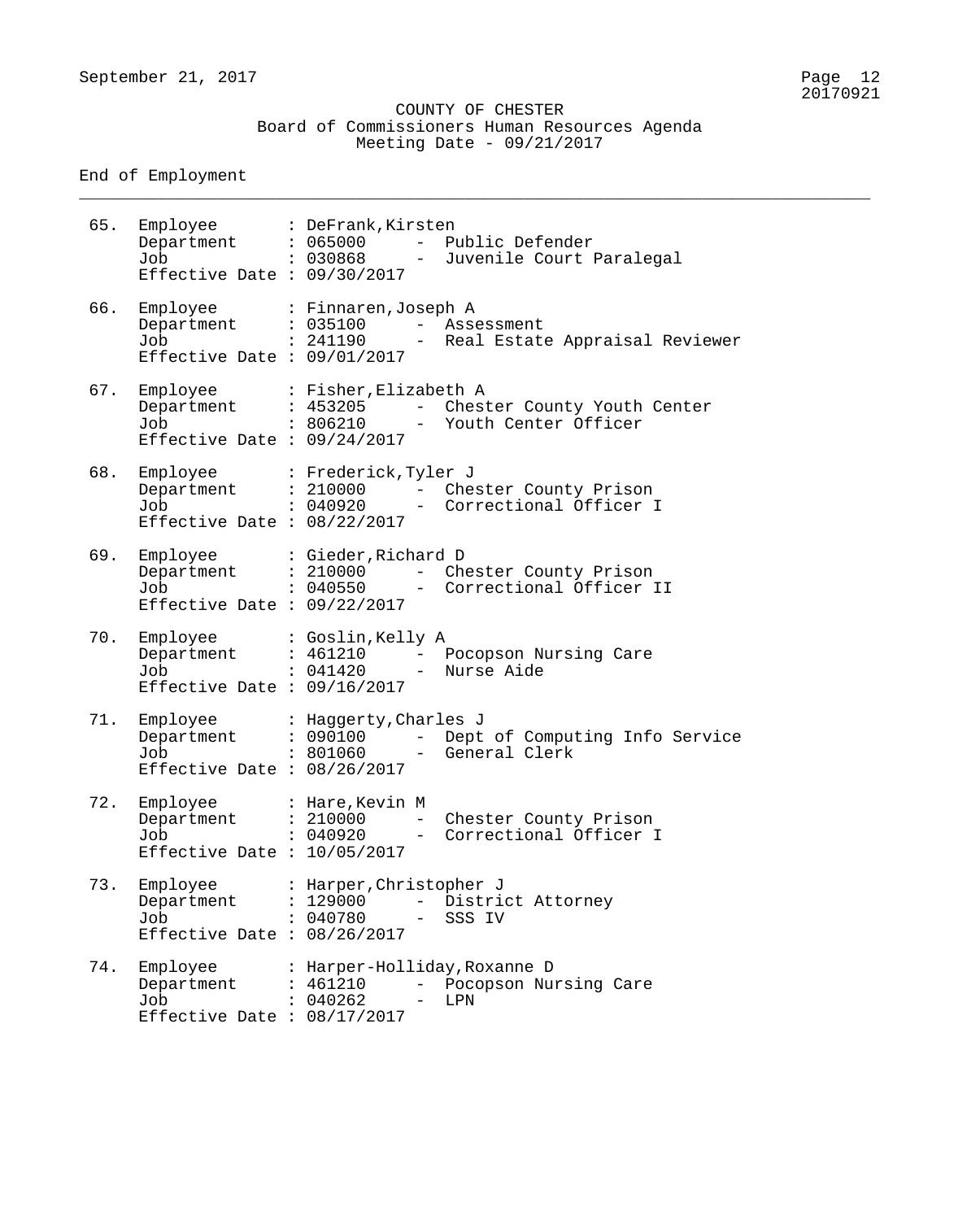\_\_\_\_\_\_\_\_\_\_\_\_\_\_\_\_\_\_\_\_\_\_\_\_\_\_\_\_\_\_\_\_\_\_\_\_\_\_\_\_\_\_\_\_\_\_\_\_\_\_\_\_\_\_\_\_\_\_\_\_\_\_\_\_\_\_\_\_\_\_\_\_\_\_\_\_\_\_\_\_

End of Employment

| 65. | Employee<br>Department<br>Job<br>Effective Date : $09/30/2017$        | : DeFrank, Kirsten<br>: 065000<br>: 030868      |                          | - Public Defender<br>- Juvenile Court Paralegal                |
|-----|-----------------------------------------------------------------------|-------------------------------------------------|--------------------------|----------------------------------------------------------------|
| 66. | Employee<br>Department<br>Job<br>Effective Date : $09/01/2017$        | : Finnaren, Joseph A<br>: 035100<br>: 241190    |                          | - Assessment<br>- Real Estate Appraisal Reviewer               |
| 67. | Employee<br>Department<br>Job<br>Effective Date : $09/24/2017$        | : Fisher, Elizabeth A<br>: 453205<br>: 806210   |                          | - Chester County Youth Center<br>- Youth Center Officer        |
| 68. | Employee<br>Department<br>Job<br>Job<br>Effective Date : $08/22/2017$ | : Frederick, Tyler J<br>: 210000<br>: 040920    |                          | - Chester County Prison<br>- Correctional Officer I            |
| 69. | Employee<br>Department<br>Job<br>Effective Date : $09/22/2017$        | : Gieder, Richard D<br>: 210000<br>: 040550     |                          | - Chester County Prison<br>- Correctional Officer II           |
| 70. | Employee<br>Department<br>Job<br>Effective Date : $09/16/2017$        | : Goslin, Kelly A<br>: 461210<br>: 041420       |                          | - Pocopson Nursing Care<br>- Nurse Aide                        |
| 71. | Employee<br>Department<br>Job<br>Effective Date : $08/26/2017$        | : Haggerty, Charles J<br>: 090100               |                          | - Dept of Computing Info Service<br>$: 801060$ - General Clerk |
| 72. | Employee<br>Department<br>Job<br>Effective Date : $10/05/2017$        | : Hare, Kevin M<br>: 210000<br>: 040920         | $-$                      | Chester County Prison<br>Correctional Officer I                |
| 73. | Employee<br>Department<br>Job<br>Effective Date : $08/26/2017$        | : Harper, Christopher J<br>: 129000<br>: 040780 |                          | - District Attorney<br>SSS IV                                  |
| 74. | Employee<br>Department<br>Job<br>Effective Date : $08/17/2017$        | : 461210<br>: 040262                            | $\overline{\phantom{0}}$ | : Harper-Holliday, Roxanne D<br>Pocopson Nursing Care<br>LPN   |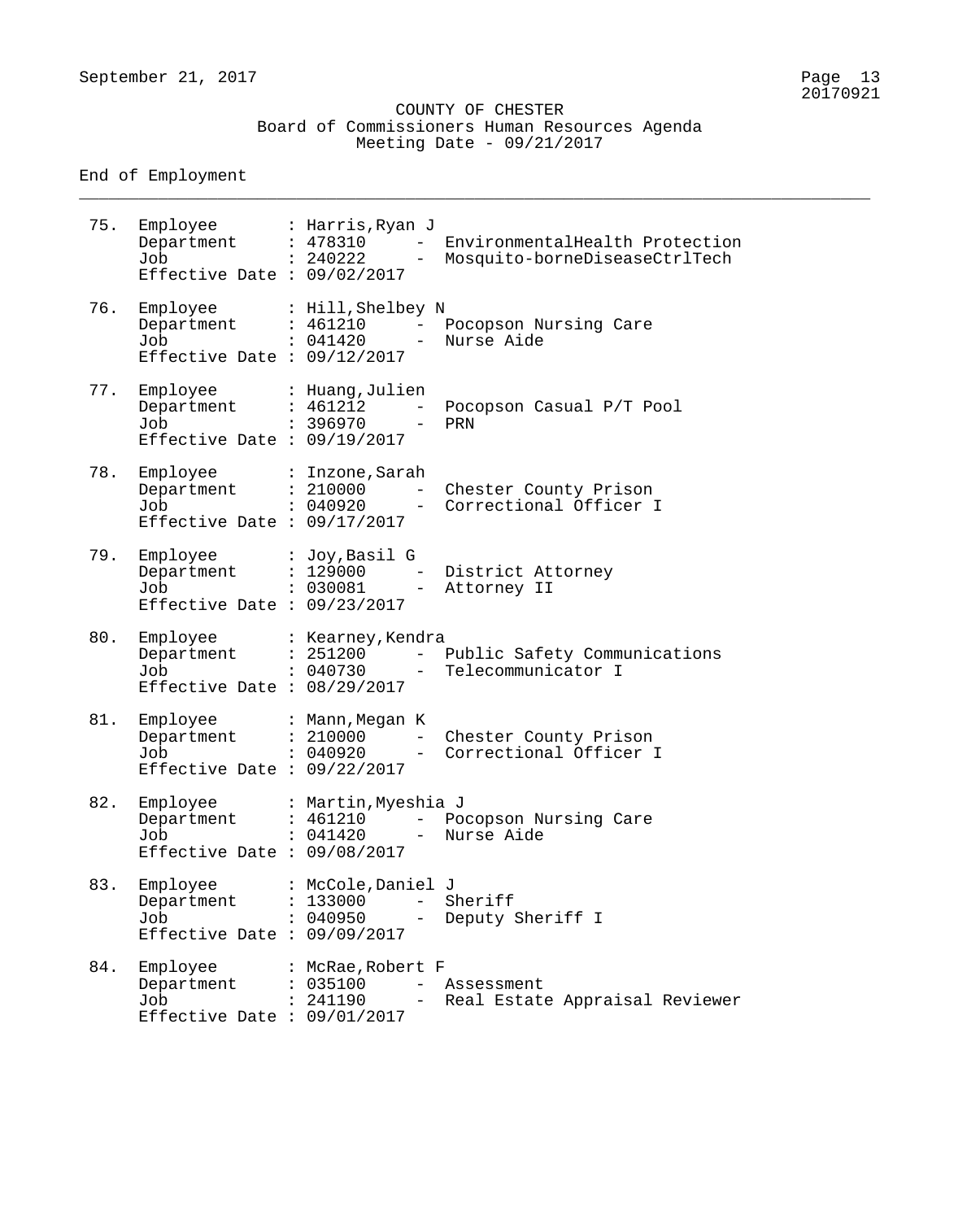\_\_\_\_\_\_\_\_\_\_\_\_\_\_\_\_\_\_\_\_\_\_\_\_\_\_\_\_\_\_\_\_\_\_\_\_\_\_\_\_\_\_\_\_\_\_\_\_\_\_\_\_\_\_\_\_\_\_\_\_\_\_\_\_\_\_\_\_\_\_\_\_\_\_\_\_\_\_\_\_

End of Employment

| 75. | Employee<br>Department<br>Job<br>Effective Date : $09/02/2017$ | : Harris, Ryan J<br>: 478310<br>: 240222<br>$\qquad \qquad -$                                      | EnvironmentalHealth Protection<br>Mosquito-borneDiseaseCtrlTech |
|-----|----------------------------------------------------------------|----------------------------------------------------------------------------------------------------|-----------------------------------------------------------------|
| 76. | Employee<br>Department<br>Job<br>Effective Date : $09/12/2017$ | : Hill, Shelbey N<br>: 461210<br>$\qquad \qquad -$<br>: 041420<br>$\equiv$                         | Pocopson Nursing Care<br>Nurse Aide                             |
| 77. | Employee<br>Department<br>Job<br>Effective Date : $09/19/2017$ | : Huang, Julien<br>: 461212<br>$\overline{\phantom{0}}$<br>: 396970<br>$\qquad \qquad -$           | Pocopson Casual P/T Pool<br>PRN                                 |
| 78. | Employee<br>Department<br>Job<br>Effective Date : $09/17/2017$ | : Inzone, Sarah<br>: 210000<br>$\overline{\phantom{0}}$<br>: 040920<br>$\qquad \qquad -$           | Chester County Prison<br>Correctional Officer I                 |
| 79. | Employee<br>Department<br>Job<br>Effective Date : $09/23/2017$ | : Joy, Basil G<br>: 129000<br>$\overline{\phantom{m}}$<br>: 030081<br>$\overline{\phantom{m}}$     | District Attorney<br>Attorney II                                |
| 80. | Employee<br>Department<br>Job<br>Effective Date : $08/29/2017$ | : Kearney, Kendra<br>: 251200<br>$\qquad \qquad -$<br>: 040730<br>$\overline{\phantom{m}}$         | Public Safety Communications<br>Telecommunicator I              |
| 81. | Employee<br>Department<br>Job<br>Effective Date : $09/22/2017$ | : Mann, Megan K<br>: 210000<br>$\overline{\phantom{0}}$<br>: 040920<br>$\overline{\phantom{a}}$    | Chester County Prison<br>Correctional Officer I                 |
| 82. | Employee<br>Department<br>Job<br>Effective Date : $09/08/2017$ | : Martin, Myeshia J<br>: 461210<br>$-$<br>: 041420                                                 | Pocopson Nursing Care<br>Nurse Aide                             |
| 83. | Employee<br>Department<br>Job<br>Effective Date : $09/09/2017$ | : McCole, Daniel J<br>: 133000<br>$\overline{\phantom{0}}$<br>: 040950<br>$\overline{\phantom{m}}$ | Sheriff<br>Deputy Sheriff I                                     |
| 84. | Employee<br>Department<br>Job<br>Effective Date : $09/01/2017$ | : McRae, Robert F<br>: 035100<br>: 241190                                                          | Assessment<br>Real Estate Appraisal Reviewer                    |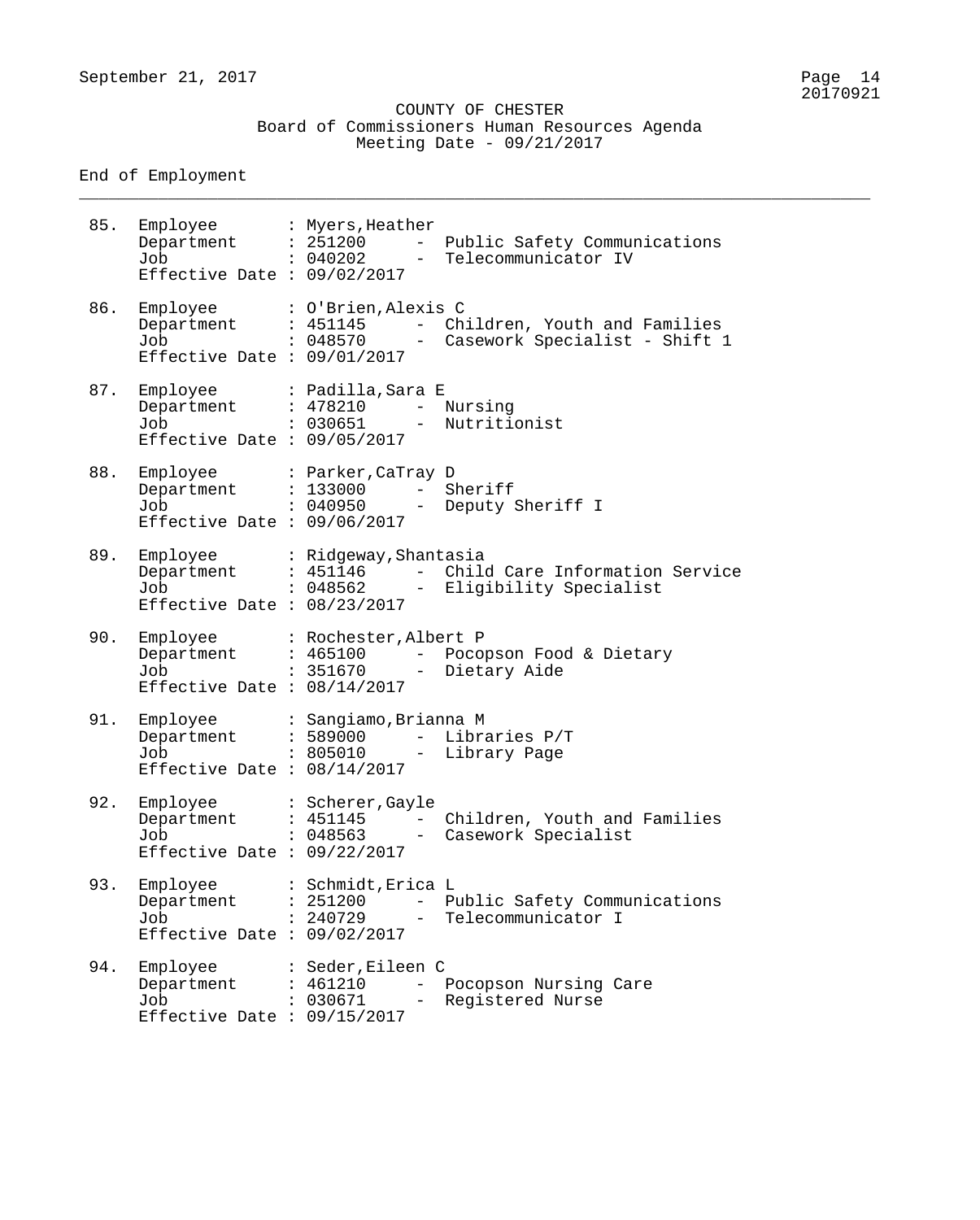\_\_\_\_\_\_\_\_\_\_\_\_\_\_\_\_\_\_\_\_\_\_\_\_\_\_\_\_\_\_\_\_\_\_\_\_\_\_\_\_\_\_\_\_\_\_\_\_\_\_\_\_\_\_\_\_\_\_\_\_\_\_\_\_\_\_\_\_\_\_\_\_\_\_\_\_\_\_\_\_

End of Employment

| 85. | Employee : Myers, Heather<br>Department : 251200<br>Job<br>Effective Date : $09/02/2017$      | : 040202                                   | $ \,$<br>$\equiv$               | Public Safety Communications<br>Telecommunicator IV               |
|-----|-----------------------------------------------------------------------------------------------|--------------------------------------------|---------------------------------|-------------------------------------------------------------------|
| 86. | Employee<br>Department : 451145<br>Job<br>Effective Date : $09/01/2017$                       | : O'Brien, Alexis C<br>: 048570            |                                 | - Children, Youth and Families<br>- Casework Specialist - Shift 1 |
| 87. | Employee : Padilla, Sara E<br>Department : 478210<br>Job<br>Effective Date : $09/05/2017$     | : 030651                                   | $-$<br>$\sim$                   | Nursing<br>Nutritionist                                           |
| 88. | Employee : Parker, CaTray D<br>Department : 133000<br>Job<br>Effective Date : $09/06/2017$    | . 040950                                   | $-$<br>$\overline{\phantom{0}}$ | Sheriff<br>Deputy Sheriff I                                       |
| 89. | Employee : Ridgeway, Shantasia<br>Department : 451146<br>Job<br>Effective Date : $08/23/2017$ | $: 048562 -$                               |                                 | - Child Care Information Service<br>Eligibility Specialist        |
| 90. | Employee<br>Department : 465100<br>Job<br>Effective Date : $08/14/2017$                       | : Rochester, Albert P<br>: 351670          | $\frac{1}{2}$                   | - Pocopson Food & Dietary<br>Dietary Aide                         |
| 91. | Employee<br>Department : 589000<br>Job<br>Effective Date : $08/14/2017$                       | : Sangiamo, Brianna M<br>$: 805010 -$      | $\equiv$                        | Libraries P/T<br>Library Page                                     |
| 92. | Employee<br>Department<br>Job<br>Effective Date : $09/22/2017$                                | : Scherer, Gayle<br>: 451145<br>: 048563   |                                 | Children, Youth and Families<br>Casework Specialist               |
| 93. | Employee<br>Department<br>Job<br>Effective Date : $09/02/2017$                                | : Schmidt, Erica L<br>: 251200<br>: 240729 | $\qquad \qquad -$<br>-          | Public Safety Communications<br>Telecommunicator I                |
| 94. | Employee<br>Department<br>Job<br>Effective Date : $09/15/2017$                                | : Seder, Eileen C<br>: 461210<br>: 030671  |                                 | Pocopson Nursing Care<br>Registered Nurse                         |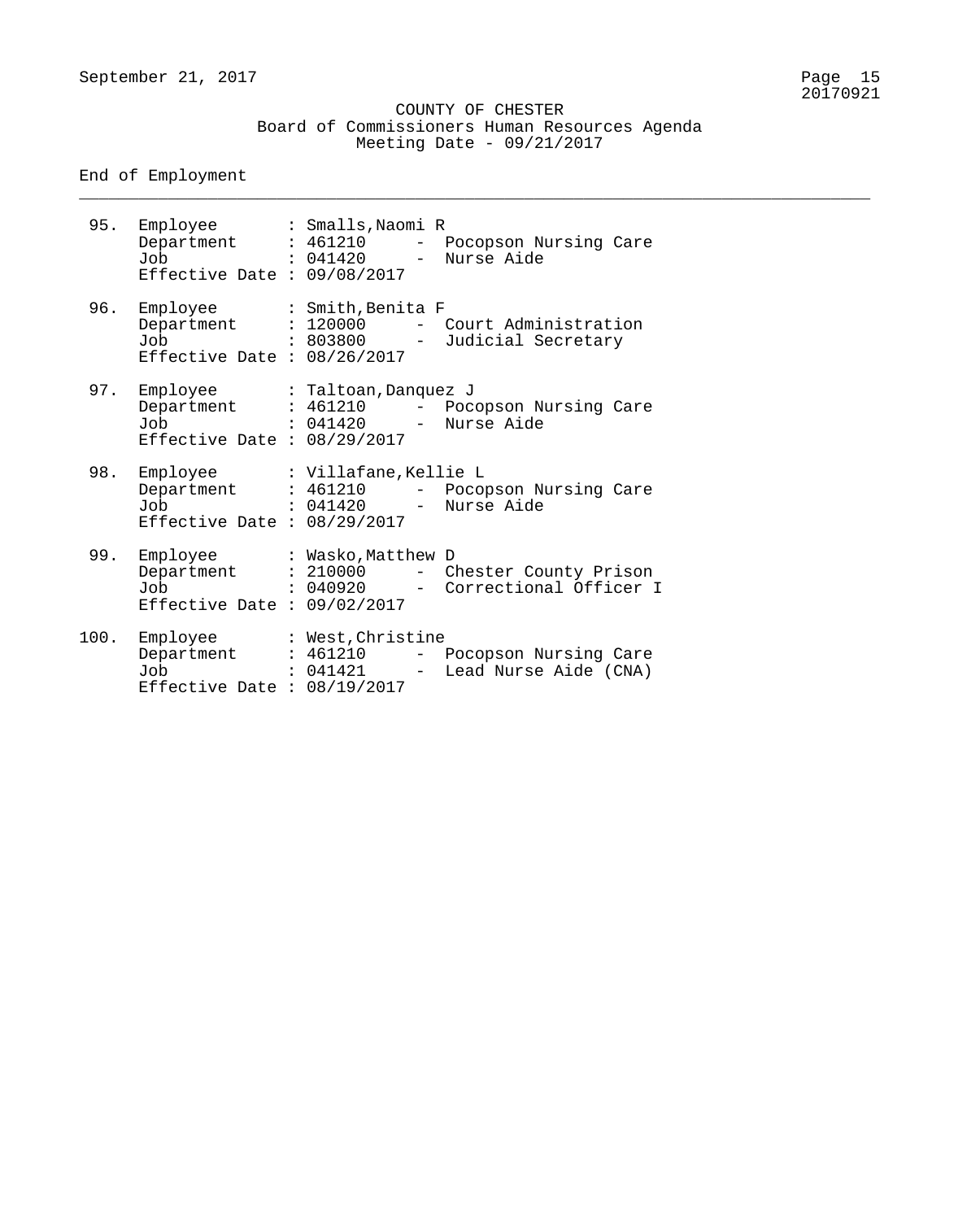\_\_\_\_\_\_\_\_\_\_\_\_\_\_\_\_\_\_\_\_\_\_\_\_\_\_\_\_\_\_\_\_\_\_\_\_\_\_\_\_\_\_\_\_\_\_\_\_\_\_\_\_\_\_\_\_\_\_\_\_\_\_\_\_\_\_\_\_\_\_\_\_\_\_\_\_\_\_\_\_

End of Employment

| 95.  | Employee<br>Department<br>Job<br>Effective Date : $09/08/2017$     | : Smalls, Naomi R<br>: 461210 - Pocopson Nursing Care<br>: 041420 - Nurse Aide              |
|------|--------------------------------------------------------------------|---------------------------------------------------------------------------------------------|
|      | 96. Employee<br>Department<br>Job<br>Effective Date : $08/26/2017$ | : Smith, Benita F<br>: 120000<br>- Court Administration<br>: 803800 - Judicial Secretary    |
|      | 97. Employee<br>Department<br>Job<br>Effective Date : $08/29/2017$ | : Taltoan, Danquez J<br>: 461210 - Pocopson Nursing Care<br>: 041420 - Nurse Aide           |
| 98.  | Employee<br>Department<br>Job<br>Effective Date : $08/29/2017$     | : Villafane,Kellie L<br>: 461210 - Pocopson Nursing Care<br>: 041420 - Nurse Aide           |
| 99.  | Employee<br>Department<br>Job<br>Effective Date : $09/02/2017$     | : Wasko, Matthew D<br>: 210000 - Chester County Prison<br>: 040920 - Correctional Officer I |
| 100. | Employee<br>Department                                             | : West, Christine<br>: 461210<br>- Pocopson Nursing Care                                    |

Job : 041421 - Lead Nurse Aide (CNA)

Effective Date : 08/19/2017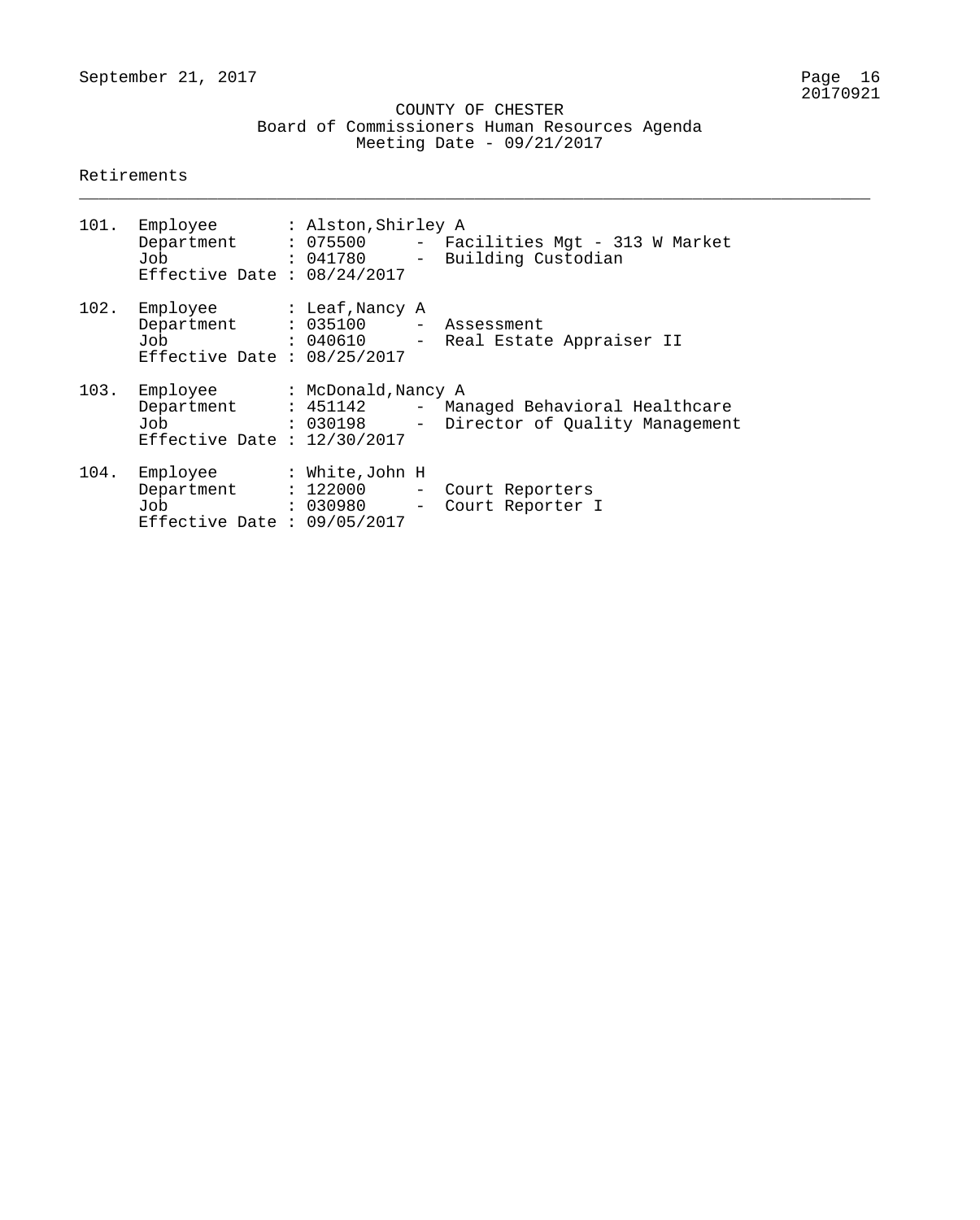\_\_\_\_\_\_\_\_\_\_\_\_\_\_\_\_\_\_\_\_\_\_\_\_\_\_\_\_\_\_\_\_\_\_\_\_\_\_\_\_\_\_\_\_\_\_\_\_\_\_\_\_\_\_\_\_\_\_\_\_\_\_\_\_\_\_\_\_\_\_\_\_\_\_\_\_\_\_\_\_

#### Retirements

|      | 101. Employee : Alston, Shirley A<br>Effective Date : $08/24/2017$                                        |  | Department : 075500 - Facilities Mgt - 313 W Market<br>Job : 041780 - Building Custodian         |
|------|-----------------------------------------------------------------------------------------------------------|--|--------------------------------------------------------------------------------------------------|
|      | 102. Employee : Leaf, Nancy A<br>Department : 035100 - Assessment<br>Job<br>Effective Date : $08/25/2017$ |  | : 040610 - Real Estate Appraiser II                                                              |
|      | 103. Employee : McDonald, Nancy A<br>Job<br>Effective Date : $12/30/2017$                                 |  | Department : 451142 - Managed Behavioral Healthcare<br>: 030198 - Director of Quality Management |
| 104. | Employee : White,John H<br>Effective Date : $09/05/2017$                                                  |  | Department : 122000 - Court Reporters<br>Job : 030980 - Court Reporter I                         |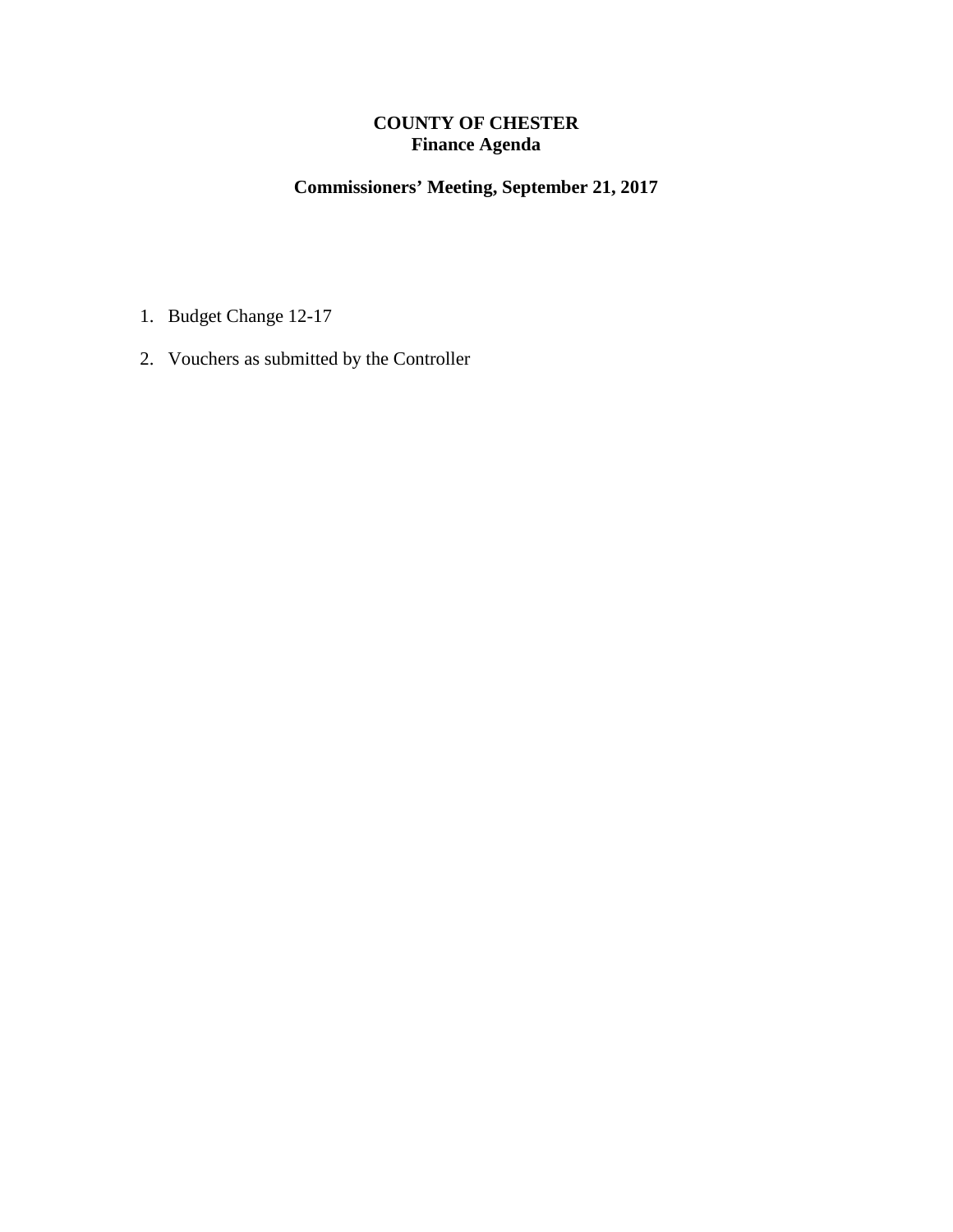#### **COUNTY OF CHESTER Finance Agenda**

### **Commissioners' Meeting, September 21, 2017**

- 1. Budget Change 12-17
- 2. Vouchers as submitted by the Controller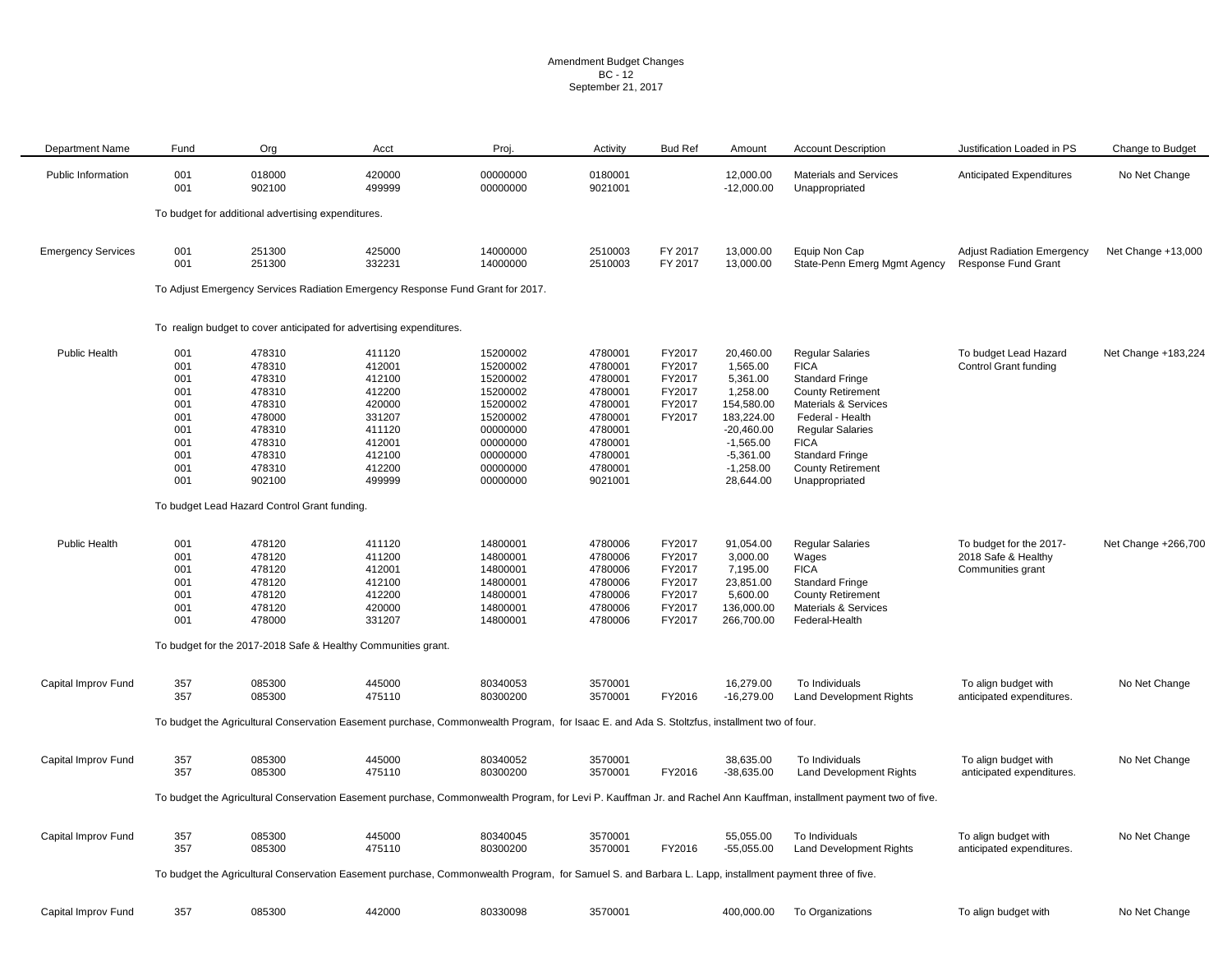#### Amendment Budget Changes BC - 12 September 21, 2017

| <b>Department Name</b>    | Fund       | Org                                                | Acct                                                                                     | Proj.                                                                                                                                                  | Activity           | <b>Bud Ref</b> | Amount                    | <b>Account Description</b>                                                                                                                                          | Justification Loaded in PS        | Change to Budget    |
|---------------------------|------------|----------------------------------------------------|------------------------------------------------------------------------------------------|--------------------------------------------------------------------------------------------------------------------------------------------------------|--------------------|----------------|---------------------------|---------------------------------------------------------------------------------------------------------------------------------------------------------------------|-----------------------------------|---------------------|
| Public Information        | 001<br>001 | 018000<br>902100                                   | 420000<br>499999                                                                         | 00000000<br>00000000                                                                                                                                   | 0180001<br>9021001 |                | 12,000.00<br>$-12,000.00$ | Materials and Services<br>Unappropriated                                                                                                                            | <b>Anticipated Expenditures</b>   | No Net Change       |
|                           |            | To budget for additional advertising expenditures. |                                                                                          |                                                                                                                                                        |                    |                |                           |                                                                                                                                                                     |                                   |                     |
| <b>Emergency Services</b> | 001        | 251300                                             | 425000                                                                                   | 14000000                                                                                                                                               | 2510003            | FY 2017        | 13,000.00                 | Equip Non Cap                                                                                                                                                       | <b>Adjust Radiation Emergency</b> | Net Change +13,000  |
|                           | 001        | 251300                                             | 332231<br>To Adjust Emergency Services Radiation Emergency Response Fund Grant for 2017. | 14000000                                                                                                                                               | 2510003            | FY 2017        | 13,000.00                 | State-Penn Emerg Mgmt Agency                                                                                                                                        | Response Fund Grant               |                     |
|                           |            |                                                    |                                                                                          |                                                                                                                                                        |                    |                |                           |                                                                                                                                                                     |                                   |                     |
|                           |            |                                                    | To realign budget to cover anticipated for advertising expenditures.                     |                                                                                                                                                        |                    |                |                           |                                                                                                                                                                     |                                   |                     |
| Public Health             | 001        | 478310                                             | 411120                                                                                   | 15200002                                                                                                                                               | 4780001            | FY2017         | 20,460.00                 | <b>Regular Salaries</b>                                                                                                                                             | To budget Lead Hazard             | Net Change +183,224 |
|                           | 001        | 478310                                             | 412001                                                                                   | 15200002                                                                                                                                               | 4780001            | FY2017         | 1,565.00                  | <b>FICA</b>                                                                                                                                                         | <b>Control Grant funding</b>      |                     |
|                           | 001        | 478310                                             | 412100                                                                                   | 15200002                                                                                                                                               | 4780001            | FY2017         | 5,361.00                  | <b>Standard Fringe</b>                                                                                                                                              |                                   |                     |
|                           | 001        | 478310                                             | 412200                                                                                   | 15200002                                                                                                                                               | 4780001            | FY2017         | 1,258.00                  | <b>County Retirement</b>                                                                                                                                            |                                   |                     |
|                           | 001        | 478310                                             | 420000                                                                                   | 15200002                                                                                                                                               | 4780001            | FY2017         | 154,580.00                | Materials & Services                                                                                                                                                |                                   |                     |
|                           | 001        | 478000                                             | 331207                                                                                   | 15200002                                                                                                                                               | 4780001            | FY2017         | 183,224.00                | Federal - Health                                                                                                                                                    |                                   |                     |
|                           | 001        | 478310                                             | 411120                                                                                   | 00000000                                                                                                                                               | 4780001            |                | $-20,460.00$              | <b>Regular Salaries</b>                                                                                                                                             |                                   |                     |
|                           | 001        | 478310                                             | 412001                                                                                   | 00000000                                                                                                                                               | 4780001            |                | $-1,565.00$               | <b>FICA</b>                                                                                                                                                         |                                   |                     |
|                           | 001        | 478310                                             | 412100                                                                                   | 00000000                                                                                                                                               | 4780001            |                | $-5,361.00$               | <b>Standard Fringe</b>                                                                                                                                              |                                   |                     |
|                           | 001        | 478310                                             | 412200                                                                                   | 00000000                                                                                                                                               | 4780001            |                | $-1,258.00$               | <b>County Retirement</b>                                                                                                                                            |                                   |                     |
|                           | 001        | 902100                                             | 499999                                                                                   | 00000000                                                                                                                                               | 9021001            |                | 28,644.00                 | Unappropriated                                                                                                                                                      |                                   |                     |
|                           |            | To budget Lead Hazard Control Grant funding.       |                                                                                          |                                                                                                                                                        |                    |                |                           |                                                                                                                                                                     |                                   |                     |
|                           |            |                                                    |                                                                                          |                                                                                                                                                        |                    | FY2017         |                           |                                                                                                                                                                     |                                   |                     |
| <b>Public Health</b>      | 001        | 478120                                             | 411120                                                                                   | 14800001                                                                                                                                               | 4780006            |                | 91,054.00                 | <b>Regular Salaries</b>                                                                                                                                             | To budget for the 2017-           | Net Change +266,700 |
|                           | 001        | 478120                                             | 411200                                                                                   | 14800001                                                                                                                                               | 4780006            | FY2017         | 3,000.00                  | Wages                                                                                                                                                               | 2018 Safe & Healthy               |                     |
|                           | 001        | 478120                                             | 412001                                                                                   | 14800001                                                                                                                                               | 4780006            | FY2017         | 7,195.00                  | <b>FICA</b>                                                                                                                                                         | Communities grant                 |                     |
|                           | 001        | 478120                                             | 412100                                                                                   | 14800001                                                                                                                                               | 4780006            | FY2017         | 23,851.00                 | <b>Standard Fringe</b>                                                                                                                                              |                                   |                     |
|                           | 001        | 478120                                             | 412200                                                                                   | 14800001                                                                                                                                               | 4780006            | FY2017         | 5,600.00                  | <b>County Retirement</b>                                                                                                                                            |                                   |                     |
|                           | 001        | 478120                                             | 420000                                                                                   | 14800001                                                                                                                                               | 4780006            | FY2017         | 136,000.00                | <b>Materials &amp; Services</b>                                                                                                                                     |                                   |                     |
|                           | 001        | 478000                                             | 331207                                                                                   | 14800001                                                                                                                                               | 4780006            | FY2017         | 266,700.00                | Federal-Health                                                                                                                                                      |                                   |                     |
|                           |            |                                                    | To budget for the 2017-2018 Safe & Healthy Communities grant.                            |                                                                                                                                                        |                    |                |                           |                                                                                                                                                                     |                                   |                     |
| Capital Improv Fund       | 357        | 085300                                             | 445000                                                                                   | 80340053                                                                                                                                               | 3570001            |                | 16,279.00                 | To Individuals                                                                                                                                                      | To align budget with              | No Net Change       |
|                           | 357        | 085300                                             | 475110                                                                                   | 80300200                                                                                                                                               | 3570001            | FY2016         | $-16,279.00$              | <b>Land Development Rights</b>                                                                                                                                      | anticipated expenditures.         |                     |
|                           |            |                                                    |                                                                                          | To budget the Agricultural Conservation Easement purchase, Commonwealth Program, for Isaac E. and Ada S. Stoltzfus, installment two of four.           |                    |                |                           |                                                                                                                                                                     |                                   |                     |
| Capital Improv Fund       | 357        | 085300                                             | 445000                                                                                   | 80340052                                                                                                                                               | 3570001            |                | 38,635.00                 | To Individuals                                                                                                                                                      | To align budget with              | No Net Change       |
|                           | 357        | 085300                                             | 475110                                                                                   | 80300200                                                                                                                                               | 3570001            | FY2016         | $-38,635.00$              | <b>Land Development Rights</b>                                                                                                                                      | anticipated expenditures.         |                     |
|                           |            |                                                    |                                                                                          |                                                                                                                                                        |                    |                |                           | To budget the Agricultural Conservation Easement purchase, Commonwealth Program, for Levi P. Kauffman Jr. and Rachel Ann Kauffman, installment payment two of five. |                                   |                     |
| Capital Improv Fund       | 357        | 085300                                             | 445000                                                                                   | 80340045                                                                                                                                               | 3570001            |                | 55,055.00                 | To Individuals                                                                                                                                                      | To align budget with              | No Net Change       |
|                           | 357        | 085300                                             | 475110                                                                                   | 80300200                                                                                                                                               | 3570001            | FY2016         | $-55,055.00$              | <b>Land Development Rights</b>                                                                                                                                      | anticipated expenditures.         |                     |
|                           |            |                                                    |                                                                                          | To budget the Agricultural Conservation Easement purchase, Commonwealth Program, for Samuel S. and Barbara L. Lapp, installment payment three of five. |                    |                |                           |                                                                                                                                                                     |                                   |                     |
| Capital Improv Fund       | 357        | 085300                                             | 442000                                                                                   | 80330098                                                                                                                                               | 3570001            |                | 400,000.00                | To Organizations                                                                                                                                                    | To align budget with              | No Net Change       |
|                           |            |                                                    |                                                                                          |                                                                                                                                                        |                    |                |                           |                                                                                                                                                                     |                                   |                     |